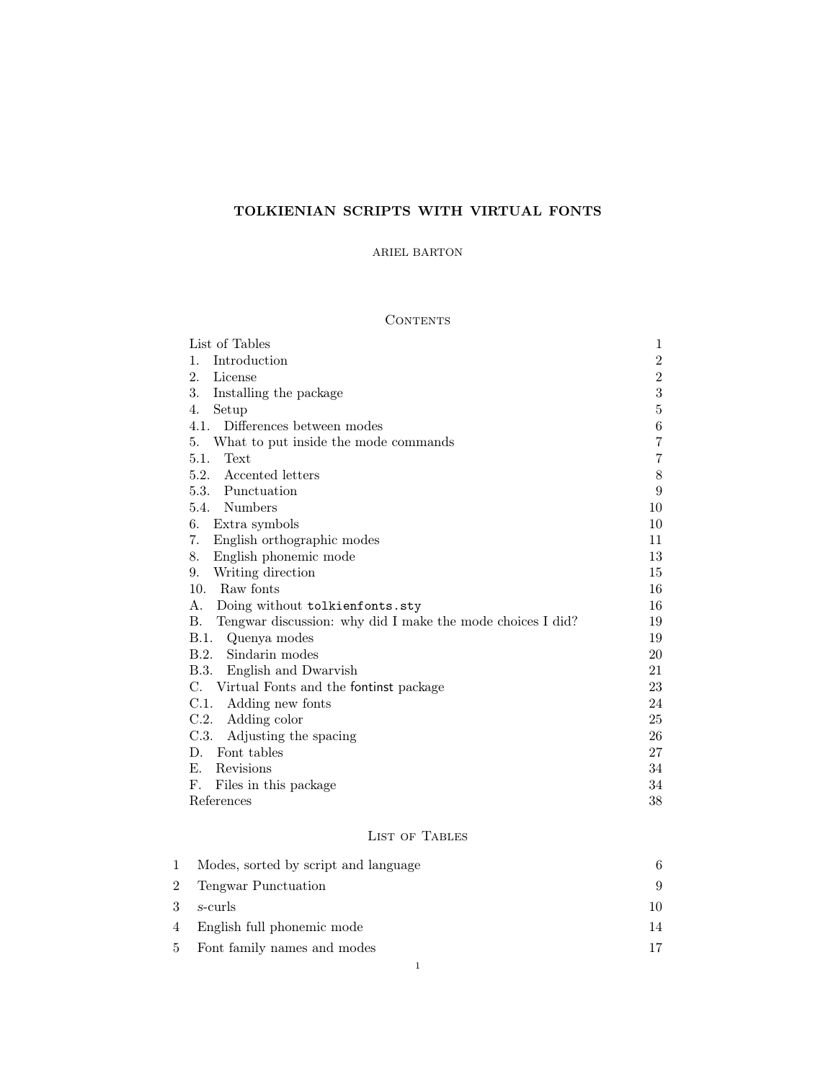# TOLKIENIAN SCRIPTS WITH VIRTUAL FONTS

# ARIEL BARTON

# CONTENTS

| List of Tables                                                          | $\mathbf{1}$   |
|-------------------------------------------------------------------------|----------------|
| Introduction<br>1.                                                      | $\sqrt{2}$     |
| 2.<br>License                                                           | $\sqrt{2}$     |
| 3.<br>Installing the package                                            | 3              |
| Setup<br>4.                                                             | $\bf 5$        |
| 4.1.<br>Differences between modes                                       | $\,6$          |
| What to put inside the mode commands<br>5.                              | $\overline{7}$ |
| Text<br>5.1.                                                            | 7              |
| Accented letters<br>5.2.                                                | 8              |
| 5.3. Punctuation                                                        | 9              |
| 5.4. Numbers                                                            | 10             |
| 6.<br>Extra symbols                                                     | 10             |
| 7.<br>English orthographic modes                                        | 11             |
| 8.<br>English phonemic mode                                             | 13             |
| Writing direction<br>9.                                                 | 15             |
| 10.<br>Raw fonts                                                        | 16             |
| Doing without tolkienfonts.sty<br>А.                                    | 16             |
| <b>B.</b><br>Tengwar discussion: why did I make the mode choices I did? | 19             |
| B.1.<br>Quenya modes                                                    | 19             |
| B.2. Sindarin modes                                                     | 20             |
| B.3. English and Dwarvish                                               | 21             |
| C. Virtual Fonts and the fontinst package                               | 23             |
| C.1. Adding new fonts                                                   | 24             |
| C.2.<br>Adding color                                                    | 25             |
| C.3.<br>Adjusting the spacing                                           | 26             |
| Font tables<br>D.                                                       | 27             |
| Е.<br>Revisions                                                         | 34             |
| F.<br>Files in this package                                             | 34             |
| References                                                              | $38\,$         |

# List of Tables

<span id="page-0-0"></span>

| 1 | Modes, sorted by script and language |    |
|---|--------------------------------------|----|
| 2 | Tengwar Punctuation                  | 9  |
| 3 | s-curls                              | 10 |
|   | 4 English full phonemic mode         | 14 |
|   | 5 Font family names and modes        | 17 |
|   |                                      |    |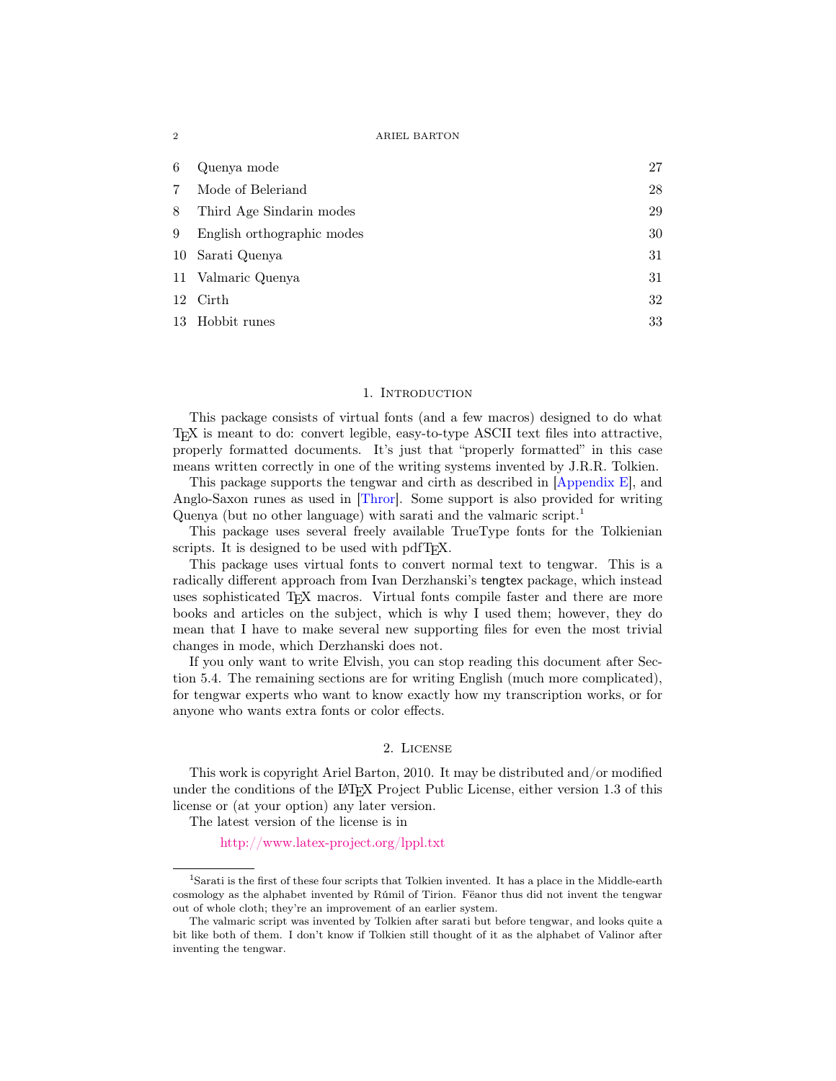| 6  | Quenya mode                | 27 |
|----|----------------------------|----|
|    | Mode of Beleriand          | 28 |
| 8  | Third Age Sindarin modes   | 29 |
| 9  | English orthographic modes | 30 |
|    | 10 Sarati Quenya           | 31 |
|    | 11 Valmaric Quenya         | 31 |
| 12 | Cirth                      | 32 |
|    | 13 Hobbit runes            | 33 |

### 1. INTRODUCTION

<span id="page-1-0"></span>This package consists of virtual fonts (and a few macros) designed to do what TEX is meant to do: convert legible, easy-to-type ASCII text files into attractive, properly formatted documents. It's just that "properly formatted" in this case means written correctly in one of the writing systems invented by J.R.R. Tolkien.

This package supports the tengwar and cirth as described in [\[Appendix E\]](#page-38-0), and Anglo-Saxon runes as used in [\[Thror\]](#page-38-1). Some support is also provided for writing Quenya (but no other language) with sarati and the valmaric script.[1](#page-1-2)

This package uses several freely available TrueType fonts for the Tolkienian scripts. It is designed to be used with pdfT<sub>E</sub>X.

This package uses virtual fonts to convert normal text to tengwar. This is a radically different approach from Ivan Derzhanski's tengtex package, which instead uses sophisticated TEX macros. Virtual fonts compile faster and there are more books and articles on the subject, which is why I used them; however, they do mean that I have to make several new supporting files for even the most trivial changes in mode, which Derzhanski does not.

If you only want to write Elvish, you can stop reading this document after [Sec](#page-9-0)[tion 5.4.](#page-9-0) The remaining sections are for writing English (much more complicated), for tengwar experts who want to know exactly how my transcription works, or for anyone who wants extra fonts or color effects.

# 2. License

<span id="page-1-1"></span>This work is copyright Ariel Barton, 2010. It may be distributed and/or modified under the conditions of the LATEX Project Public License, either version 1.3 of this license or (at your option) any later version.

The latest version of the license is in

<http://www.latex-project.org/lppl.txt>

<span id="page-1-2"></span><sup>1</sup>Sarati is the first of these four scripts that Tolkien invented. It has a place in the Middle-earth cosmology as the alphabet invented by Rúmil of Tirion. Fëanor thus did not invent the tengwar out of whole cloth; they're an improvement of an earlier system.

The valmaric script was invented by Tolkien after sarati but before tengwar, and looks quite a bit like both of them. I don't know if Tolkien still thought of it as the alphabet of Valinor after inventing the tengwar.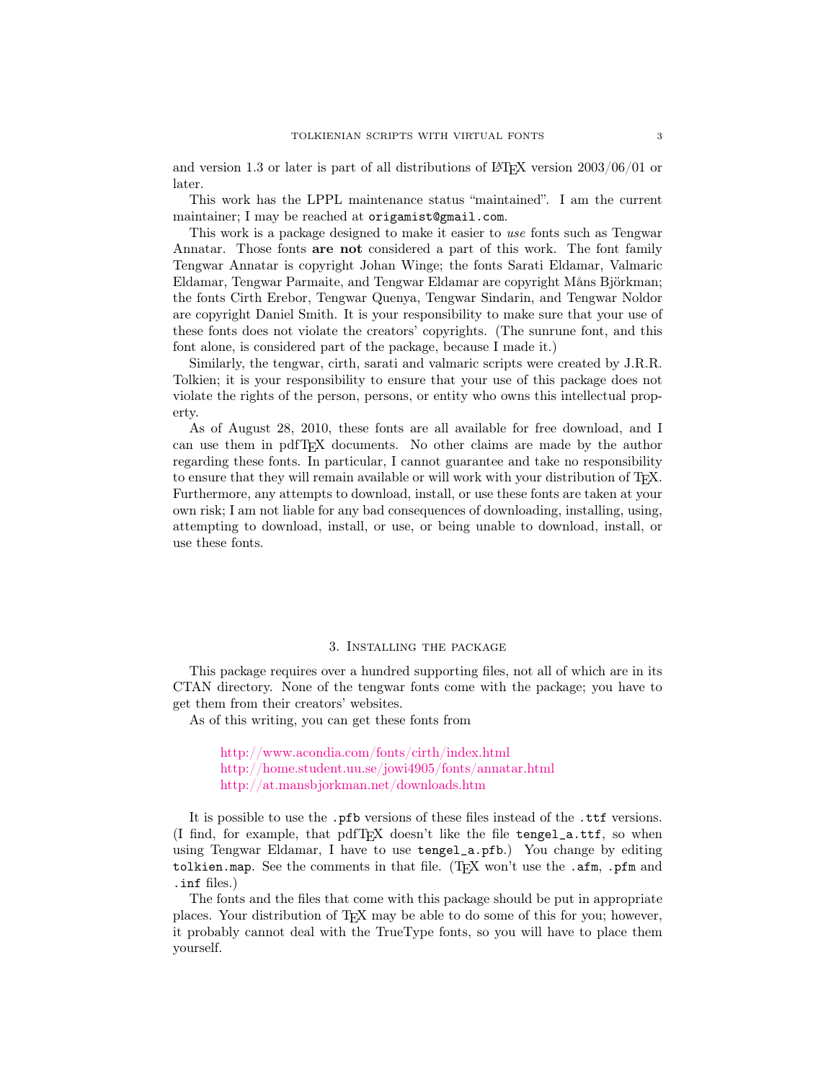and version 1.3 or later is part of all distributions of LAT<sub>EX</sub> version  $2003/06/01$  or later.

This work has the LPPL maintenance status "maintained". I am the current maintainer; I may be reached at origamist@gmail.com.

This work is a package designed to make it easier to use fonts such as Tengwar Annatar. Those fonts are not considered a part of this work. The font family Tengwar Annatar is copyright Johan Winge; the fonts Sarati Eldamar, Valmaric Eldamar, Tengwar Parmaite, and Tengwar Eldamar are copyright Måns Björkman; the fonts Cirth Erebor, Tengwar Quenya, Tengwar Sindarin, and Tengwar Noldor are copyright Daniel Smith. It is your responsibility to make sure that your use of these fonts does not violate the creators' copyrights. (The sunrune font, and this font alone, is considered part of the package, because I made it.)

Similarly, the tengwar, cirth, sarati and valmaric scripts were created by J.R.R. Tolkien; it is your responsibility to ensure that your use of this package does not violate the rights of the person, persons, or entity who owns this intellectual property.

As of August 28, 2010, these fonts are all available for free download, and I can use them in pdfTEX documents. No other claims are made by the author regarding these fonts. In particular, I cannot guarantee and take no responsibility to ensure that they will remain available or will work with your distribution of TEX. Furthermore, any attempts to download, install, or use these fonts are taken at your own risk; I am not liable for any bad consequences of downloading, installing, using, attempting to download, install, or use, or being unable to download, install, or use these fonts.

# 3. Installing the package

<span id="page-2-0"></span>This package requires over a hundred supporting files, not all of which are in its CTAN directory. None of the tengwar fonts come with the package; you have to get them from their creators' websites.

As of this writing, you can get these fonts from

<http://www.acondia.com/fonts/cirth/index.html> <http://home.student.uu.se/jowi4905/fonts/annatar.html> <http://at.mansbjorkman.net/downloads.htm>

It is possible to use the .pfb versions of these files instead of the .ttf versions. (I find, for example, that pdfTEX doesn't like the file tengel\_a.ttf, so when using Tengwar Eldamar, I have to use tengel\_a.pfb.) You change by editing tolkien.map. See the comments in that file. (T<sub>EX</sub> won't use the . $a$ fm, .pfm and .inf files.)

The fonts and the files that come with this package should be put in appropriate places. Your distribution of TEX may be able to do some of this for you; however, it probably cannot deal with the TrueType fonts, so you will have to place them yourself.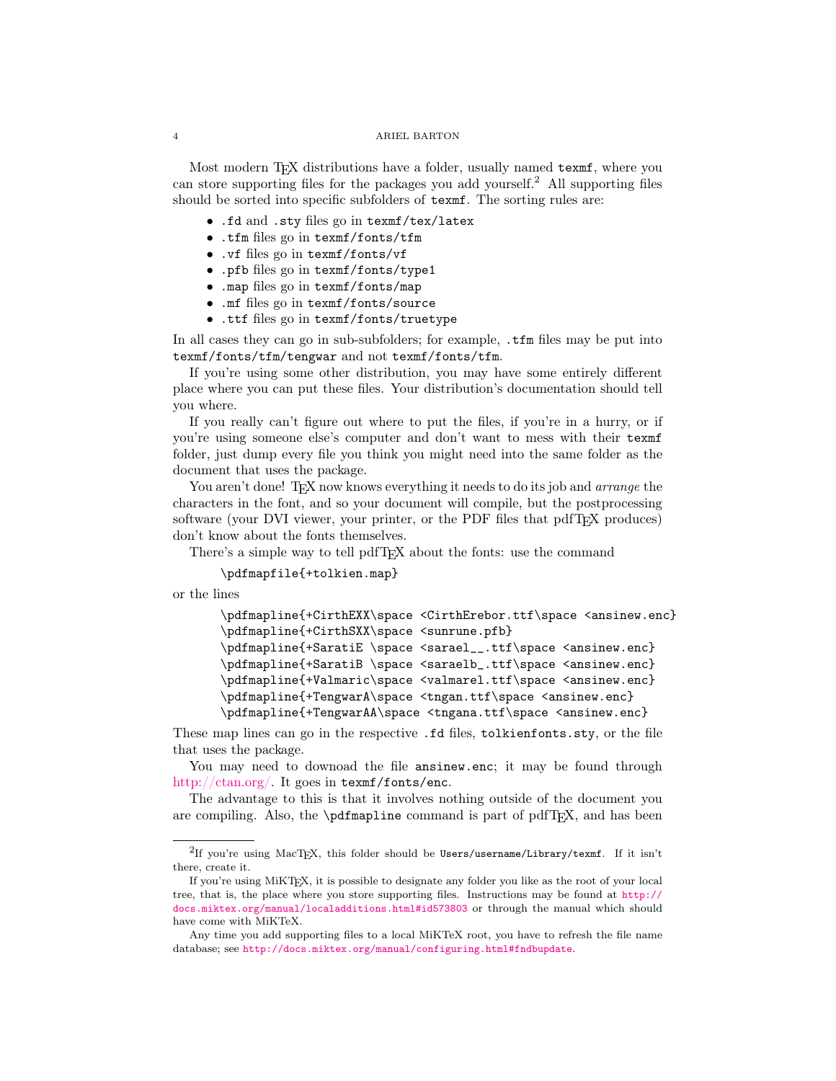Most modern T<sub>EX</sub> distributions have a folder, usually named texm<sup>e</sup>, where you can store supporting files for the packages you add yourself.<sup>[2](#page-3-0)</sup> All supporting files should be sorted into specific subfolders of texmf. The sorting rules are:

- .fd and .sty files go in texmf/tex/latex
- .tfm files go in texmf/fonts/tfm
- .vf files go in texmf/fonts/vf
- .pfb files go in texmf/fonts/type1
- .map files go in texmf/fonts/map
- .mf files go in texmf/fonts/source
- .ttf files go in texmf/fonts/truetype

In all cases they can go in sub-subfolders; for example, .tfm files may be put into texmf/fonts/tfm/tengwar and not texmf/fonts/tfm.

If you're using some other distribution, you may have some entirely different place where you can put these files. Your distribution's documentation should tell you where.

If you really can't figure out where to put the files, if you're in a hurry, or if you're using someone else's computer and don't want to mess with their texmf folder, just dump every file you think you might need into the same folder as the document that uses the package.

You aren't done! TEX now knows everything it needs to do its job and *arrange* the characters in the font, and so your document will compile, but the postprocessing software (your DVI viewer, your printer, or the PDF files that pdfT<sub>E</sub>X produces) don't know about the fonts themselves.

There's a simple way to tell pdfT<sub>E</sub>X about the fonts: use the command

# \pdfmapfile{+tolkien.map}

or the lines

```
\pdfmapline{+CirthEXX\space <CirthErebor.ttf\space <ansinew.enc}
\pdfmapline{+CirthSXX\space <sunrune.pfb}
\pdfmapline{+SaratiE \space <sarael__.ttf\space <ansinew.enc}
\pdfmapline{+SaratiB \space <saraelb_.ttf\space <ansinew.enc}
\pdfmapline{+Valmaric\space <valmarel.ttf\space <ansinew.enc}
\pdfmapline{+TengwarA\space <tngan.ttf\space <ansinew.enc}
\pdfmapline{+TengwarAA\space <tngana.ttf\space <ansinew.enc}
```
These map lines can go in the respective .fd files, tolkienfonts.sty, or the file that uses the package.

You may need to downoad the file **ansinew.enc**; it may be found through [http://ctan.org/.](http://ctan.org/search.html#byName) It goes in texmf/fonts/enc.

The advantage to this is that it involves nothing outside of the document you are compiling. Also, the \pdfmapline command is part of pdfT<sub>E</sub>X, and has been

<span id="page-3-0"></span> $^{2}$ If you're using MacT<sub>E</sub>X, this folder should be Users/username/Library/texmf. If it isn't there, create it.

If you're using MiKTEX, it is possible to designate any folder you like as the root of your local tree, that is, the place where you store supporting files. Instructions may be found at [http://](http://docs.miktex.org/manual/localadditions.html#id573803) [docs.miktex.org/manual/localadditions.html#id573803](http://docs.miktex.org/manual/localadditions.html#id573803) or through the manual which should have come with MiKTeX.

Any time you add supporting files to a local MiKTeX root, you have to refresh the file name database; see <http://docs.miktex.org/manual/configuring.html#fndbupdate>.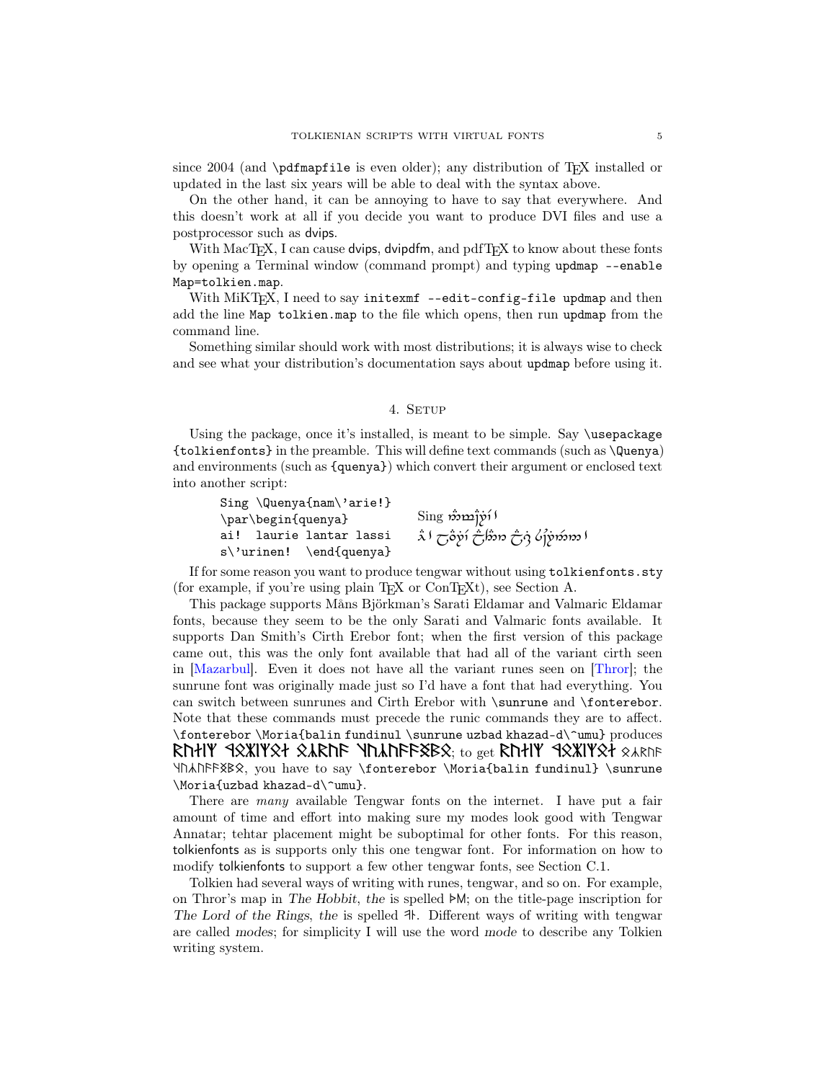since 2004 (and  $\partial$  referred is even older); any distribution of T<sub>EX</sub> installed or updated in the last six years will be able to deal with the syntax above.

On the other hand, it can be annoying to have to say that everywhere. And this doesn't work at all if you decide you want to produce DVI files and use a postprocessor such as dvips.

With  $MacTeX$ , I can cause dvips, dvipdfm, and pdfT $EX$  to know about these fonts by opening a Terminal window (command prompt) and typing updmap --enable Map=tolkien.map.

With  $\text{MiKTr} X$ , I need to say initexmf --edit-config-file updmap and then add the line Map tolkien.map to the file which opens, then run updmap from the command line.

Something similar should work with most distributions; it is always wise to check and see what your distribution's documentation says about updmap before using it.

# 4. SETUP

<span id="page-4-0"></span>Using the package, once it's installed, is meant to be simple. Say \usepackage {tolkienfonts} in the preamble. This will define text commands (such as \Quenya) and environments (such as {quenya}) which convert their argument or enclosed text into another script:

| $Sing \Upsilon \$        |                                                    |
|--------------------------|----------------------------------------------------|
| \par\begin{quenya}       | $\mathrm{Sing}$ အဲဃျဲ $\mathfrak{p}\mathfrak{i}$ ) |
| ai!  laurie lantar lassi | ا مورمَزوْرُكَ وَبْنُ مِرْمَانُ رَضِيَ اللَّهُ     |
| s\'urinen! \end{quenya}  |                                                    |

If for some reason you want to produce tengwar without using tolkienfonts.sty (for example, if you're using plain  $T_F X$  or  $Con T_F X_t$ ), see [Section A.](#page-15-1)

This package supports Måns Björkman's Sarati Eldamar and Valmaric Eldamar fonts, because they seem to be the only Sarati and Valmaric fonts available. It supports Dan Smith's Cirth Erebor font; when the first version of this package came out, this was the only font available that had all of the variant cirth seen in [\[Mazarbul\]](#page-37-1). Even it does not have all the variant runes seen on [\[Thror\]](#page-38-1); the sunrune font was originally made just so I'd have a font that had everything. You can switch between sunrunes and Cirth Erebor with \sunrune and \fonterebor. Note that these commands must precede the runic commands they are to affect. \fonterebor \Moria{balin fundinul \sunrune uzbad khazad-d\^umu} produces  $R$ hłi<code>Y</code> 9xXIYxł xa $R$ h $R$  Yhah $R$ Fx $R$ x $_{\rm t}$ <sub>to get</sub>  $R$ hłi<code>Y</code> 9xXIYxł  $_{\rm 8}$ arne tcwc99D6S, you have to say \fonterebor \Moria{balin fundinul} \sunrune \Moria{uzbad khazad-d\^umu}.

There are many available Tengwar fonts on the internet. I have put a fair amount of time and effort into making sure my modes look good with Tengwar Annatar; tehtar placement might be suboptimal for other fonts. For this reason, tolkienfonts as is supports only this one tengwar font. For information on how to modify tolkienfonts to support a few other tengwar fonts, see [Section C.1.](#page-23-0)

Tolkien had several ways of writing with runes, tengwar, and so on. For example, on Thror's map in The Hobbit, the is spelled  $\blacktriangleright M$ ; on the title-page inscription for The Lord of the Rings, the is spelled  $H$ . Different ways of writing with tengwar are called modes; for simplicity I will use the word mode to describe any Tolkien writing system.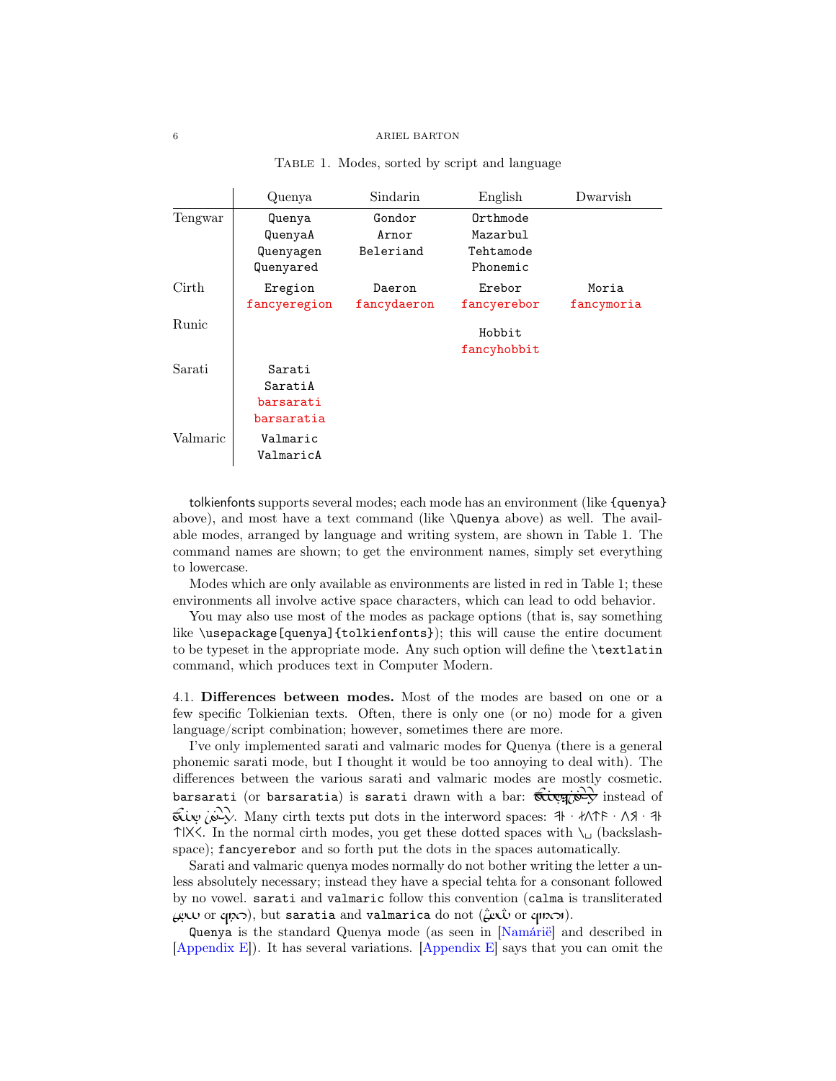<span id="page-5-1"></span>

|  |  |  | TABLE 1. Modes, sorted by script and language |
|--|--|--|-----------------------------------------------|
|  |  |  |                                               |

|          | Quenya       | Sindarin    | English     | Dwarvish   |
|----------|--------------|-------------|-------------|------------|
| Tengwar  | Quenya       | Gondor      | Orthmode    |            |
|          | QuenyaA      | Arnor       | Mazarbul    |            |
|          | Quenyagen    | Beleriand   | Tehtamode   |            |
|          | Quenyared    |             | Phonemic    |            |
| Cirth    | Eregion      | Daeron      | Erebor      | Moria      |
|          | fancyeregion | fancydaeron | fancyerebor | fancymoria |
| Runic    |              |             | Hobbit      |            |
|          |              |             | fancyhobbit |            |
| Sarati   | Sarati       |             |             |            |
|          | SaratiA      |             |             |            |
|          | barsarati    |             |             |            |
|          | barsaratia   |             |             |            |
| Valmaric | Valmaric     |             |             |            |
|          | ValmaricA    |             |             |            |

tolkienfonts supports several modes; each mode has an environment (like {quenya} above), and most have a text command (like \Quenya above) as well. The available modes, arranged by language and writing system, are shown in [Table 1.](#page-5-1) The command names are shown; to get the environment names, simply set everything to lowercase.

Modes which are only available as environments are listed in red in [Table 1;](#page-5-1) these environments all involve active space characters, which can lead to odd behavior.

You may also use most of the modes as package options (that is, say something like \usepackage[quenya]{tolkienfonts}); this will cause the entire document to be typeset in the appropriate mode. Any such option will define the \textlatin command, which produces text in Computer Modern.

<span id="page-5-0"></span>4.1. Differences between modes. Most of the modes are based on one or a few specific Tolkienian texts. Often, there is only one (or no) mode for a given language/script combination; however, sometimes there are more.

I've only implemented sarati and valmaric modes for Quenya (there is a general phonemic sarati mode, but I thought it would be too annoying to deal with). The differences between the various sarati and valmaric modes are mostly cosmetic. barsarati (or barsaratia) is sarati drawn with a bar:  $\overrightarrow{6}$   $\overrightarrow{C}$  instead of  $\overrightarrow{\text{GUw}}$   $\overrightarrow{\text{GVV}}$ . Many cirth texts put dots in the interword spaces:  $\frac{1}{4} \cdot \frac{1}{11}$   $\frac{1}{11}$  $\uparrow$  lX<. In the normal cirth modes, you get these dotted spaces with  $\setminus$ <sub>□</sub> (backslashspace); fancyerebor and so forth put the dots in the spaces automatically.

Sarati and valmaric quenya modes normally do not bother writing the letter a unless absolutely necessary; instead they have a special tehta for a consonant followed by no vowel. sarati and valmaric follow this convention (calma is transliterated  $\mu \sim$  or  $q \sim$ ), but saratia and valmarica do not ( $\mu \sim$ ).

Quenya is the standard Quenya mode (as seen in [\[Namárië\]](#page-38-2) and described in  $[Appendix E]$ . It has several variations.  $[Appendix E]$  says that you can omit the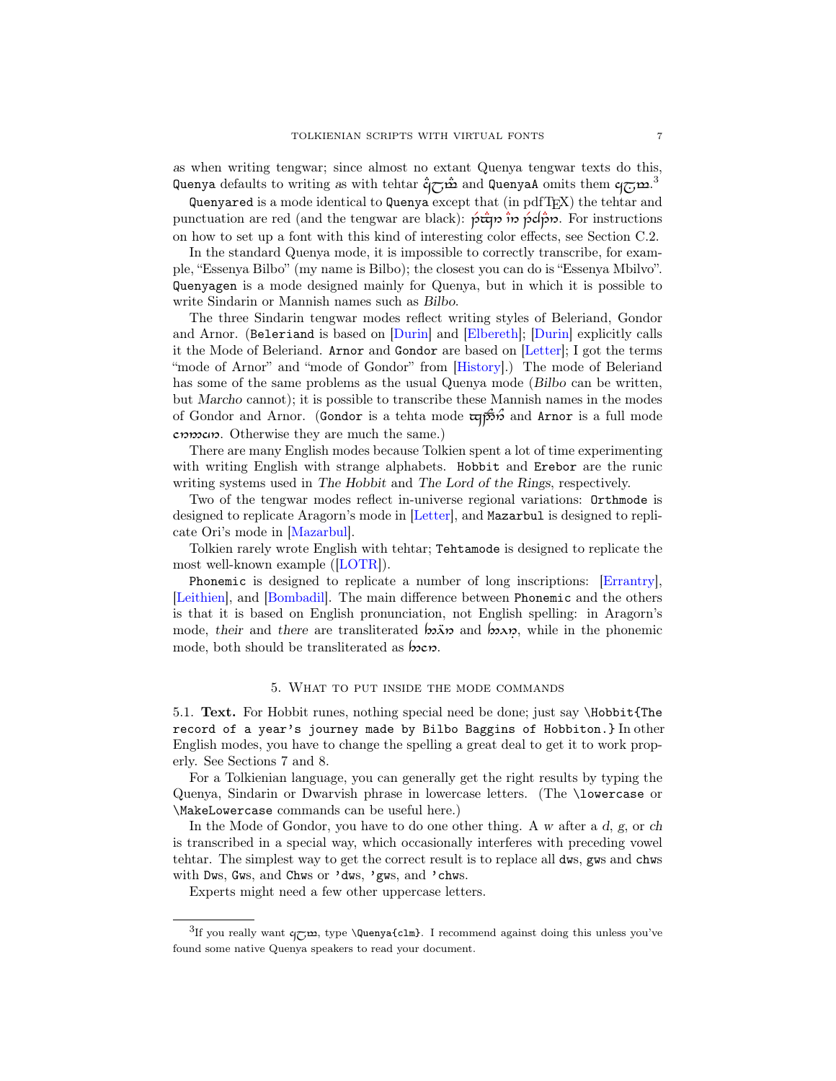as when writing tengwar; since almost no extant Quenya tengwar texts do this, Quenya defaults to writing as with tehtar  $\mathring{\mathsf{q}}$  and QuenyaA omits them  $\mathsf{q}_{\overline{\mathbb{C}}}\mathsf{m}$ .

Quenyared is a mode identical to Quenya except that (in pdfTEX) the tehtar and punctuation are red (and the tengwar are black):  $\rho \hat{\vec{r}}$   $\hat{\vec{r}}$  or  $\rho \hat{\vec{c}}$ . For instructions on how to set up a font with this kind of interesting color effects, see [Section C.2.](#page-24-0)

In the standard Quenya mode, it is impossible to correctly transcribe, for example, "Essenya Bilbo" (my name is Bilbo); the closest you can do is "Essenya Mbilvo". Quenyagen is a mode designed mainly for Quenya, but in which it is possible to write Sindarin or Mannish names such as Bilbo.

The three Sindarin tengwar modes reflect writing styles of Beleriand, Gondor and Arnor. (Beleriand is based on [\[Durin\]](#page-38-3) and [\[Elbereth\]](#page-38-4); [\[Durin\]](#page-38-3) explicitly calls it the Mode of Beleriand. Arnor and Gondor are based on [\[Letter\]](#page-37-2); I got the terms "mode of Arnor" and "mode of Gondor" from [\[History\]](#page-38-5).) The mode of Beleriand has some of the same problems as the usual Quenya mode (Bilbo can be written, but Marcho cannot); it is possible to transcribe these Mannish names in the modes of Gondor and Arnor. (Gondor is a tehta mode  $\overline{\mathfrak{c}}$   $\overline{\mathfrak{p}}$  and Arnor is a full mode cnmcn. Otherwise they are much the same.)

There are many English modes because Tolkien spent a lot of time experimenting with writing English with strange alphabets. Hobbit and Erebor are the runic writing systems used in The Hobbit and The Lord of the Rings, respectively.

Two of the tengwar modes reflect in-universe regional variations: Orthmode is designed to replicate Aragorn's mode in [\[Letter\]](#page-37-2), and Mazarbul is designed to replicate Ori's mode in [\[Mazarbul\]](#page-37-1).

Tolkien rarely wrote English with tehtar; Tehtamode is designed to replicate the most well-known example ([\[LOTR\]](#page-37-3)).

Phonemic is designed to replicate a number of long inscriptions: [\[Errantry\]](#page-37-4), [\[Leithien\]](#page-37-5), and [\[Bombadil\]](#page-37-6). The main difference between Phonemic and the others is that it is based on English pronunciation, not English spelling: in Aragorn's mode, their and there are transliterated  $\sin \pi$  and  $\sin \pi$ , while in the phonemic mode, both should be transliterated as  $b$ oco.

### 5. What to put inside the mode commands

<span id="page-6-1"></span><span id="page-6-0"></span>5.1. Text. For Hobbit runes, nothing special need be done; just say \Hobbit{The record of a year's journey made by Bilbo Baggins of Hobbiton.} In other English modes, you have to change the spelling a great deal to get it to work properly. See Sections [7](#page-10-0) and [8.](#page-12-0)

For a Tolkienian language, you can generally get the right results by typing the Quenya, Sindarin or Dwarvish phrase in lowercase letters. (The \lowercase or \MakeLowercase commands can be useful here.)

In the Mode of Gondor, you have to do one other thing. A w after a d, g, or ch is transcribed in a special way, which occasionally interferes with preceding vowel tehtar. The simplest way to get the correct result is to replace all dws, gws and chws with Dws, Gws, and Chws or 'dws, 'gws, and 'chws.

Experts might need a few other uppercase letters.

<span id="page-6-2"></span><sup>&</sup>lt;sup>3</sup>If you really want  $q_{\overline{C}}\mathbf{m}$ , type \Quenya{clm}. I recommend against doing this unless you've found some native Quenya speakers to read your document.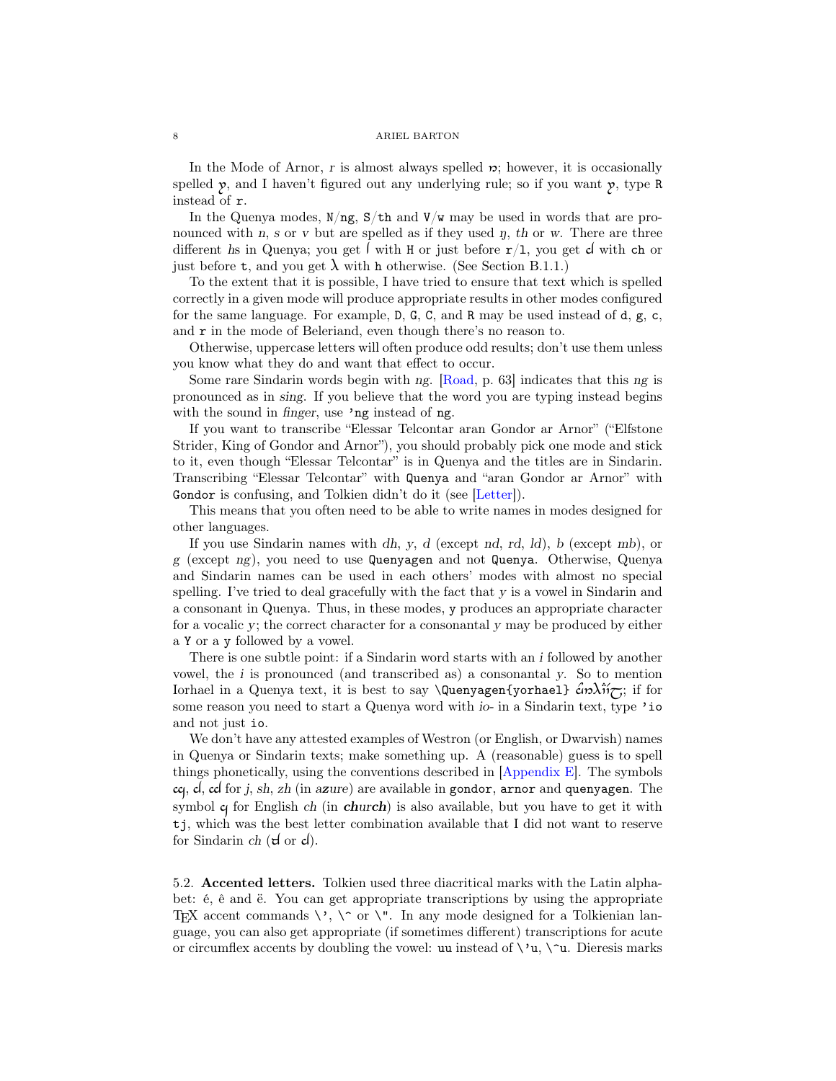In the Mode of Arnor, r is almost always spelled  $\mathcal{D}$ ; however, it is occasionally spelled  $\mathfrak{p}$ , and I haven't figured out any underlying rule; so if you want  $\mathfrak{p}$ , type R instead of r.

In the Quenya modes,  $N/ng$ ,  $S/\text{th}$  and  $V/w$  may be used in words that are pronounced with n, s or v but are spelled as if they used  $\eta$ , th or w. There are three different hs in Quenya; you get  $\int$  with H or just before  $r/1$ , you get d with ch or just before **t**, and you get  $\lambda$  with h otherwise. (See [Section B.1.1.](#page-18-2))

To the extent that it is possible, I have tried to ensure that text which is spelled correctly in a given mode will produce appropriate results in other modes configured for the same language. For example, D, G, C, and R may be used instead of d, g, c, and r in the mode of Beleriand, even though there's no reason to.

Otherwise, uppercase letters will often produce odd results; don't use them unless you know what they do and want that effect to occur.

Some rare Sindarin words begin with ng. [\[Road,](#page-38-6) p. 63] indicates that this ng is pronounced as in sing. If you believe that the word you are typing instead begins with the sound in *finger*, use 'ng instead of ng.

If you want to transcribe "Elessar Telcontar aran Gondor ar Arnor" ("Elfstone Strider, King of Gondor and Arnor"), you should probably pick one mode and stick to it, even though "Elessar Telcontar" is in Quenya and the titles are in Sindarin. Transcribing "Elessar Telcontar" with Quenya and "aran Gondor ar Arnor" with Gondor is confusing, and Tolkien didn't do it (see [\[Letter\]](#page-37-2)).

This means that you often need to be able to write names in modes designed for other languages.

If you use Sindarin names with dh, y, d (except nd, rd, ld), b (except mb), or g (except ng), you need to use Quenyagen and not Quenya. Otherwise, Quenya and Sindarin names can be used in each others' modes with almost no special spelling. I've tried to deal gracefully with the fact that y is a vowel in Sindarin and a consonant in Quenya. Thus, in these modes, y produces an appropriate character for a vocalic y; the correct character for a consonantal y may be produced by either a Y or a y followed by a vowel.

There is one subtle point: if a Sindarin word starts with an i followed by another vowel, the i is pronounced (and transcribed as) a consonantal y. So to mention Iorhael in a Quenya text, it is best to say  $\Q$ uenyagen{yorhael}  $\partial \tilde{\mathcal{U}}$ ; if for some reason you need to start a Quenya word with *io*- in a Sindarin text, type 'io and not just io.

We don't have any attested examples of Westron (or English, or Dwarvish) names in Quenya or Sindarin texts; make something up. A (reasonable) guess is to spell things phonetically, using the conventions described in [\[Appendix E\]](#page-38-0). The symbols  $\text{c}$ , d, cd for j, sh, zh (in azure) are available in gondor, arnor and quenyagen. The symbol  $\alpha$  for English ch (in church) is also available, but you have to get it with tj, which was the best letter combination available that I did not want to reserve for Sindarin ch  $(\forall d$  or  $\forall d$ ).

<span id="page-7-0"></span>5.2. Accented letters. Tolkien used three diacritical marks with the Latin alphabet: é, ê and ë. You can get appropriate transcriptions by using the appropriate T<sub>E</sub>X accent commands  $\setminus$ ,  $\setminus$  or  $\setminus$ ". In any mode designed for a Tolkienian language, you can also get appropriate (if sometimes different) transcriptions for acute or circumflex accents by doubling the vowel: uu instead of  $\forall u, \forall u$ . Dieresis marks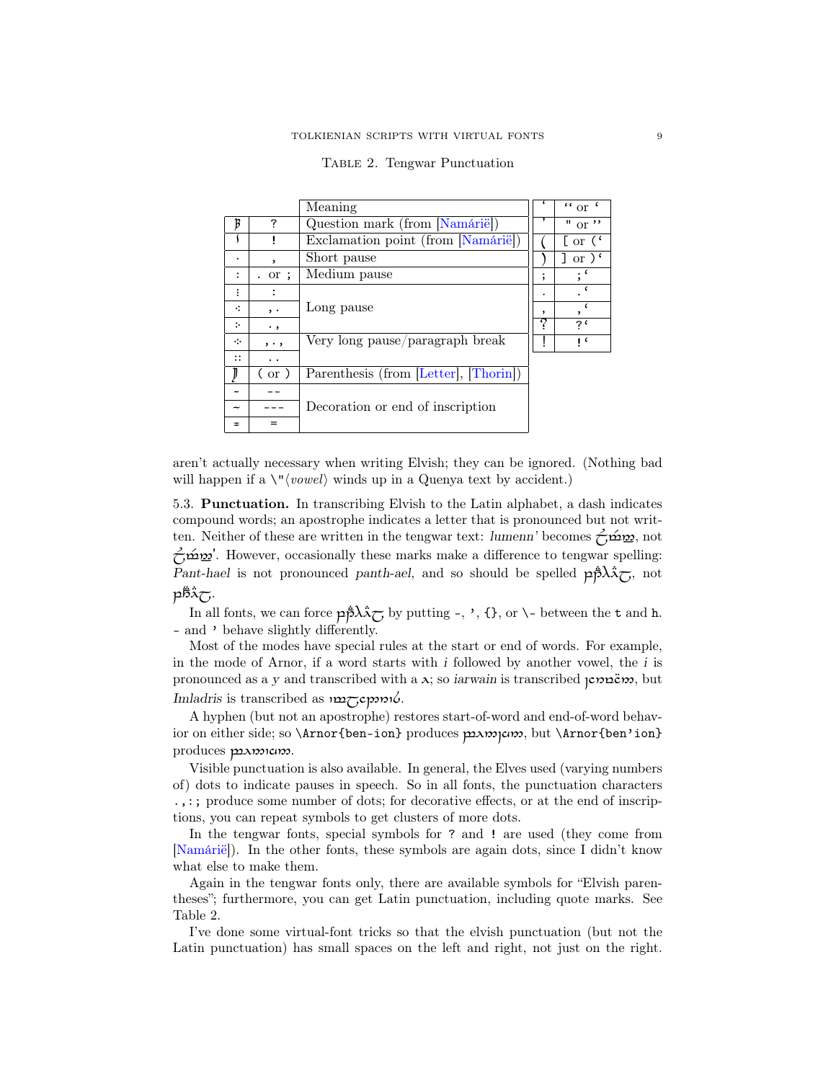|                |                   | Meaning                               |   | $\lq\lq$ or $\lq$                      |
|----------------|-------------------|---------------------------------------|---|----------------------------------------|
| B              | 7                 | Question mark (from [Namárië])        |   | $^{\prime\prime}$ or $^{\prime\prime}$ |
|                |                   | Exclamation point (from [Namárië])    |   | [ or $($                               |
| ۰              | $\cdot$           | Short pause                           |   | or $\sqrt{\epsilon}$                   |
| $\ddot{\cdot}$ | . or ;            | Medium pause                          | ۰ |                                        |
| $\vdots$       |                   |                                       |   |                                        |
| ÷              | $, \cdot$         | Long pause                            |   |                                        |
| ÷.             | ٠,                |                                       | 2 | ?'                                     |
| $\ddot{\cdot}$ | $, \, \cdot \,$ , | Very long pause/paragraph break       |   | ıι                                     |
| $\vdots$       | . .               |                                       |   |                                        |
|                | $($ or $)$        | Parenthesis (from [Letter], [Thorin]) |   |                                        |
|                |                   |                                       |   |                                        |
|                |                   | Decoration or end of inscription      |   |                                        |
| $\approx$      |                   |                                       |   |                                        |

<span id="page-8-1"></span>

|  | TABLE 2. Tengwar Punctuation |
|--|------------------------------|
|  |                              |

aren't actually necessary when writing Elvish; they can be ignored. (Nothing bad will happen if a  $\langle v \rangle$  winds up in a Quenya text by accident.)

<span id="page-8-0"></span>5.3. Punctuation. In transcribing Elvish to the Latin alphabet, a dash indicates compound words; an apostrophe indicates a letter that is pronounced but not written. Neither of these are written in the tengwar text: lumenn' becomes  $\overleftrightarrow{\mathbf{C}}$  to  $\mathbf{S}$ , not  $\sim$  " $\sim$  "however, occasionally these marks make a difference to tengwar spelling: Pant-hael is not pronounced panth-ael, and so should be spelled  $p\ddot{\beta}\lambda\ddot{\gamma}$ , not  $p\ddot{\delta}\tilde{\lambda}\tilde{C}$ 

In all fonts, we can force  $p\hat{p}\lambda\lambda\sigma$  by putting -, ', {}, or \- between the t and h. - and ' behave slightly differently.

Most of the modes have special rules at the start or end of words. For example, in the mode of Arnor, if a word starts with i followed by another vowel, the i is pronounced as a y and transcribed with a  $\lambda$ ; so *iarwain* is transcribed  $\gamma$ **but**<sub>0</sub>, but Imladris is transcribed as  $\eta$ 26pm16.

A hyphen (but not an apostrophe) restores start-of-word and end-of-word behavior on either side; so \Arnor{ben-ion} produces  $\mu\infty$ , but \Arnor{ben'ion} produces paronicips.

Visible punctuation is also available. In general, the Elves used (varying numbers of) dots to indicate pauses in speech. So in all fonts, the punctuation characters .,:; produce some number of dots; for decorative effects, or at the end of inscriptions, you can repeat symbols to get clusters of more dots.

In the tengwar fonts, special symbols for ? and ! are used (they come from [\[Namárië\]](#page-38-2)). In the other fonts, these symbols are again dots, since I didn't know what else to make them.

Again in the tengwar fonts only, there are available symbols for "Elvish parentheses"; furthermore, you can get Latin punctuation, including quote marks. See [Table 2.](#page-8-1)

I've done some virtual-font tricks so that the elvish punctuation (but not the Latin punctuation) has small spaces on the left and right, not just on the right.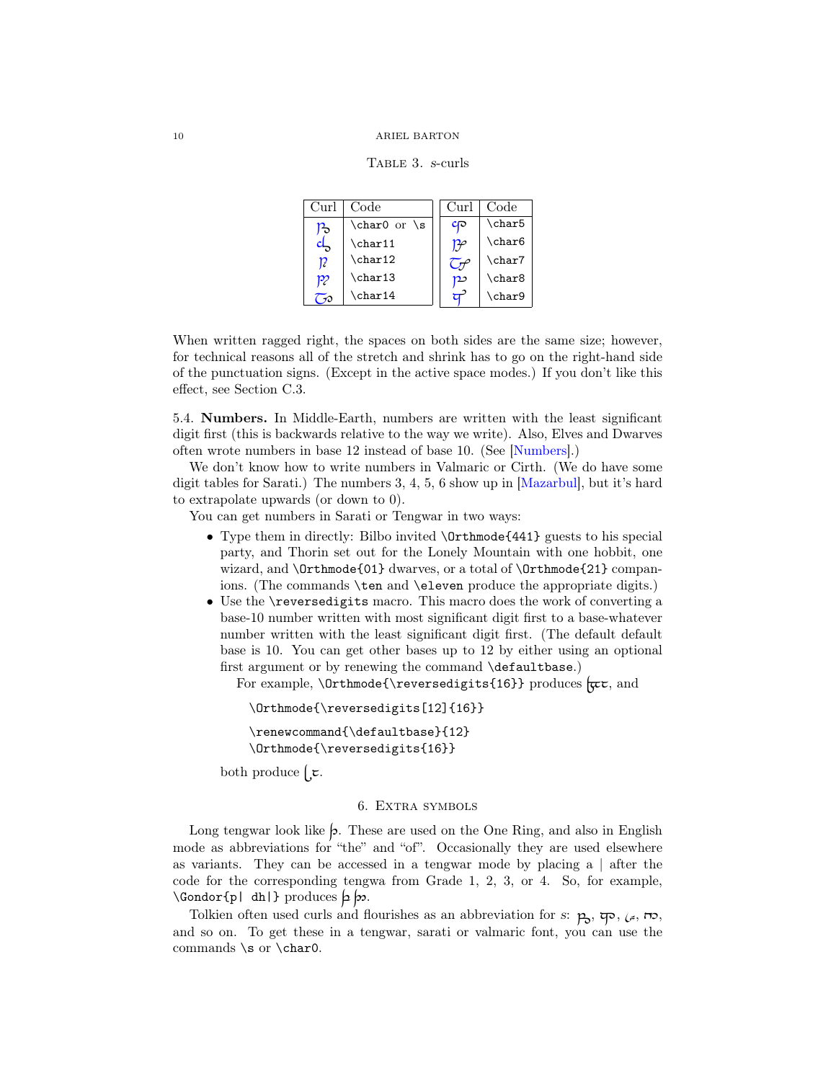<span id="page-9-2"></span>Table 3. s-curls

| Curl | Code               | Curl                         | Code               |
|------|--------------------|------------------------------|--------------------|
| p,   | \char0 or \s       | $c_{\mathsf{P}}$             | \char5             |
|      | $\char`$ char $11$ | $\bm{\mathcal{P}}\!\!\!\rho$ | \char6             |
| 12   | \char12            |                              | \char7             |
| P2   | \char13            | p٥                           | \char <sub>8</sub> |
|      | \char14            |                              | \char9             |

When written ragged right, the spaces on both sides are the same size; however, for technical reasons all of the stretch and shrink has to go on the right-hand side of the punctuation signs. (Except in the active space modes.) If you don't like this effect, see [Section C.3.](#page-25-0)

<span id="page-9-0"></span>5.4. Numbers. In Middle-Earth, numbers are written with the least significant digit first (this is backwards relative to the way we write). Also, Elves and Dwarves often wrote numbers in base 12 instead of base 10. (See [\[Numbers\]](#page-38-8).)

We don't know how to write numbers in Valmaric or Cirth. (We do have some digit tables for Sarati.) The numbers 3, 4, 5, 6 show up in [\[Mazarbul\]](#page-37-1), but it's hard to extrapolate upwards (or down to 0).

You can get numbers in Sarati or Tengwar in two ways:

- Type them in directly: Bilbo invited  $\Omega$  (141) guests to his special party, and Thorin set out for the Lonely Mountain with one hobbit, one wizard, and \Orthmode{01} dwarves, or a total of \Orthmode{21} companions. (The commands \ten and \eleven produce the appropriate digits.)
- Use the \reversedigits macro. This macro does the work of converting a base-10 number written with most significant digit first to a base-whatever number written with the least significant digit first. (The default default base is 10. You can get other bases up to 12 by either using an optional first argument or by renewing the command \defaultbase.)

For example,  $\Theta{\reversedigits{16}}$  produces  $\pi$ , and

```
\Orthmode{\reversedigits[12]{16}}
```

```
\renewcommand{\defaultbase}{12}
\Orthmode{\reversedigits{16}}
```
both produce  $\epsilon$ .

#### 6. Extra symbols

<span id="page-9-1"></span>Long tengwar look like  $\phi$ . These are used on the One Ring, and also in English mode as abbreviations for "the" and "of". Occasionally they are used elsewhere as variants. They can be accessed in a tengwar mode by placing a  $\vert$  after the code for the corresponding tengwa from Grade 1, 2, 3, or 4. So, for example,  $\forall$  Gondor{p| dh|} produces  $p \not\gg$ .

Tolkien often used curls and flourishes as an abbreviation for s:  $p_3$ ,  $\varphi$ ,  $\varphi$ ,  $\varpi$ , and so on. To get these in a tengwar, sarati or valmaric font, you can use the commands \s or \char0.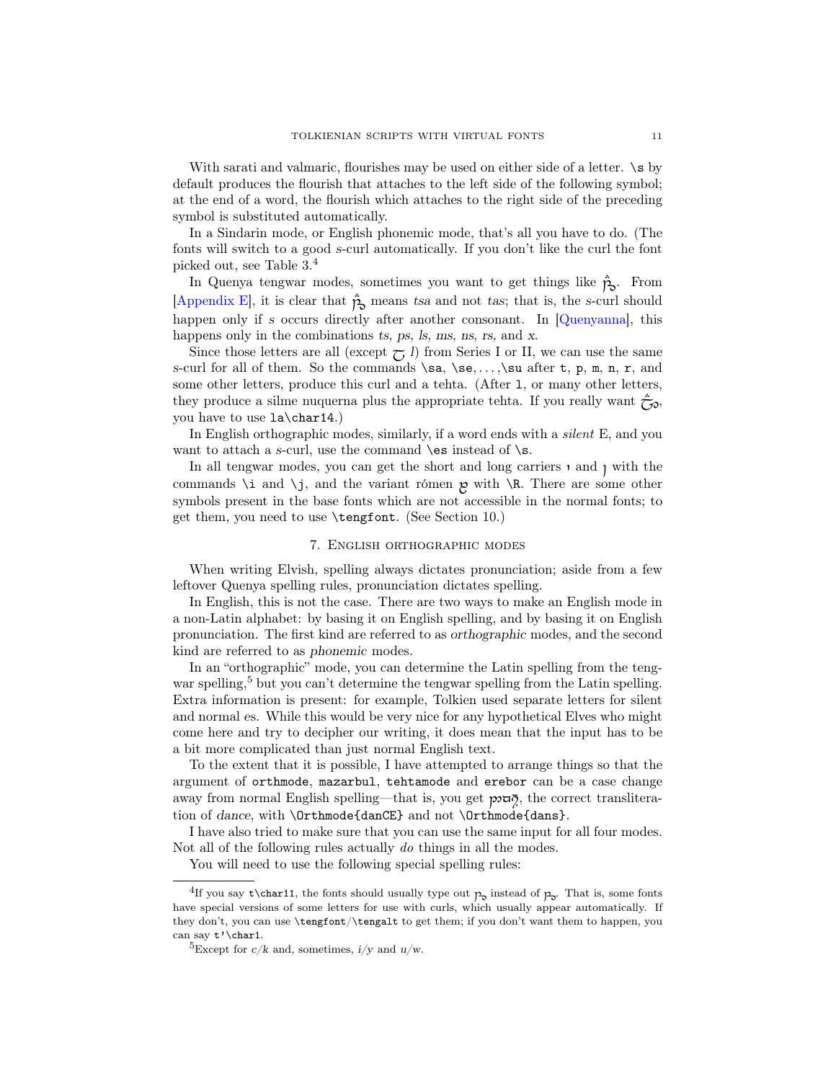With sarati and valmaric, flourishes may be used on either side of a letter.  $\succeq$  by default produces the flourish that attaches to the left side of the following symbol; at the end of a word, the flourish which attaches to the right side of the preceding symbol is substituted automatically.

In a Sindarin mode, or English phonemic mode, that's all you have to do. (The fonts will switch to a good s-curl automatically. If you don't like the curl the font picked out, see [Table 3.](#page-9-2) [4](#page-10-1)

In Quenya tengwar modes, sometimes you want to get things like  $\ddot{\mathbf{p}}_s$ . From [\[Appendix E\]](#page-38-0), it is clear that  $\hat{p}_{\alpha}$  means tsa and not tas; that is, the s-curl should happen only if s occurs directly after another consonant. In [\[Quenyanna\]](#page-38-9), this happens only in the combinations ts, ps, ls, ms, ns, rs, and x.

Since those letters are all (except  $\tau_l$ ) from Series I or II, we can use the same s-curl for all of them. So the commands  $\sa, \se, \ldots, \sa$  after t, p, m, n, r, and some other letters, produce this curl and a tehta. (After l, or many other letters, they produce a silme nuquerna plus the appropriate tehta. If you really want  $\tilde{\tau}_{\gamma}$ , you have to use la\char14.)

In English orthographic modes, similarly, if a word ends with a silent E, and you want to attach a s-curl, use the command  $\operatorname{\mathsf{cs}}$  instead of  $\operatorname{\mathsf{cs}}$ .

In all tengwar modes, you can get the short and long carriers  $\iota$  and  $\iota$  with the commands \i and \j, and the variant rómen  $p$  with \R. There are some other symbols present in the base fonts which are not accessible in the normal fonts; to get them, you need to use \tengfont. (See [Section 10.](#page-15-0))

# 7. English orthographic modes

<span id="page-10-0"></span>When writing Elvish, spelling always dictates pronunciation; aside from a few leftover Quenya spelling rules, pronunciation dictates spelling.

In English, this is not the case. There are two ways to make an English mode in a non-Latin alphabet: by basing it on English spelling, and by basing it on English pronunciation. The first kind are referred to as orthographic modes, and the second kind are referred to as phonemic modes.

In an "orthographic" mode, you can determine the Latin spelling from the teng-war spelling,<sup>[5](#page-10-2)</sup> but you can't determine the tengwar spelling from the Latin spelling. Extra information is present: for example, Tolkien used separate letters for silent and normal es. While this would be very nice for any hypothetical Elves who might come here and try to decipher our writing, it does mean that the input has to be a bit more complicated than just normal English text.

To the extent that it is possible, I have attempted to arrange things so that the argument of orthmode, mazarbul, tehtamode and erebor can be a case change away from normal English spelling—that is, you get  $\mathcal{P}$ , the correct transliteration of dance, with \Orthmode{danCE} and not \Orthmode{dans}.

I have also tried to make sure that you can use the same input for all four modes. Not all of the following rules actually do things in all the modes.

You will need to use the following special spelling rules:

<span id="page-10-1"></span><sup>&</sup>lt;sup>4</sup>If you say t\char11, the fonts should usually type out  $p<sub>o</sub>$  instead of  $p<sub>o</sub>$ . That is, some fonts have special versions of some letters for use with curls, which usually appear automatically. If they don't, you can use \tengfont/\tengalt to get them; if you don't want them to happen, you can say  $t'$  \char1.

<span id="page-10-2"></span> $^5$  Except for  $c/k$  and, sometimes,  $i/y$  and  $u/w$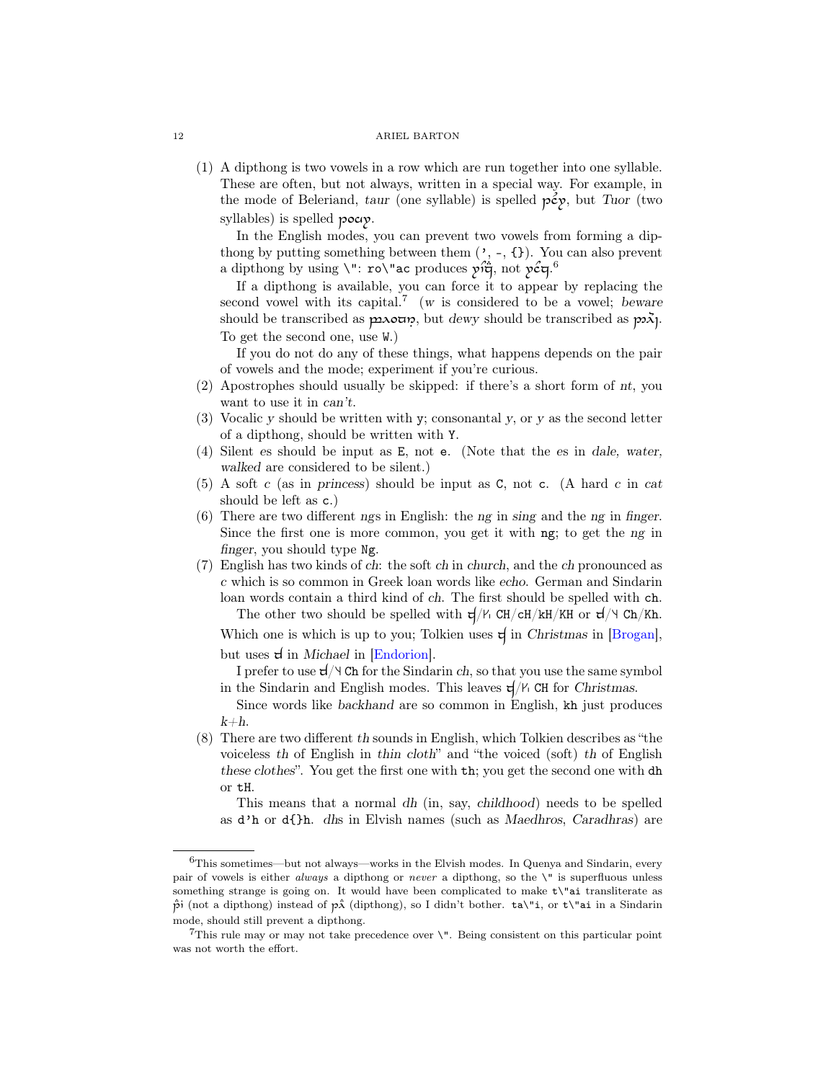(1) A dipthong is two vowels in a row which are run together into one syllable. These are often, but not always, written in a special way. For example, in the mode of Beleriand, taur (one syllable) is spelled  $p\hat{\epsilon}y$ , but Tuor (two syllables) is spelled pocip.

In the English modes, you can prevent two vowels from forming a dipthong by putting something between them  $(', -, \{\})$ . You can also prevent a dipthong by using  $\setminus$ ": ro $\setminus$ "ac produces  $p \hat{i} \ddot{\vec{q}}$ , not  $p \hat{c} \dot{q}$ .

If a dipthong is available, you can force it to appear by replacing the second vowel with its capital.<sup>[7](#page-11-1)</sup> (w is considered to be a vowel; beware should be transcribed as  $\mu\lambda_0$  but dewy should be transcribed as  $\mu\lambda_1$ . To get the second one, use W.)

If you do not do any of these things, what happens depends on the pair of vowels and the mode; experiment if you're curious.

- (2) Apostrophes should usually be skipped: if there's a short form of nt, you want to use it in can't.
- (3) Vocalic y should be written with y; consonantal y, or y as the second letter of a dipthong, should be written with Y.
- (4) Silent es should be input as E, not e. (Note that the es in dale, water, walked are considered to be silent.)
- (5) A soft c (as in princess) should be input as C, not c. (A hard c in cat should be left as c.)
- (6) There are two different ngs in English: the ng in sing and the ng in finger. Since the first one is more common, you get it with ng; to get the ng in finger, you should type Ng.
- (7) English has two kinds of ch: the soft ch in church, and the ch pronounced as c which is so common in Greek loan words like echo. German and Sindarin loan words contain a third kind of ch. The first should be spelled with ch. The other two should be spelled with  $\frac{d}{V}$  CH/cH/kH/KH or  $\frac{d}{v}$  Ch/Kh.

Which one is which is up to you; Tolkien uses  $\forall$  in Christmas in [\[Brogan\]](#page-37-7), but uses  $d$  in *Michael* in [\[Endorion\]](#page-37-8).

I prefer to use  $d/\forall$  Ch for the Sindarin ch, so that you use the same symbol in the Sindarin and English modes. This leaves  $\frac{d}{V}$  CH for Christmas.

Since words like backhand are so common in English, kh just produces  $k+h$ .

(8) There are two different th sounds in English, which Tolkien describes as "the voiceless th of English in thin cloth" and "the voiced (soft) th of English these clothes". You get the first one with th; you get the second one with dh or tH.

This means that a normal dh (in, say, childhood) needs to be spelled as d'h or d{}h. dhs in Elvish names (such as Maedhros, Caradhras) are

<span id="page-11-0"></span> ${}^{6}$ This sometimes—but not always—works in the Elvish modes. In Quenya and Sindarin, every pair of vowels is either *always* a dipthong or *never* a dipthong, so the  $\lq$  is superfluous unless something strange is going on. It would have been complicated to make t\"ai transliterate as  $\dot{\hat{p}}$  (not a dipthong) instead of  $\dot{p}\hat{x}$  (dipthong), so I didn't bother.  $\text{ta}\$ <sup>'</sup>i, or  $\text{t}\$ <sup>'</sup>ai in a Sindarin mode, should still prevent a dipthong.

<span id="page-11-1"></span><sup>&</sup>lt;sup>7</sup>This rule may or may not take precedence over  $\vee$ ". Being consistent on this particular point was not worth the effort.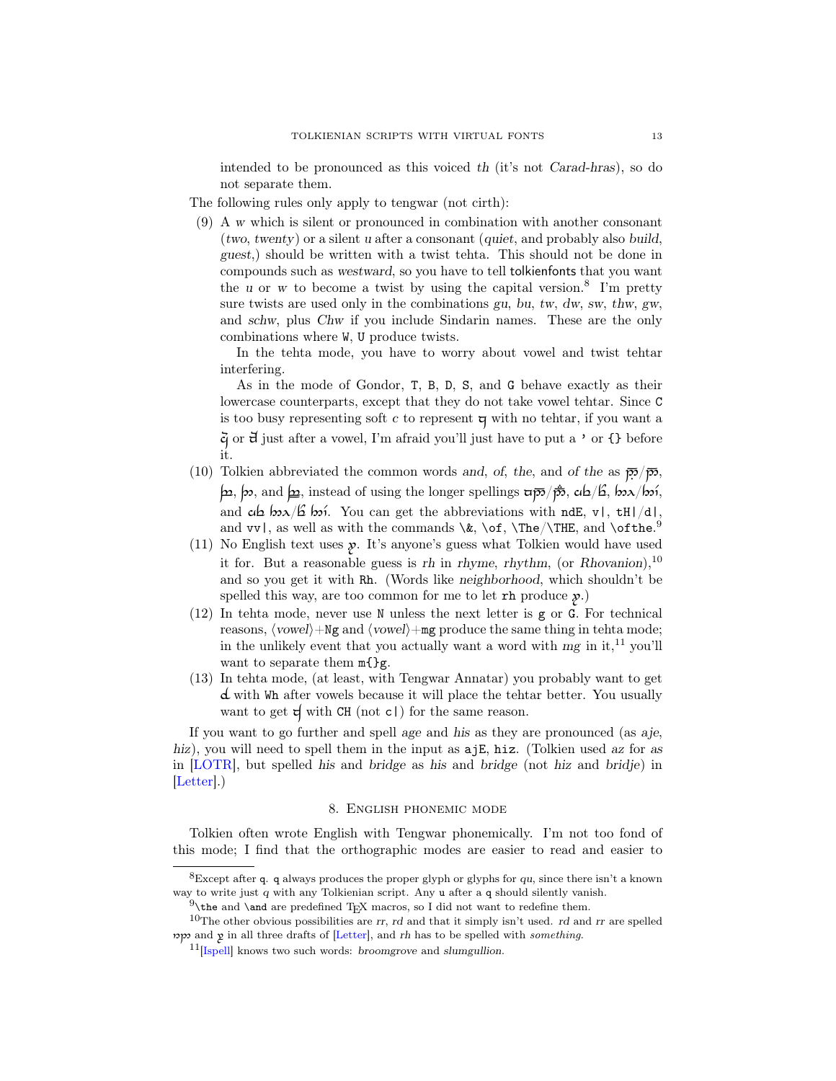intended to be pronounced as this voiced th (it's not Carad-hras), so do not separate them.

The following rules only apply to tengwar (not cirth):

(9) A w which is silent or pronounced in combination with another consonant (two, twenty) or a silent u after a consonant (quiet, and probably also build, guest,) should be written with a twist tehta. This should not be done in compounds such as westward, so you have to tell tolkienfonts that you want the u or w to become a twist by using the capital version.<sup>[8](#page-12-1)</sup> I'm pretty sure twists are used only in the combinations gu, bu, tw, dw, sw, thw, gw, and schw, plus Chw if you include Sindarin names. These are the only combinations where W, U produce twists.

In the tehta mode, you have to worry about vowel and twist tehtar interfering.

As in the mode of Gondor, T, B, D, S, and G behave exactly as their lowercase counterparts, except that they do not take vowel tehtar. Since C is too busy representing soft  $c$  to represent  $\boldsymbol{\mathsf{q}}$  with no tehtar, if you want a  $\ddot{\mathcal{G}}$  or  $\ddot{\mathcal{G}}$  just after a vowel, I'm afraid you'll just have to put a ' or {} before it.

- (10) Tolkien abbreviated the common words and, of, the, and of the as  $\overline{p}$  $\overline{p}$ ,  $\ket{\mathbf{p}}$ ,  $\ket{\mathbf{p}}$ , and  $\ket{\mathbf{p}}$ , instead of using the longer spellings  $\ket{\mathbf{z}}$ ,  $\ket{\mathbf{z}}$ ,  $\ket{\mathbf{z}}$ ,  $\ket{\mathbf{z}}$ ,  $\ket{\mathbf{z}}$ ,  $\ket{\mathbf{z}}$ ,  $\ket{\mathbf{z}}$ ,  $\ket{\mathbf{z}}$ ,  $\ket{\mathbf{z}}$ ,  $\ket{\mathbf{z}}$ ,  $\ket{\mathbf{z}}$ ,  $\ket{\mathbf{z}}$ , and  $\alpha \alpha$   $\beta$   $\beta \gamma$ . You can get the abbreviations with ndE, v|, tH|/d|, and  $vv$  , as well as with the commands  $\&$ ,  $\of$ ,  $\The/\THE$ , and  $\of$
- (11) No English text uses  $\mathbf{\hat{y}}$ . It's anyone's guess what Tolkien would have used it for. But a reasonable guess is rh in rhyme, rhythm, (or Rhovanion),  $10$ and so you get it with Rh. (Words like neighborhood, which shouldn't be spelled this way, are too common for me to let  $\mathbf{r}$  produce  $\mathbf{\mathbf{\hat{y}}}$ .
- (12) In tehta mode, never use N unless the next letter is g or G. For technical reasons,  $\langle vowel\rangle + Ng$  and  $\langle vowel\rangle + mg$  produce the same thing in tehta mode; in the unlikely event that you actually want a word with  $mg$  in it,<sup>[11](#page-12-4)</sup> you'll want to separate them  $m$ {}g.
- (13) In tehta mode, (at least, with Tengwar Annatar) you probably want to get  $d$  with Wh after vowels because it will place the tehtar better. You usually want to get  $\sharp$  with CH (not c) for the same reason.

If you want to go further and spell age and his as they are pronounced (as aje, hiz), you will need to spell them in the input as  $a\bar{a}E$ , hiz. (Tolkien used az for as in [\[LOTR\]](#page-37-3), but spelled his and bridge as his and bridge (not hiz and bridje) in [\[Letter\]](#page-37-2).)

#### 8. English phonemic mode

<span id="page-12-0"></span>Tolkien often wrote English with Tengwar phonemically. I'm not too fond of this mode; I find that the orthographic modes are easier to read and easier to

<span id="page-12-1"></span> ${}^{8}$ Except after q. q always produces the proper glyph or glyphs for qu, since there isn't a known way to write just q with any Tolkienian script. Any u after a q should silently vanish.

<span id="page-12-3"></span><span id="page-12-2"></span> $9\theta$  the and \and are predefined TEX macros, so I did not want to redefine them.

<sup>&</sup>lt;sup>10</sup>The other obvious possibilities are  $rr$ ,  $rd$  and that it simply isn't used.  $rd$  and  $rr$  are spelled pp and  $\gamma$  in all three drafts of [\[Letter\]](#page-37-2), and rh has to be spelled with something.

<span id="page-12-4"></span> $11$ [\[Ispell\]](#page-38-10) knows two such words: broomgrove and slumgullion.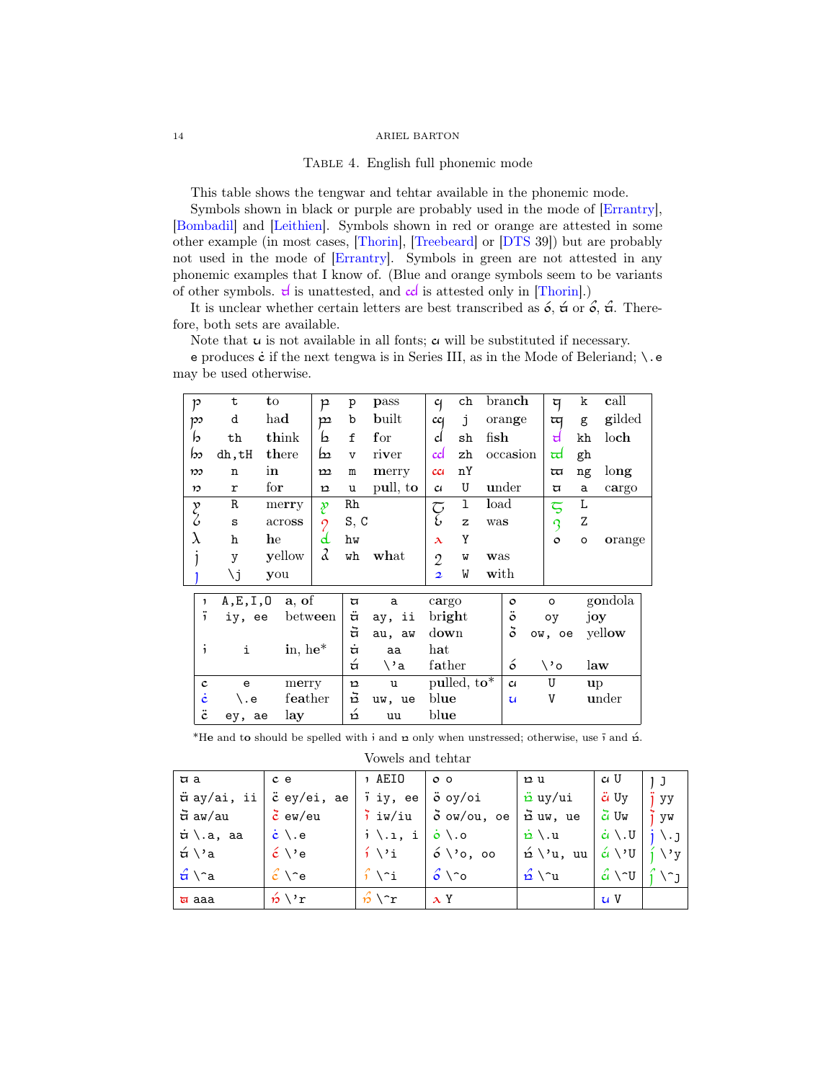<span id="page-13-0"></span>TABLE 4. English full phonemic mode

This table shows the tengwar and tehtar available in the phonemic mode.

Symbols shown in black or purple are probably used in the mode of [\[Errantry\]](#page-37-4), [\[Bombadil\]](#page-37-6) and [\[Leithien\]](#page-37-5). Symbols shown in red or orange are attested in some other example (in most cases, [\[Thorin\]](#page-38-7), [\[Treebeard\]](#page-38-11) or [\[DTS](#page-37-0) 39]) but are probably not used in the mode of [\[Errantry\]](#page-37-4). Symbols in green are not attested in any phonemic examples that I know of. (Blue and orange symbols seem to be variants of other symbols.  $\mathbf{d}$  is unattested, and  $\mathbf{c} \mathbf{d}$  is attested only in [\[Thorin\]](#page-38-7).)

It is unclear whether certain letters are best transcribed as  $\acute{o}$ ,  $\acute{a}$  or  $\acute{o}$ ,  $\acute{a}$ . Therefore, both sets are available.

Note that  $u$  is not available in all fonts;  $\alpha$  will be substituted if necessary.

e produces  $\dot{\mathbf{c}}$  if the next tengwa is in Series III, as in the Mode of Beleriand;  $\setminus$ .e may be used otherwise.

| p                           | t          | to            |            | $\mathsf{P}$             | p              | pass        | $\mathfrak{c}_1$ | ch                      |      | branch         | দ                      | k            | call    |
|-----------------------------|------------|---------------|------------|--------------------------|----------------|-------------|------------------|-------------------------|------|----------------|------------------------|--------------|---------|
| $\mathcal{P}^{\mathcal{P}}$ | d          | had           |            | $\mathbf{p}$             | b              | built       | cc <sub>1</sub>  | j                       |      | orange         | অ                      | g            | gilded  |
| b                           | th         |               | think      | b                        | $f_{\rm}$      | for         | d                | sh                      | fish |                | d                      | kh           | loch    |
| bs                          | dh,tH      |               | there      | b                        | $\overline{V}$ | river       | ccl              | zh                      |      | occasion       | ਜ਼                     | gh           |         |
| $\mathcal{D}$               | n          | in            |            | $\mathbf{m}$             | $\mathbf m$    | merry       | cc <sub>i</sub>  | nY                      |      |                | অ                      | ng           | long    |
| $\boldsymbol{v}$            | r          | $f_{\rm O}$ r |            | $\mathbf{p}$             | u              | pull, to    | $\alpha$         | U                       |      | under          | ্য                     | a            | cargo   |
|                             | R          |               | merry      | p                        | Rh             |             | م<br>ج           | 1                       | load |                | $\overline{\varsigma}$ | L            |         |
| y<br>S                      | S          |               | across     | $\overline{\mathcal{C}}$ | S, C           |             |                  | $\mathbf{z}$            | was  |                | 3                      | Z            |         |
| λ                           | h          | he            |            | d                        | hw             |             | $\lambda$        | Y                       |      |                | $\circ$                | $\circ$      | orange  |
|                             | y          |               | yellow     | a                        | wh             | what        | $\overline{2}$   | W                       | was  |                |                        |              |         |
|                             | ۱j         | you           |            |                          |                |             | $\overline{2}$   | W                       | with |                |                        |              |         |
| $\mathbf{1}$                | A, E, I, 0 |               | a, of      |                          | A              | a           | cargo            |                         |      | $\circ$        | $\circ$                |              | gondola |
| <br>$\mathbf{1}$            | iy, ee     |               | between    |                          | ä              | ii<br>ay,   | bright           |                         |      | $\ddot{\circ}$ | oy                     | joy          |         |
|                             |            |               |            |                          | ਰੋ             | au, aw      | down             |                         |      | $\delta$       | ow,<br>oe              |              | yellow  |
| $\mathbf{1}$                | i          |               | in, he $*$ |                          | $\dot{a}$      | aa          | hat              |                         |      |                |                        |              |         |
|                             |            |               |            |                          | á              | \'a         | father           |                         |      | ó              | \'o                    |              | law     |
| $\mathbf c$                 | e          |               | merry      |                          | $\mathbf{p}$   | $\mathbf u$ |                  | pulled, $\mathbf{to}^*$ |      | $\alpha$       | U                      | $\mathbf{u}$ |         |
| ċ                           | \.e        |               | feather    |                          | ă              | uw, ue      | blue             |                         |      | $\mathbf u$    | V                      |              | under   |
| $\ddot{c}$                  | ey, ae     |               | lay        |                          | $\dot{p}$      | uu          | blue             |                         |      |                |                        |              |         |
|                             |            |               |            |                          |                |             |                  |                         |      |                |                        |              |         |

\*He and to should be spelled with i and  $\alpha$  only when unstressed; otherwise, use i and  $\acute{\alpha}$ .

| Vowels and tehtar |
|-------------------|
|-------------------|

| $\pi$ a                               | c e                                                                            | າ AEIO              | $\circ$ $\circ$                             | n u                                                                                                   | ci U                        |    |
|---------------------------------------|--------------------------------------------------------------------------------|---------------------|---------------------------------------------|-------------------------------------------------------------------------------------------------------|-----------------------------|----|
|                                       | $\stackrel{}{\mathtt{w}}$ ay/ai, ii $\mid$ $\stackrel{}{\mathtt{c}}$ ey/ei, ae | i iy, ee            | ∣ö oy∕oi                                    | ື່¤y/ui                                                                                               | $\ddot{c}$ Uy               | yy |
| ਰੋ aw/au                              | $\zeta$ ew/eu                                                                  |                     | $\frac{1}{2}$ iw/iu $\frac{1}{2}$ ow/ou, oe | nd uw, ue                                                                                             | $\vec{c}$ Uw                | yw |
| , <del>u</del> ∖.a, aa                | $\dot{c} \setminus .e$                                                         | $j \setminus 1$ , i | $\int$ $\dot{\mathbf{o}}$ $\setminus$ .0    | $\dot{p} \setminus u$                                                                                 | $\dot{a} \setminus \dot{u}$ |    |
| $\n  α \vee α\n$                      | $\acute{\epsilon}$ \'e                                                         | $j \backslash i$    | $  \circ \backslash$ 'o, oo                 | $\hat{\alpha} \setminus \alpha$ , uu $\hat{\alpha} \setminus \alpha$   $\hat{\beta} \setminus \alpha$ |                             |    |
| $\hat{\sigma} \setminus \hat{\sigma}$ | $\hat{c} \setminus e$                                                          | $\int \int$         | $6 \wedge c$                                | $\hat{p} \setminus u$                                                                                 | $\hat{c}$ \ $\gamma$ U      |    |
| $\overline{u}$ aaa                    | $\hat{p} \setminus r$                                                          | $\mathcal{L}$       | $\lambda$ Y                                 |                                                                                                       | U <sub>V</sub>              |    |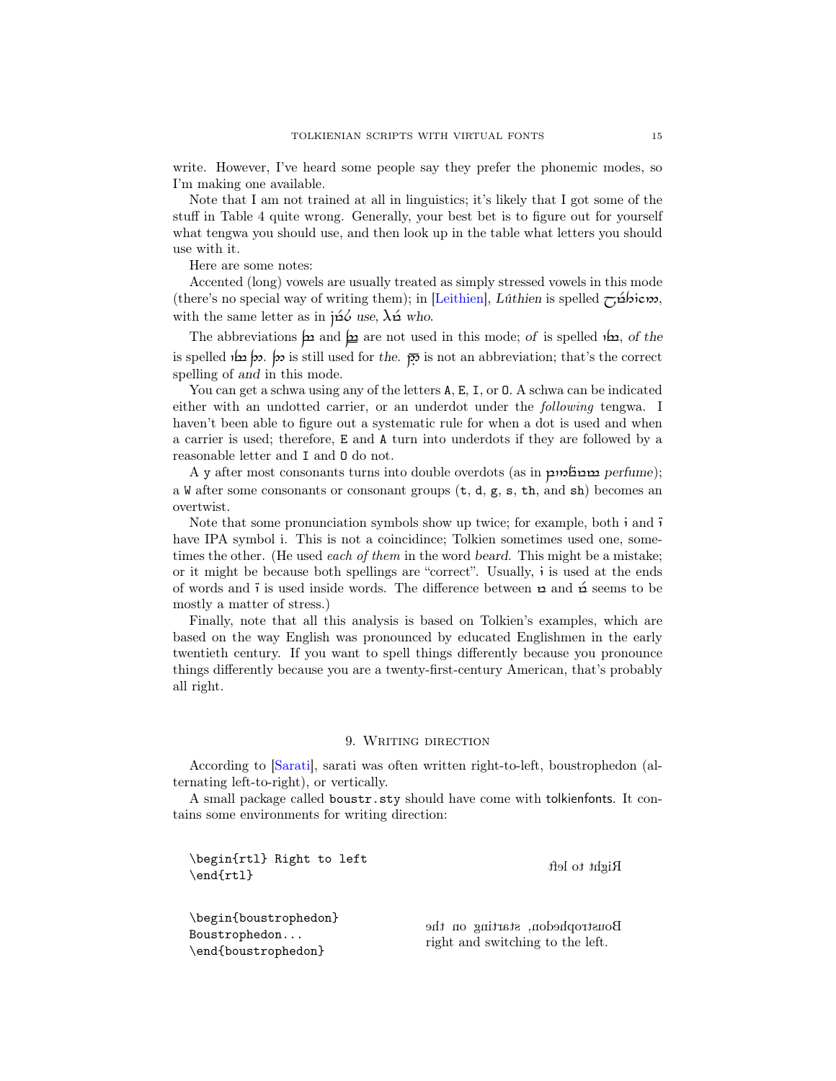write. However, I've heard some people say they prefer the phonemic modes, so I'm making one available.

Note that I am not trained at all in linguistics; it's likely that I got some of the stuff in [Table 4](#page-13-0) quite wrong. Generally, your best bet is to figure out for yourself what tengwa you should use, and then look up in the table what letters you should use with it.

Here are some notes:

Accented (long) vowels are usually treated as simply stressed vowels in this mode (there's no special way of writing them); in [\[Leithien\]](#page-37-5), Lúthien is spelled  $\tau$ ;  $\Delta b$ icm, with the same letter as in  $\tilde{p}\tilde{\omega}$  use,  $\lambda \tilde{\omega}$  who.

The abbreviations  $\mu$  and  $\mu$  are not used in this mode; of is spelled  $\mu$ , of the is spelled  $\infty$  or  $\infty$  is still used for the.  $\overline{p}$  is not an abbreviation; that's the correct spelling of and in this mode.

You can get a schwa using any of the letters  $A$ ,  $E$ ,  $I$ , or  $O$ . A schwa can be indicated either with an undotted carrier, or an underdot under the following tengwa. I haven't been able to figure out a systematic rule for when a dot is used and when a carrier is used; therefore, E and A turn into underdots if they are followed by a reasonable letter and I and O do not.

A y after most consonants turns into double overdots (as in  $p$ m $\beta p$ erfume); a W after some consonants or consonant groups  $(t, d, g, s, th, and sh)$  becomes an overtwist.

Note that some pronunciation symbols show up twice; for example, both  $\mathbf{i}$  and  $\mathbf{\ddot{i}}$ have IPA symbol i. This is not a coincidince; Tolkien sometimes used one, sometimes the other. (He used *each of them* in the word *beard*. This might be a mistake; or it might be because both spellings are "correct". Usually,  $\mathbf{i}$  is used at the ends of words and  $\ddot{\textbf{i}}$  is used inside words. The difference between  $\textbf{r}$  and  $\dot{\textbf{r}}$  seems to be mostly a matter of stress.)

Finally, note that all this analysis is based on Tolkien's examples, which are based on the way English was pronounced by educated Englishmen in the early twentieth century. If you want to spell things differently because you pronounce things differently because you are a twenty-first-century American, that's probably all right.

## 9. Writing direction

<span id="page-14-0"></span>According to [\[Sarati\]](#page-38-12), sarati was often written right-to-left, boustrophedon (alternating left-to-right), or vertically.

A small package called boustr.sty should have come with tolkienfonts. It contains some environments for writing direction:

\begin{rtl} Right to left \end{rtl} Right to left the set of the set of the set of the set of the set of the set of the set of the set of the set of the set of the set of the set of the set of the set of the set of the set of the set of the set of \begin{boustrophedon} Boustrophedon... \end{boustrophedon} Boustrophedon, starting on the right and switching to the left.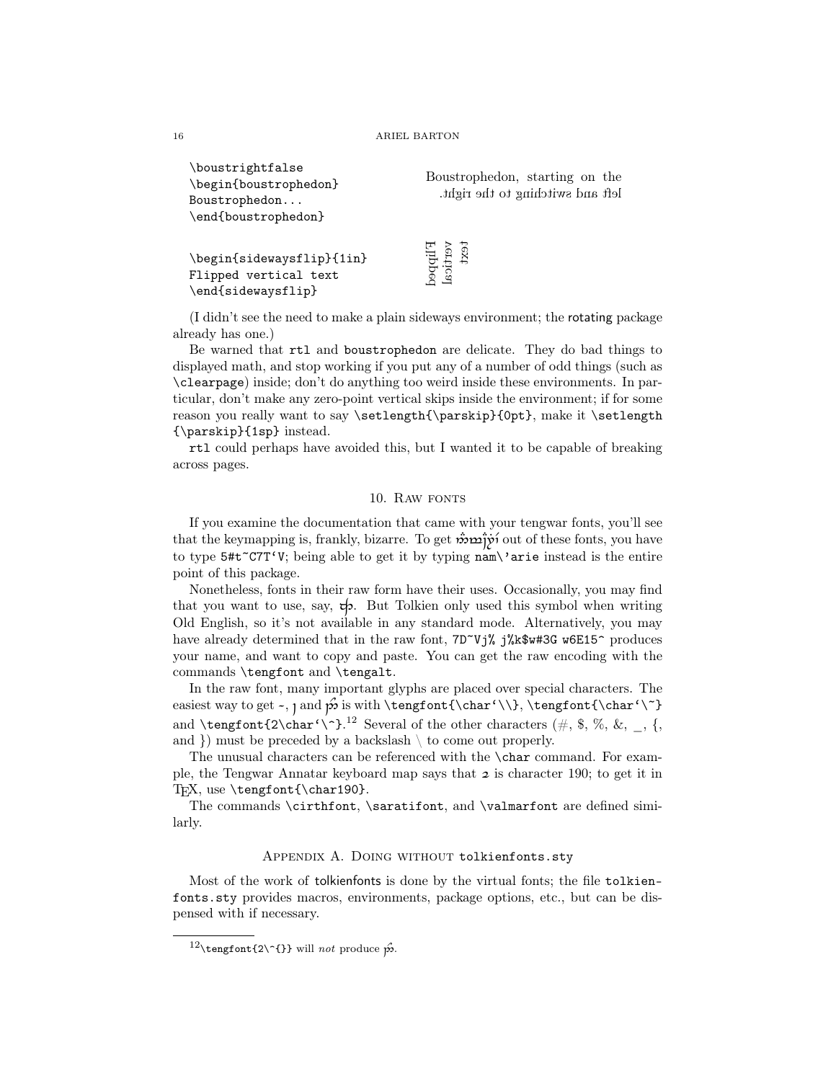| \boustrightfaise<br>\begin{boustrophedon}<br>Boustrophedon<br>\end{boustrophedon} | Boustrophedon, starting on the<br>left and switching to the right. |
|-----------------------------------------------------------------------------------|--------------------------------------------------------------------|
| \begin{sidewaysflip}{1in}<br>Flipped vertical text<br>\end{sidewaysflip}          | Firbbeq<br>Vertical<br>text                                        |

(I didn't see the need to make a plain sideways environment; the rotating package already has one.)

Be warned that rtl and boustrophedon are delicate. They do bad things to displayed math, and stop working if you put any of a number of odd things (such as \clearpage) inside; don't do anything too weird inside these environments. In particular, don't make any zero-point vertical skips inside the environment; if for some reason you really want to say \setlength{\parskip}{0pt}, make it \setlength {\parskip}{1sp} instead.

rtl could perhaps have avoided this, but I wanted it to be capable of breaking across pages.

### 10. RAW FONTS

<span id="page-15-0"></span>If you examine the documentation that came with your tengwar fonts, you'll see that the keymapping is, frankly, bizarre. To get  $\mathbf{\dot{m}}$   $\mathbf{\dot{m}}$  out of these fonts, you have to type 5#t~C7T'V; being able to get it by typing nam\'arie instead is the entire point of this package.

Nonetheless, fonts in their raw form have their uses. Occasionally, you may find that you want to use, say,  $\phi$ . But Tolkien only used this symbol when writing Old English, so it's not available in any standard mode. Alternatively, you may have already determined that in the raw font, 7D~Vj% j%k\$w#3G w6E15^ produces your name, and want to copy and paste. You can get the raw encoding with the commands \tengfont and \tengalt.

In the raw font, many important glyphs are placed over special characters. The easiest way to get \, ~ and 2^is with \tengfont{\char'\\}, \tengfont{\char'\~} and **\tengfont{2\char'\^}**.<sup>[12](#page-15-2)</sup> Several of the other characters (#, \$, %, &, \_, {, and  $\}$  must be preceded by a backslash  $\setminus$  to come out properly.

The unusual characters can be referenced with the \char command. For example, the Tengwar Annatar keyboard map says that  $\boldsymbol{\varepsilon}$  is character 190; to get it in T<sub>E</sub>X, use  $\text{cont}\cdot190$ .

The commands \cirthfont, \saratifont, and \valmarfont are defined similarly.

#### APPENDIX A. DOING WITHOUT tolkienfonts.sty

<span id="page-15-1"></span>Most of the work of tolkienfonts is done by the virtual fonts; the file tolkienfonts.sty provides macros, environments, package options, etc., but can be dispensed with if necessary.

 $\lambda_1$   $\lambda_2$   $\lambda_3$   $\lambda_4$   $\lambda_5$   $\lambda_7$   $\lambda_8$   $\lambda_9$ 

<span id="page-15-2"></span> $12\text{time}$  12\tengfont{2\^{}} will not produce  $\hat{p}$ .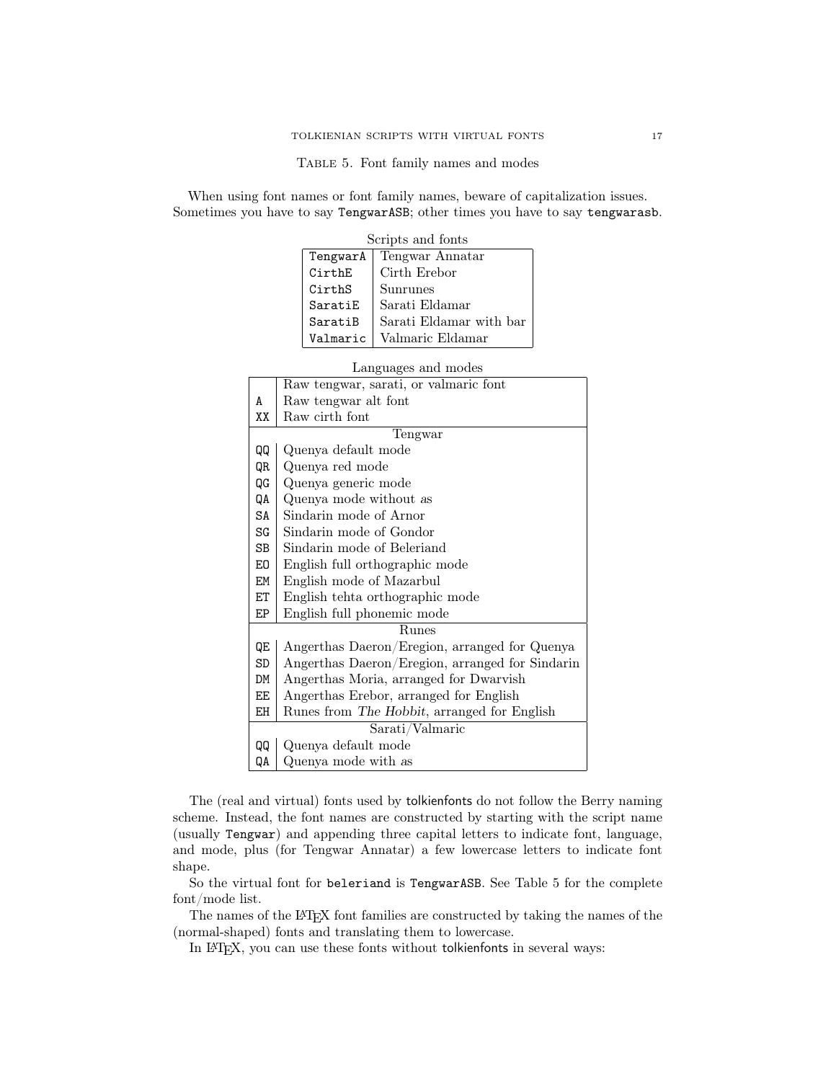<span id="page-16-0"></span>Table 5. Font family names and modes

When using font names or font family names, beware of capitalization issues. Sometimes you have to say TengwarASB; other times you have to say tengwarasb.

| Scripts and fonts |                         |  |  |  |  |  |  |  |  |
|-------------------|-------------------------|--|--|--|--|--|--|--|--|
| TengwarA          | Tengwar Annatar         |  |  |  |  |  |  |  |  |
| CirthE            | Cirth Erebor            |  |  |  |  |  |  |  |  |
| CirthS            | Sunrunes                |  |  |  |  |  |  |  |  |
| SaratiE           | Sarati Eldamar          |  |  |  |  |  |  |  |  |
| SaratiB           | Sarati Eldamar with bar |  |  |  |  |  |  |  |  |
| Valmaric          | Valmaric Eldamar        |  |  |  |  |  |  |  |  |

|                | Languages and modes                             |  |  |  |  |  |  |  |
|----------------|-------------------------------------------------|--|--|--|--|--|--|--|
|                | Raw tengwar, sarati, or valmaric font           |  |  |  |  |  |  |  |
| A              | Raw tengwar alt font                            |  |  |  |  |  |  |  |
| XX             | Raw cirth font                                  |  |  |  |  |  |  |  |
|                | Tengwar                                         |  |  |  |  |  |  |  |
| QQ             | Quenya default mode                             |  |  |  |  |  |  |  |
| QR             | Quenya red mode                                 |  |  |  |  |  |  |  |
| QG             | Quenya generic mode                             |  |  |  |  |  |  |  |
| QA             | Quenya mode without as                          |  |  |  |  |  |  |  |
| SA             | Sindarin mode of Arnor                          |  |  |  |  |  |  |  |
| SG             | Sindarin mode of Gondor                         |  |  |  |  |  |  |  |
| <b>SB</b>      | Sindarin mode of Beleriand                      |  |  |  |  |  |  |  |
| E <sub>0</sub> | English full orthographic mode                  |  |  |  |  |  |  |  |
| EM             | English mode of Mazarbul                        |  |  |  |  |  |  |  |
| ET             | English tehta orthographic mode                 |  |  |  |  |  |  |  |
| EP             | English full phonemic mode                      |  |  |  |  |  |  |  |
|                | <b>Runes</b>                                    |  |  |  |  |  |  |  |
| QE             | Angerthas Daeron/Eregion, arranged for Quenya   |  |  |  |  |  |  |  |
| <b>SD</b>      | Angerthas Daeron/Eregion, arranged for Sindarin |  |  |  |  |  |  |  |
| DM             | Angerthas Moria, arranged for Dwarvish          |  |  |  |  |  |  |  |
| <b>EE</b>      | Angerthas Erebor, arranged for English          |  |  |  |  |  |  |  |
| EH             | Runes from The Hobbit, arranged for English     |  |  |  |  |  |  |  |
|                | Sarati/Valmaric                                 |  |  |  |  |  |  |  |
| QQ             | Quenya default mode                             |  |  |  |  |  |  |  |
| QΑ             | Quenya mode with as                             |  |  |  |  |  |  |  |

The (real and virtual) fonts used by tolkienfonts do not follow the Berry naming scheme. Instead, the font names are constructed by starting with the script name (usually Tengwar) and appending three capital letters to indicate font, language, and mode, plus (for Tengwar Annatar) a few lowercase letters to indicate font shape.

So the virtual font for beleriand is TengwarASB. See [Table 5](#page-16-0) for the complete font/mode list.

The names of the IATEX font families are constructed by taking the names of the (normal-shaped) fonts and translating them to lowercase.

In LATEX, you can use these fonts without tolkienfonts in several ways: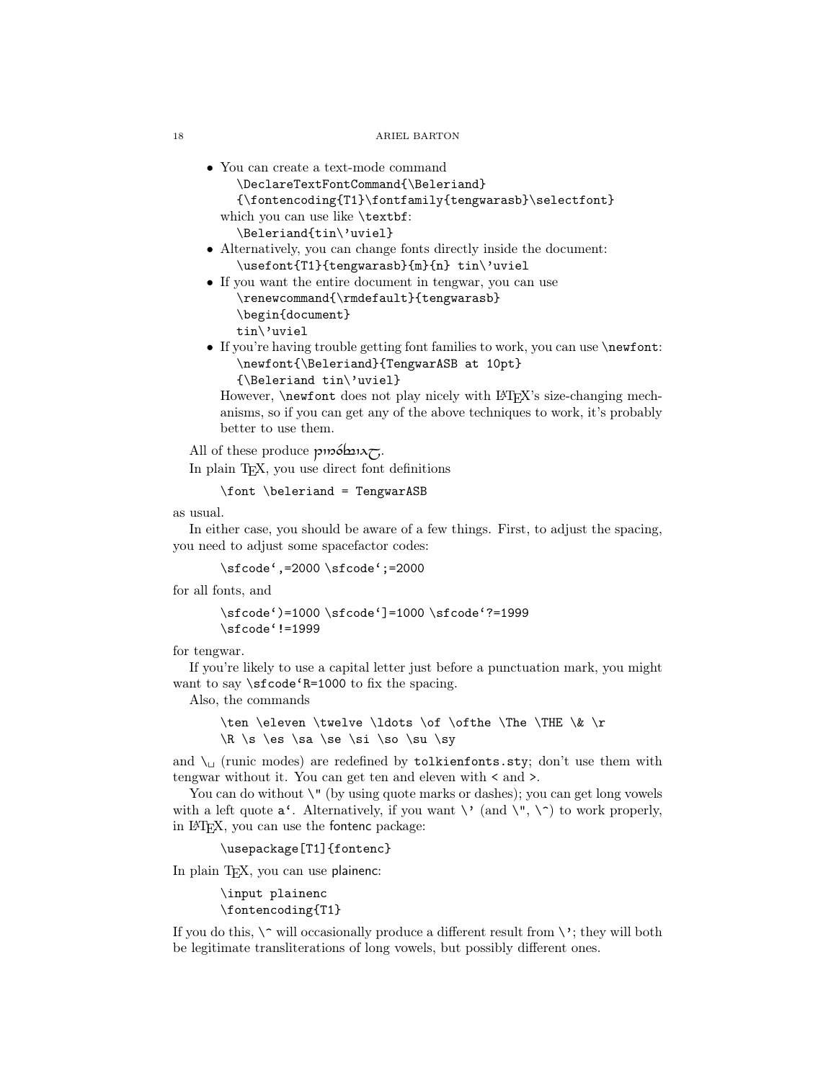- You can create a text-mode command
	- \DeclareTextFontCommand{\Beleriand}

```
{\fontencoding{T1}\fontfamily{tengwarasb}\selectfont}
```
which you can use like \textbf:

\Beleriand{tin\'uviel}

- Alternatively, you can change fonts directly inside the document: \usefont{T1}{tengwarasb}{m}{n} tin\'uviel
- If you want the entire document in tengwar, you can use \renewcommand{\rmdefault}{tengwarasb} \begin{document} tin\'uviel
- If you're having trouble getting font families to work, you can use \newfont: \newfont{\Beleriand}{TengwarASB at 10pt}

```
{\Beleriand tin\'uviel}
```
However, **\newfont** does not play nicely with LAT<sub>E</sub>X's size-changing mechanisms, so if you can get any of the above techniques to work, it's probably better to use them.

All of these produce  $p$ *m* $\acute{o}$  $\ln \chi$ . In plain TEX, you use direct font definitions

\font \beleriand = TengwarASB

as usual.

In either case, you should be aware of a few things. First, to adjust the spacing, you need to adjust some spacefactor codes:

\sfcode',=2000 \sfcode';=2000

for all fonts, and

\sfcode')=1000 \sfcode']=1000 \sfcode'?=1999 \sfcode'!=1999

for tengwar.

If you're likely to use a capital letter just before a punctuation mark, you might want to say \sfcode'R=1000 to fix the spacing.

Also, the commands

\ten \eleven \twelve \ldots \of \ofthe \The \THE \& \r  $\R \s \es \s \se \se \si \so \su \sy$ 

and  $\setminus$  (runic modes) are redefined by tolkienfonts.sty; don't use them with tengwar without it. You can get ten and eleven with < and >.

You can do without  $\Upsilon$  (by using quote marks or dashes); you can get long vowels with a left quote  $a^{\prime}$ . Alternatively, if you want  $\setminus$  (and  $\setminus$ ",  $\setminus$ ") to work properly, in LATEX, you can use the fontenc package:

```
\usepackage[T1]{fontenc}
```
In plain TFX, you can use plainenc:

\input plainenc \fontencoding{T1}

If you do this,  $\degree$  will occasionally produce a different result from  $\degree$ ; they will both be legitimate transliterations of long vowels, but possibly different ones.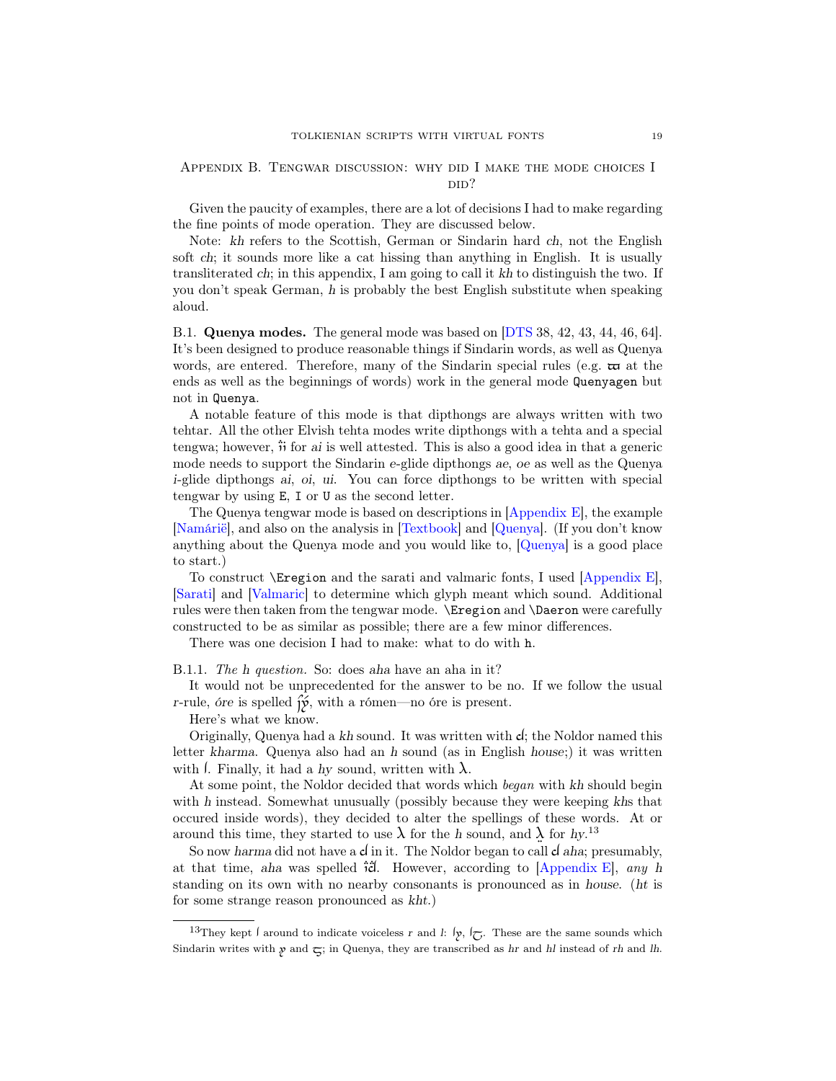# <span id="page-18-0"></span>Appendix B. Tengwar discussion: why did I make the mode choices I did?

Given the paucity of examples, there are a lot of decisions I had to make regarding the fine points of mode operation. They are discussed below.

Note: kh refers to the Scottish, German or Sindarin hard ch, not the English soft ch; it sounds more like a cat hissing than anything in English. It is usually transliterated ch; in this appendix, I am going to call it kh to distinguish the two. If you don't speak German, h is probably the best English substitute when speaking aloud.

<span id="page-18-1"></span>B.1. Quenya modes. The general mode was based on [\[DTS](#page-37-0) 38, 42, 43, 44, 46, 64]. It's been designed to produce reasonable things if Sindarin words, as well as Quenya words, are entered. Therefore, many of the Sindarin special rules (e.g.  $\boldsymbol{\varpi}$  at the ends as well as the beginnings of words) work in the general mode Quenyagen but not in Quenya.

A notable feature of this mode is that dipthongs are always written with two tehtar. All the other Elvish tehta modes write dipthongs with a tehta and a special tengwa; however,  $\ddot{\text{m}}$  for ai is well attested. This is also a good idea in that a generic mode needs to support the Sindarin e-glide dipthongs ae, oe as well as the Quenya i-glide dipthongs ai, oi, ui. You can force dipthongs to be written with special tengwar by using E, I or U as the second letter.

The Quenya tengwar mode is based on descriptions in [\[Appendix E\]](#page-38-0), the example [\[Namárië\]](#page-38-2), and also on the analysis in [\[Textbook\]](#page-38-13) and [\[Quenya\]](#page-38-14). (If you don't know anything about the Quenya mode and you would like to, [\[Quenya\]](#page-38-14) is a good place to start.)

To construct \Eregion and the sarati and valmaric fonts, I used [\[Appendix E\]](#page-38-0), [\[Sarati\]](#page-38-12) and [\[Valmaric\]](#page-38-15) to determine which glyph meant which sound. Additional rules were then taken from the tengwar mode. \Eregion and \Daeron were carefully constructed to be as similar as possible; there are a few minor differences.

There was one decision I had to make: what to do with h.

<span id="page-18-2"></span>B.1.1. The h question. So: does aha have an aha in it?

It would not be unprecedented for the answer to be no. If we follow the usual r-rule, óre is spelled  $H(x)$ , with a rómen—no óre is present.

Here's what we know.

Originally, Quenya had a kh sound. It was written with d; the Noldor named this letter kharma. Quenya also had an h sound (as in English house;) it was written with  $\lambda$ . Finally, it had a hy sound, written with  $\lambda$ .

At some point, the Noldor decided that words which began with kh should begin with h instead. Somewhat unusually (possibly because they were keeping khs that occured inside words), they decided to alter the spellings of these words. At or around this time, they started to use  $\lambda$  for the h sound, and  $\lambda$  for hy.<sup>[13](#page-18-3)</sup>

So now harma did not have a  $d$  in it. The Noldor began to call  $d$  aha; presumably, at that time, aha was spelled  $\ddot{\tilde{i}}$ . However, according to [\[Appendix E\]](#page-38-0), any h standing on its own with no nearby consonants is pronounced as in house. (ht is for some strange reason pronounced as kht.)

<span id="page-18-3"></span><sup>&</sup>lt;sup>13</sup>They kept  $\int$  around to indicate voiceless r and l:  $\int$ ,  $\int$ . These are the same sounds which Sindarin writes with  $y$  and  $\overline{C}$ ; in Quenya, they are transcribed as hr and hl instead of rh and lh.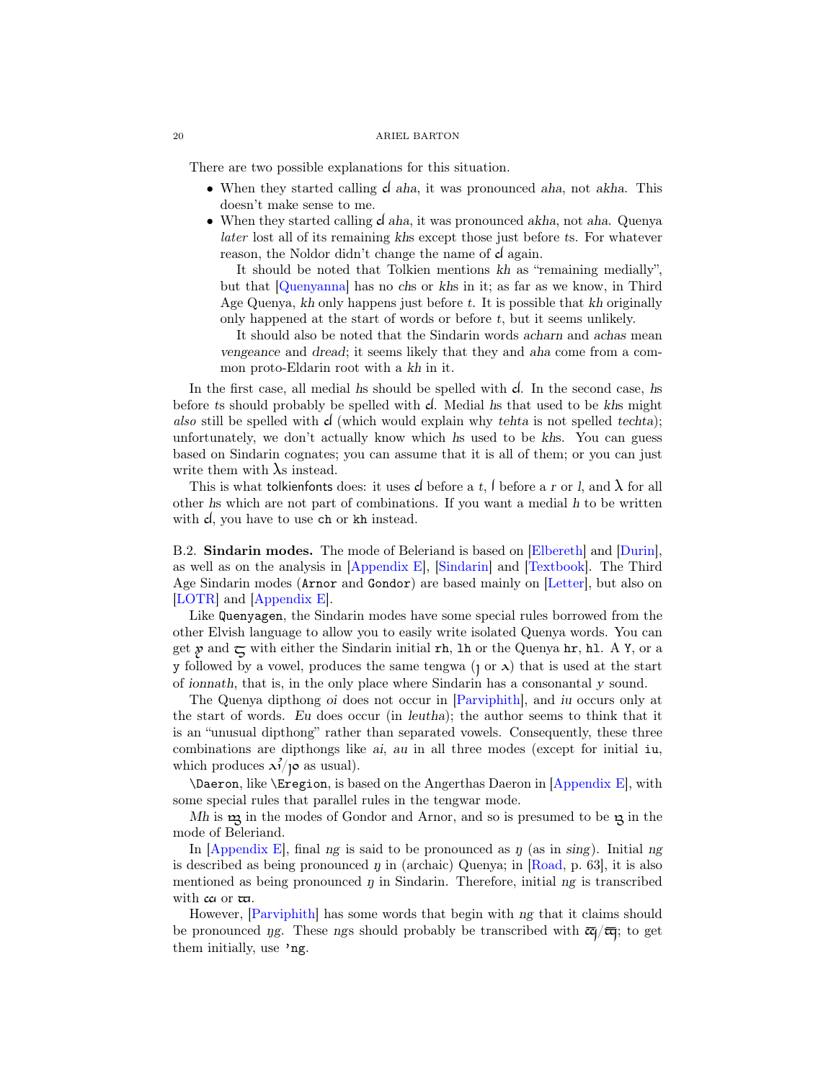There are two possible explanations for this situation.

- When they started calling **c** aha, it was pronounced aha, not akha. This doesn't make sense to me.
- When they started calling  $d$  aha, it was pronounced akha, not aha. Quenya later lost all of its remaining khs except those just before ts. For whatever reason, the Noldor didn't change the name of  $d$  again.

It should be noted that Tolkien mentions kh as "remaining medially", but that [\[Quenyanna\]](#page-38-9) has no chs or khs in it; as far as we know, in Third Age Quenya, kh only happens just before t. It is possible that kh originally only happened at the start of words or before t, but it seems unlikely.

It should also be noted that the Sindarin words acharn and achas mean vengeance and dread; it seems likely that they and aha come from a common proto-Eldarin root with a kh in it.

In the first case, all medial hs should be spelled with  $d$ . In the second case, hs before ts should probably be spelled with d. Medial hs that used to be khs might also still be spelled with  $d$  (which would explain why tehta is not spelled techta); unfortunately, we don't actually know which hs used to be khs. You can guess based on Sindarin cognates; you can assume that it is all of them; or you can just write them with  $\lambda$ s instead.

This is what tolkienfonts does: it uses  $d$  before a t,  $\ell$  before a r or  $\ell$ , and  $\lambda$  for all other hs which are not part of combinations. If you want a medial h to be written with  $d$ , you have to use ch or kh instead.

<span id="page-19-0"></span>B.2. Sindarin modes. The mode of Beleriand is based on [\[Elbereth\]](#page-38-4) and [\[Durin\]](#page-38-3), as well as on the analysis in [\[Appendix E\]](#page-38-0), [\[Sindarin\]](#page-38-16) and [\[Textbook\]](#page-38-13). The Third Age Sindarin modes (Arnor and Gondor) are based mainly on [\[Letter\]](#page-37-2), but also on [\[LOTR\]](#page-37-3) and [\[Appendix E\]](#page-38-0).

Like Quenyagen, the Sindarin modes have some special rules borrowed from the other Elvish language to allow you to easily write isolated Quenya words. You can get  $\chi$  and  $\tau$  with either the Sindarin initial rh, lh or the Quenya hr, hl. A Y, or a y followed by a vowel, produces the same tengwa  $(1 \text{ or } \lambda)$  that is used at the start of ionnath, that is, in the only place where Sindarin has a consonantal y sound.

The Quenya dipthong oi does not occur in [\[Parviphith\]](#page-38-17), and iu occurs only at the start of words. Eu does occur (in leutha); the author seems to think that it is an "unusual dipthong" rather than separated vowels. Consequently, these three combinations are dipthongs like ai, au in all three modes (except for initial iu, which produces  $\lambda^2/\rho$  as usual).

\Daeron, like \Eregion, is based on the Angerthas Daeron in [\[Appendix E\]](#page-38-0), with some special rules that parallel rules in the tengwar mode.

Mh is  $m$  in the modes of Gondor and Arnor, and so is presumed to be  $m$  in the mode of Beleriand.

In  $[Appendix E]$ , final ng is said to be pronounced as  $\eta$  (as in sing). Initial ng is described as being pronounced  $\eta$  in (archaic) Quenya; in [\[Road,](#page-38-6) p. 63], it is also mentioned as being pronounced  $\eta$  in Sindarin. Therefore, initial  $ng$  is transcribed with  $\alpha$  or  $\varpi$ .

However, [\[Parviphith\]](#page-38-17) has some words that begin with ng that it claims should be pronounced *ng*. These ngs should probably be transcribed with  $\overline{c}$   $\overline{c}$ ; to get them initially, use 'ng.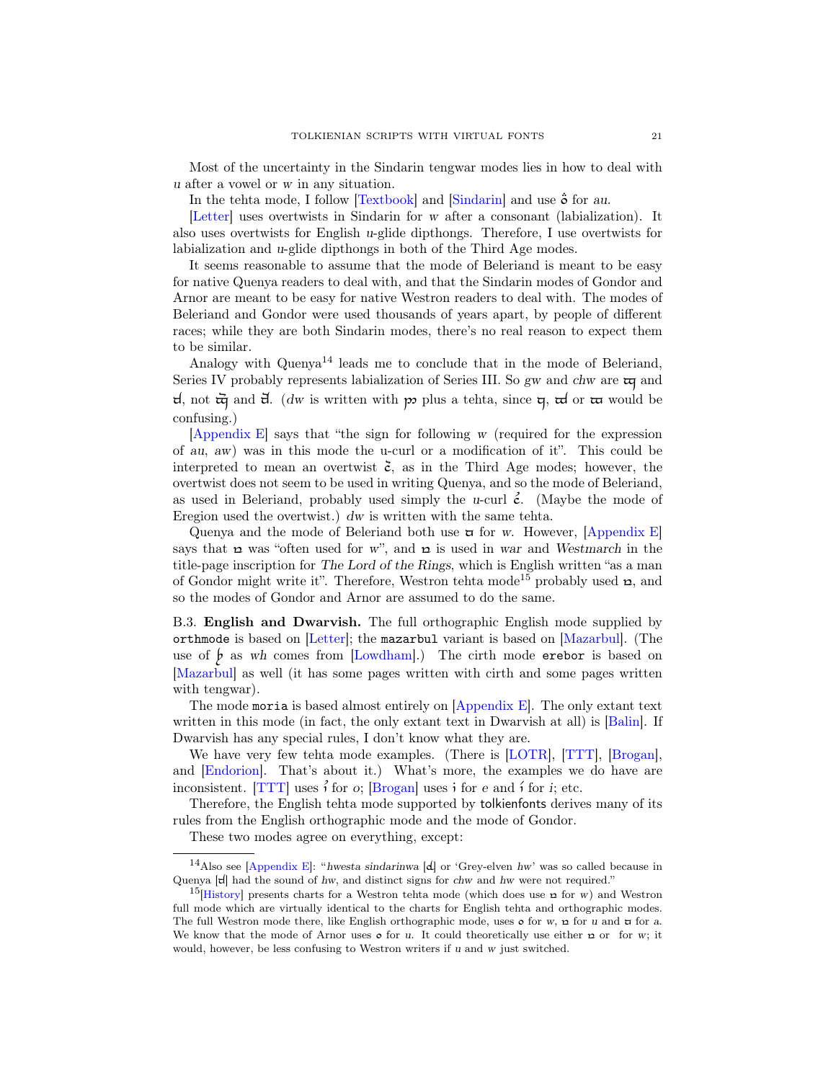Most of the uncertainty in the Sindarin tengwar modes lies in how to deal with u after a vowel or w in any situation.

In the tehta mode, I follow  $[Textbook]$  and  $[Sindarin]$  and use  $\ddot{\mathbf{\sigma}}$  for au.

[\[Letter\]](#page-37-2) uses overtwists in Sindarin for w after a consonant (labialization). It also uses overtwists for English u-glide dipthongs. Therefore, I use overtwists for labialization and u-glide dipthongs in both of the Third Age modes.

It seems reasonable to assume that the mode of Beleriand is meant to be easy for native Quenya readers to deal with, and that the Sindarin modes of Gondor and Arnor are meant to be easy for native Westron readers to deal with. The modes of Beleriand and Gondor were used thousands of years apart, by people of different races; while they are both Sindarin modes, there's no real reason to expect them to be similar.

Analogy with Quenya<sup>[14](#page-20-1)</sup> leads me to conclude that in the mode of Beleriand, Series IV probably represents labialization of Series III. So gw and chw are  $\pi$  and d, not  $\vec{a}$  and  $\vec{d}$ . (dw is written with p plus a tehta, since  $\vec{a}$ ,  $\vec{a}$  or  $\vec{a}$  would be confusing.)

[\[Appendix E\]](#page-38-0) says that "the sign for following w (required for the expression of au, aw) was in this mode the u-curl or a modification of it". This could be interpreted to mean an overtwist  $\zeta$ , as in the Third Age modes; however, the overtwist does not seem to be used in writing Quenya, and so the mode of Beleriand, as used in Beleriand, probably used simply the u-curl  $\zeta$ . (Maybe the mode of Eregion used the overtwist.) dw is written with the same tehta.

Quenya and the mode of Beleriand both use  $\sigma$  for w. However, [\[Appendix E\]](#page-38-0) says that  $\boldsymbol{\omega}$  was "often used for w", and  $\boldsymbol{\omega}$  is used in war and Westmarch in the title-page inscription for The Lord of the Rings, which is English written "as a man of Gondor might write it". Therefore, Westron tehta mode<sup>[15](#page-20-2)</sup> probably used  $\mathbf{r}$ , and so the modes of Gondor and Arnor are assumed to do the same.

<span id="page-20-0"></span>B.3. English and Dwarvish. The full orthographic English mode supplied by orthmode is based on [\[Letter\]](#page-37-2); the mazarbul variant is based on [\[Mazarbul\]](#page-37-1). (The use of  $\oint$  as wh comes from [\[Lowdham\]](#page-37-9).) The cirth mode erebor is based on [\[Mazarbul\]](#page-37-1) as well (it has some pages written with cirth and some pages written with tengwar).

The mode moria is based almost entirely on  $[Appendix E]$ . The only extant text written in this mode (in fact, the only extant text in Dwarvish at all) is [\[Balin\]](#page-38-18). If Dwarvish has any special rules, I don't know what they are.

We have very few tehta mode examples. (There is [\[LOTR\]](#page-37-3), [\[TTT\]](#page-37-10), [\[Brogan\]](#page-37-7), and [\[Endorion\]](#page-37-8). That's about it.) What's more, the examples we do have are inconsistent. [\[TTT\]](#page-37-10) uses  $\hat{i}$  for  $o$ ; [\[Brogan\]](#page-37-7) uses  $\hat{i}$  for  $e$  and  $\hat{i}$  for  $i$ ; etc.

Therefore, the English tehta mode supported by tolkienfonts derives many of its rules from the English orthographic mode and the mode of Gondor.

<span id="page-20-1"></span>These two modes agree on everything, except:

<sup>&</sup>lt;sup>14</sup>Also see [\[Appendix E\]](#page-38-0): "hwesta sindarinwa [d] or 'Grey-elven hw' was so called because in Quenya  $[\tau]$  had the sound of hw, and distinct signs for chw and hw were not required."

<span id="page-20-2"></span><sup>&</sup>lt;sup>15</sup>[\[History\]](#page-38-5) presents charts for a Westron tehta mode (which does use  $\alpha$  for w) and Westron full mode which are virtually identical to the charts for English tehta and orthographic modes. The full Westron mode there, like English orthographic mode, uses  $\circ$  for w,  $\circ$  for u and  $\circ$  for a. We know that the mode of Arnor uses  $\circ$  for u. It could theoretically use either  $\circ$  or for w; it would, however, be less confusing to Westron writers if u and w just switched.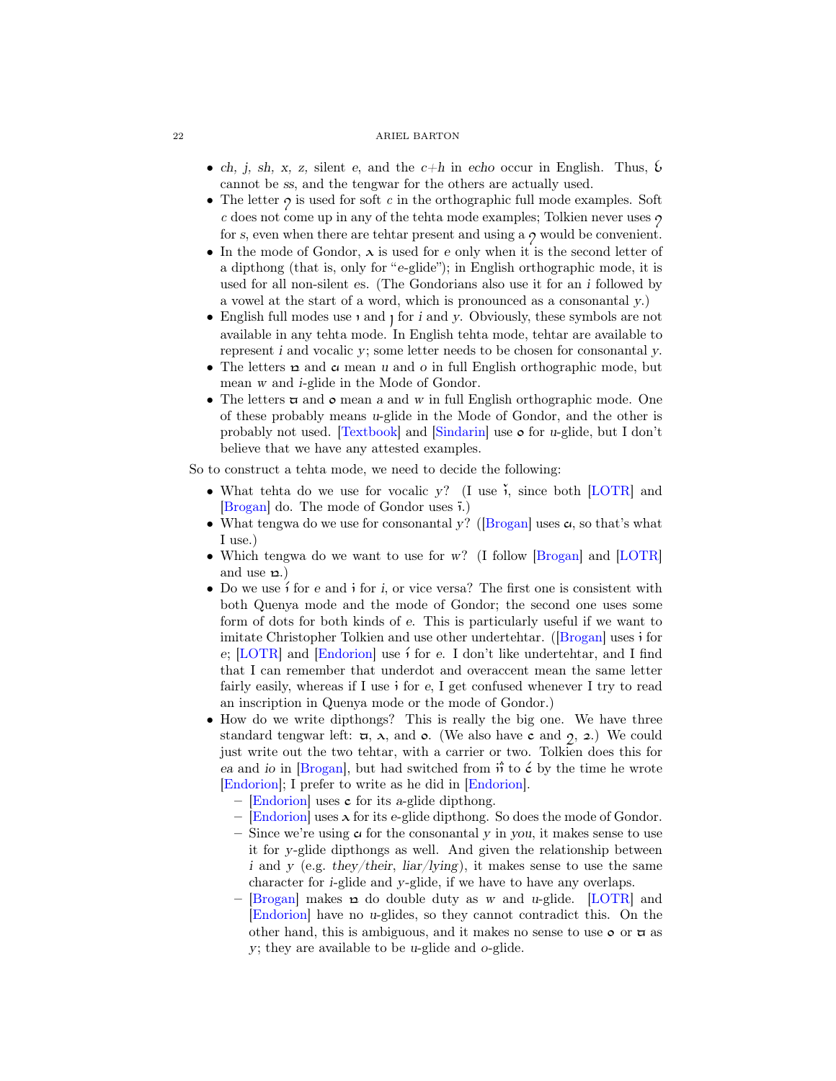- ch, j, sh, x, z, silent e, and the  $c+h$  in echo occur in English. Thus,  $\mathfrak b$ cannot be ss, and the tengwar for the others are actually used.
- The letter  $\gamma$  is used for soft c in the orthographic full mode examples. Soft  $c$  does not come up in any of the tehta mode examples; Tolkien never uses  $\gamma$ for s, even when there are tehtar present and using a  $\gamma$  would be convenient.
- In the mode of Gondor,  $\lambda$  is used for e only when it is the second letter of a dipthong (that is, only for "e-glide"); in English orthographic mode, it is used for all non-silent es. (The Gondorians also use it for an i followed by a vowel at the start of a word, which is pronounced as a consonantal y.)
- English full modes use  $\iota$  and  $\iota$  for  $i$  and  $y$ . Obviously, these symbols are not available in any tehta mode. In English tehta mode, tehtar are available to represent i and vocalic y; some letter needs to be chosen for consonantal y.
- The letters  $\mathbf p$  and  $\mathbf c$  mean u and o in full English orthographic mode, but mean w and i-glide in the Mode of Gondor.
- The letters  $\pi$  and  $\circ$  mean a and w in full English orthographic mode. One of these probably means u-glide in the Mode of Gondor, and the other is probably not used.  $\text{Textbook}$  and  $\text{Sindarin}$  use  $\bullet$  for u-glide, but I don't believe that we have any attested examples.

So to construct a tehta mode, we need to decide the following:

- What tehta do we use for vocalic y? (I use  $\check{\lambda}$ , since both [\[LOTR\]](#page-37-3) and  $\vert$ Brogan $\vert$  do. The mode of Gondor uses  $\bar{\mathfrak{i}}$ .)
- What tengwa do we use for consonantal y? ([\[Brogan\]](#page-37-7) uses  $\alpha$ , so that's what I use.)
- Which tengwa do we want to use for w? (I follow [\[Brogan\]](#page-37-7) and [\[LOTR\]](#page-37-3) and use  $\varphi$ .)
- Do we use  $\hat{i}$  for e and  $\hat{j}$  for i, or vice versa? The first one is consistent with both Quenya mode and the mode of Gondor; the second one uses some form of dots for both kinds of e. This is particularly useful if we want to imitate Christopher Tolkien and use other undertehtar.  $($ [\[Brogan\]](#page-37-7) uses i for e;  $[LOTR]$  and  $[Endorion]$  use i for e. I don't like undertehtar, and I find that I can remember that underdot and overaccent mean the same letter fairly easily, whereas if I use  $\mathbf{i}$  for e, I get confused whenever I try to read an inscription in Quenya mode or the mode of Gondor.)
- How do we write dipthongs? This is really the big one. We have three standard tengwar left:  $\pi$ ,  $\lambda$ , and  $\sigma$ . (We also have c and  $\gamma$ ,  $\alpha$ .) We could just write out the two tehtar, with a carrier or two. Tolkien does this for ea and io in [\[Brogan\]](#page-37-7), but had switched from  $\hat{B}$  to  $\acute{\epsilon}$  by the time he wrote [\[Endorion\]](#page-37-8); I prefer to write as he did in [\[Endorion\]](#page-37-8).
	- $-$  [\[Endorion\]](#page-37-8) uses c for its a-glide dipthong.
	- [\[Endorion\]](#page-37-8) uses  $\lambda$  for its e-glide dipthong. So does the mode of Gondor.
	- Since we're using  $\alpha$  for the consonantal y in you, it makes sense to use it for y-glide dipthongs as well. And given the relationship between i and y (e.g. they/their,  $liar/lying$ ), it makes sense to use the same character for i-glide and y-glide, if we have to have any overlaps.
	- [\[Brogan\]](#page-37-7) makes  $\alpha$  do double duty as w and u-glide. [\[LOTR\]](#page-37-3) and [\[Endorion\]](#page-37-8) have no u-glides, so they cannot contradict this. On the other hand, this is ambiguous, and it makes no sense to use  $\circ$  or  $\pi$  as y; they are available to be u-glide and o-glide.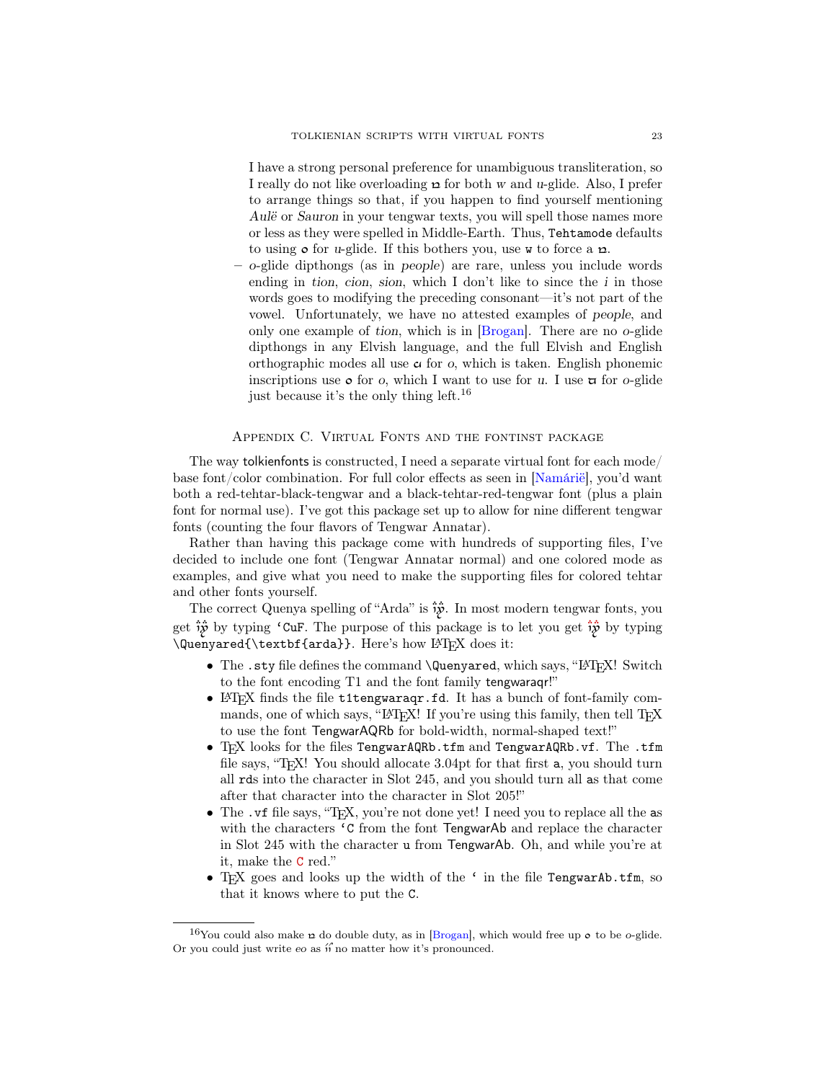I have a strong personal preference for unambiguous transliteration, so I really do not like overloading  $\boldsymbol{\omega}$  for both w and u-glide. Also, I prefer to arrange things so that, if you happen to find yourself mentioning Aulë or Sauron in your tengwar texts, you will spell those names more or less as they were spelled in Middle-Earth. Thus, Tehtamode defaults to using  $\circ$  for *u*-glide. If this bothers you, use w to force a  $\alpha$ .

– o-glide dipthongs (as in people) are rare, unless you include words ending in tion, cion, sion, which I don't like to since the  $i$  in those words goes to modifying the preceding consonant—it's not part of the vowel. Unfortunately, we have no attested examples of people, and only one example of tion, which is in [\[Brogan\]](#page-37-7). There are no o-glide dipthongs in any Elvish language, and the full Elvish and English orthographic modes all use  $\alpha$  for o, which is taken. English phonemic inscriptions use  $\circ$  for o, which I want to use for u. I use  $\sigma$  for o-glide just because it's the only thing left.[16](#page-22-1)

## Appendix C. Virtual Fonts and the fontinst package

<span id="page-22-0"></span>The way tolkienfonts is constructed, I need a separate virtual font for each mode/ base font/color combination. For full color effects as seen in [\[Namárië\]](#page-38-2), you'd want both a red-tehtar-black-tengwar and a black-tehtar-red-tengwar font (plus a plain font for normal use). I've got this package set up to allow for nine different tengwar fonts (counting the four flavors of Tengwar Annatar).

Rather than having this package come with hundreds of supporting files, I've decided to include one font (Tengwar Annatar normal) and one colored mode as examples, and give what you need to make the supporting files for colored tehtar and other fonts yourself.

The correct Quenya spelling of "Arda" is  $\ddot{\ddot{\psi}}$ . In most modern tengwar fonts, you get  $\hat{i}\hat{y}$  by typing 'CuF. The purpose of this package is to let you get  $\hat{i}\hat{y}$  by typing \Quenyared{\textbf{arda}}. Here's how LATEX does it:

- The .sty file defines the command \Quenyared, which says, "ETFX! Switch to the font encoding T1 and the font family tengwaraqr!"
- LATEX finds the file t1tengwaraqr.fd. It has a bunch of font-family commands, one of which says, "LAT<sub>E</sub>X! If you're using this family, then tell T<sub>E</sub>X to use the font TengwarAQRb for bold-width, normal-shaped text!"
- T<sub>F</sub>X looks for the files TengwarAQRb.tfm and TengwarAQRb.vf. The .tfm file says, "T<sub>E</sub>X! You should allocate 3.04pt for that first a, you should turn all rds into the character in Slot 245, and you should turn all as that come after that character into the character in Slot 205!"
- The .vf file says, "T<sub>F</sub>X, you're not done yet! I need you to replace all the as with the characters 'C from the font TengwarAb and replace the character in Slot 245 with the character u from TengwarAb. Oh, and while you're at it, make the C red."
- TEX goes and looks up the width of the ' in the file TengwarAb.tfm, so that it knows where to put the C.

<span id="page-22-1"></span><sup>&</sup>lt;sup>16</sup>You could also make  $\alpha$  do double duty, as in [\[Brogan\]](#page-37-7), which would free up  $\alpha$  to be o-glide. Or you could just write  $\epsilon$  as is no matter how it's pronounced.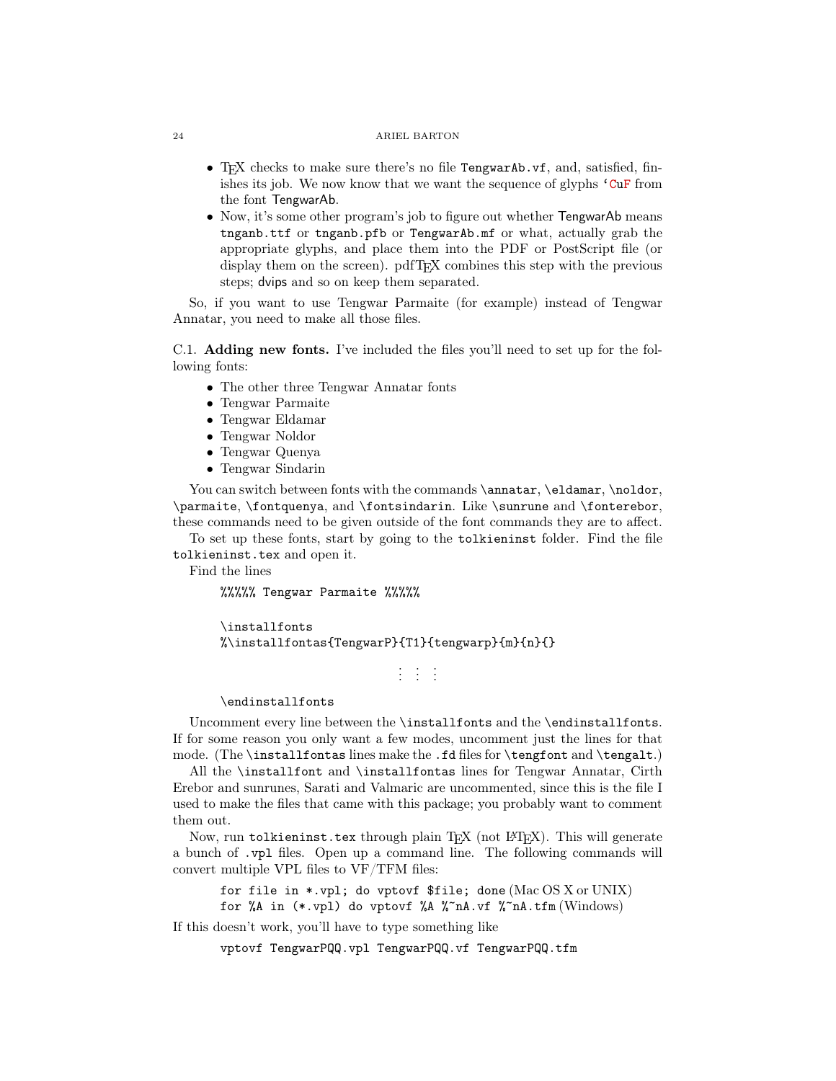- T<sub>EX</sub> checks to make sure there's no file TengwarAb.vf, and, satisfied, finishes its job. We now know that we want the sequence of glyphs  $^{\circ}$  CuF from the font TengwarAb.
- Now, it's some other program's job to figure out whether TengwarAb means tnganb.ttf or tnganb.pfb or TengwarAb.mf or what, actually grab the appropriate glyphs, and place them into the PDF or PostScript file (or display them on the screen). pdfTEX combines this step with the previous steps; dvips and so on keep them separated.

So, if you want to use Tengwar Parmaite (for example) instead of Tengwar Annatar, you need to make all those files.

<span id="page-23-0"></span>C.1. Adding new fonts. I've included the files you'll need to set up for the following fonts:

- The other three Tengwar Annatar fonts
- Tengwar Parmaite
- Tengwar Eldamar
- Tengwar Noldor
- Tengwar Quenya
- Tengwar Sindarin

You can switch between fonts with the commands \annatar, \eldamar, \noldor, \parmaite, \fontquenya, and \fontsindarin. Like \sunrune and \fonterebor, these commands need to be given outside of the font commands they are to affect.

To set up these fonts, start by going to the tolkieninst folder. Find the file tolkieninst.tex and open it.

Find the lines

%%%%% Tengwar Parmaite %%%%%

\installfonts %\installfontas{TengwarP}{T1}{tengwarp}{m}{n}{}

.<br>. . .

#### \endinstallfonts

Uncomment every line between the \installfonts and the \endinstallfonts. If for some reason you only want a few modes, uncomment just the lines for that mode. (The \installfontas lines make the .fd files for \tengfont and \tengalt.)

All the \installfont and \installfontas lines for Tengwar Annatar, Cirth Erebor and sunrunes, Sarati and Valmaric are uncommented, since this is the file I used to make the files that came with this package; you probably want to comment them out.

Now, run tolkieninst.tex through plain T<sub>E</sub>X (not L<sup>AT</sup>EX). This will generate a bunch of .vpl files. Open up a command line. The following commands will convert multiple VPL files to VF/TFM files:

for file in  $\ast$ .vpl; do vptovf  $\frac{1}{2}$  file; done (Mac OS X or UNIX) for %A in  $(*.vpl)$  do vptovf %A %~nA.vf %~nA.tfm (Windows)

If this doesn't work, you'll have to type something like

vptovf TengwarPQQ.vpl TengwarPQQ.vf TengwarPQQ.tfm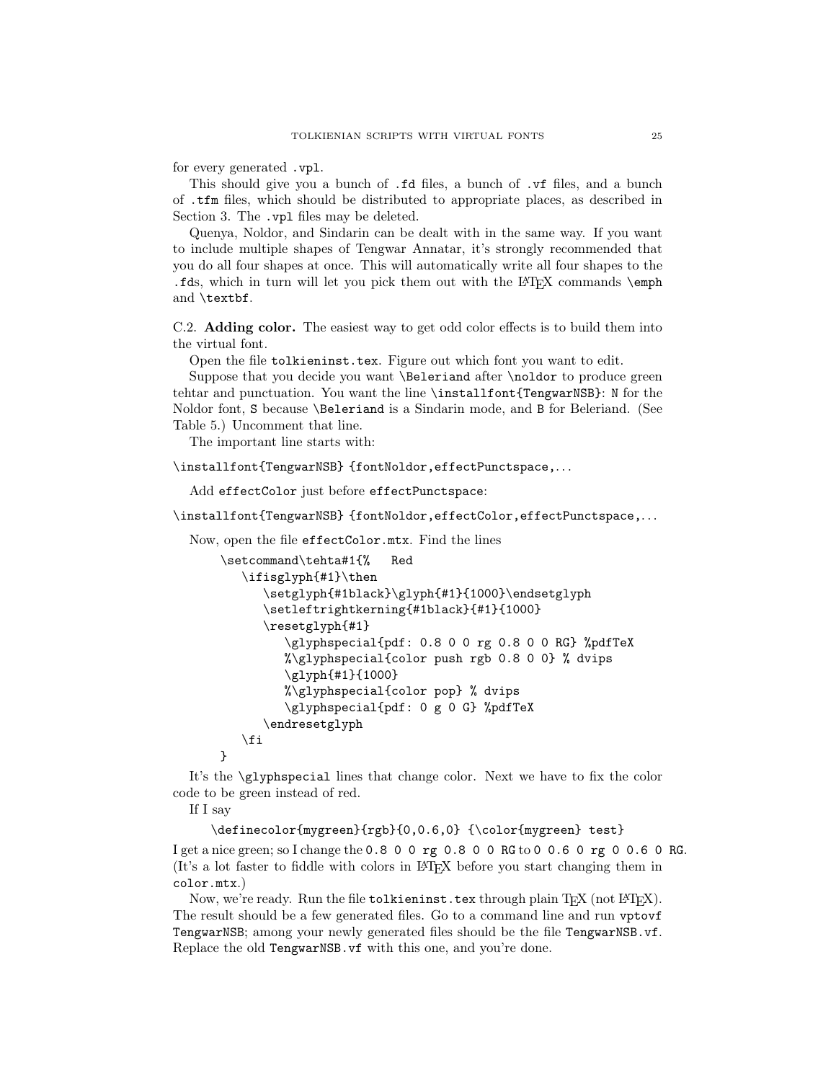for every generated .vpl.

This should give you a bunch of .fd files, a bunch of .vf files, and a bunch of .tfm files, which should be distributed to appropriate places, as described in [Section 3.](#page-2-0) The .vpl files may be deleted.

Quenya, Noldor, and Sindarin can be dealt with in the same way. If you want to include multiple shapes of Tengwar Annatar, it's strongly recommended that you do all four shapes at once. This will automatically write all four shapes to the .fds, which in turn will let you pick them out with the LAT<sub>E</sub>X commands  $\emptyset$ and \textbf.

<span id="page-24-0"></span>C.2. Adding color. The easiest way to get odd color effects is to build them into the virtual font.

Open the file tolkieninst.tex. Figure out which font you want to edit.

Suppose that you decide you want \Beleriand after \noldor to produce green tehtar and punctuation. You want the line \installfont{TengwarNSB}: N for the Noldor font, S because \Beleriand is a Sindarin mode, and B for Beleriand. (See [Table 5.](#page-16-0)) Uncomment that line.

The important line starts with:

\installfont{TengwarNSB} {fontNoldor, effectPunctspace,...

Add effectColor just before effectPunctspace:

\installfont{TengwarNSB} {fontNoldor,effectColor,effectPunctspace,...

Now, open the file effectColor.mtx. Find the lines

```
\setcommand\tehta#1{% Red
   \ifisglyph{#1}\then
      \setglyph{#1black}\glyph{#1}{1000}\endsetglyph
      \setleftrightkerning{#1black}{#1}{1000}
      \resetglyph{#1}
         \glyphspecial{pdf: 0.8 0 0 rg 0.8 0 0 RG} %pdfTeX
         %\glyphspecial{color push rgb 0.8 0 0} % dvips
         \glyph{#1}{1000}
         %\glyphspecial{color pop} % dvips
         \glyphspecial{pdf: 0 g 0 G} %pdfTeX
      \endresetglyph
   \fi
}
```
It's the \glyphspecial lines that change color. Next we have to fix the color code to be green instead of red.

If I say

```
\definecolor{mygreen}{rgb}{0,0.6,0} {\color{mygreen} test}
```
I get a nice green; so I change the 0.8 0 0 rg 0.8 0 0 RG to 0 0.6 0 rg 0 0.6 0 RG. (It's a lot faster to fiddle with colors in LATEX before you start changing them in color.mtx.)

Now, we're ready. Run the file tolkieninst.tex through plain T<sub>E</sub>X (not L<sup>AT</sup>EX). The result should be a few generated files. Go to a command line and run vptovf TengwarNSB; among your newly generated files should be the file TengwarNSB.vf. Replace the old TengwarNSB.vf with this one, and you're done.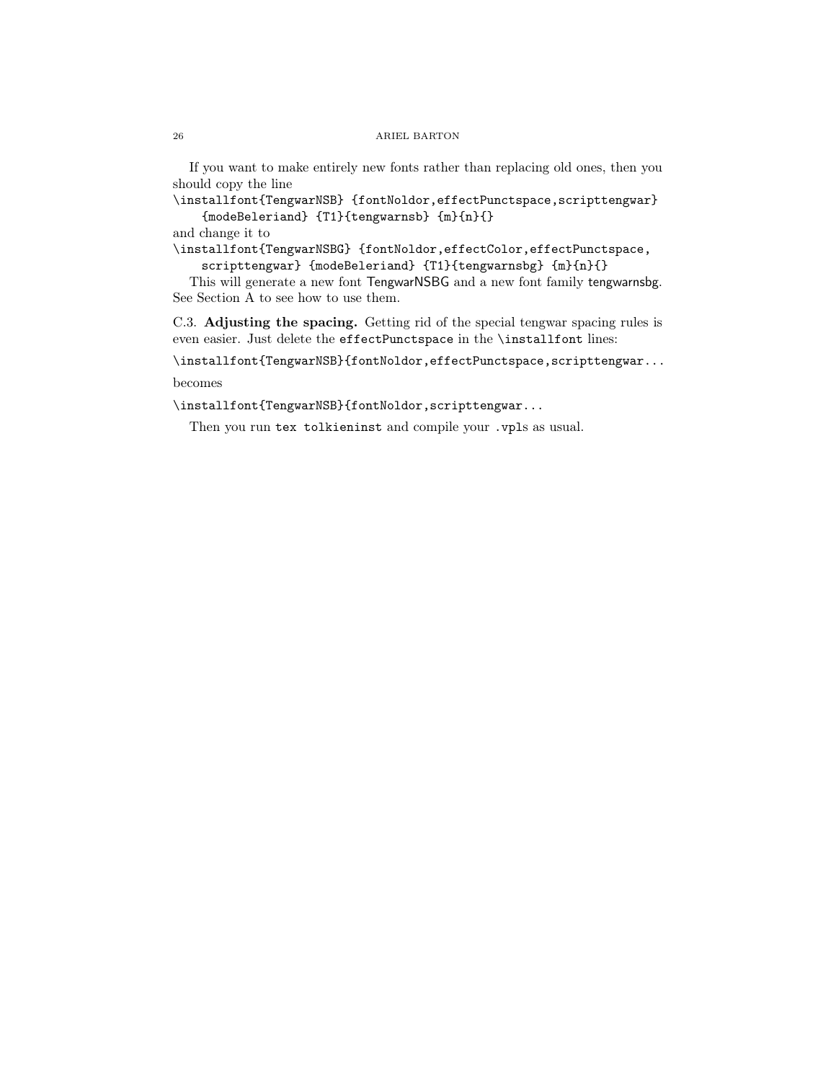If you want to make entirely new fonts rather than replacing old ones, then you should copy the line

\installfont{TengwarNSB} {fontNoldor,effectPunctspace,scripttengwar} {modeBeleriand} {T1}{tengwarnsb} {m}{n}{}

and change it to

\installfont{TengwarNSBG} {fontNoldor,effectColor,effectPunctspace, scripttengwar} {modeBeleriand} {T1}{tengwarnsbg} {m}{n}{}

This will generate a new font TengwarNSBG and a new font family tengwarnsbg. See [Section A](#page-15-1) to see how to use them.

<span id="page-25-0"></span>C.3. Adjusting the spacing. Getting rid of the special tengwar spacing rules is even easier. Just delete the effectPunctspace in the \installfont lines:

\installfont{TengwarNSB}{fontNoldor,effectPunctspace,scripttengwar... becomes

\installfont{TengwarNSB}{fontNoldor,scripttengwar...

Then you run tex tolkieninst and compile your .vpls as usual.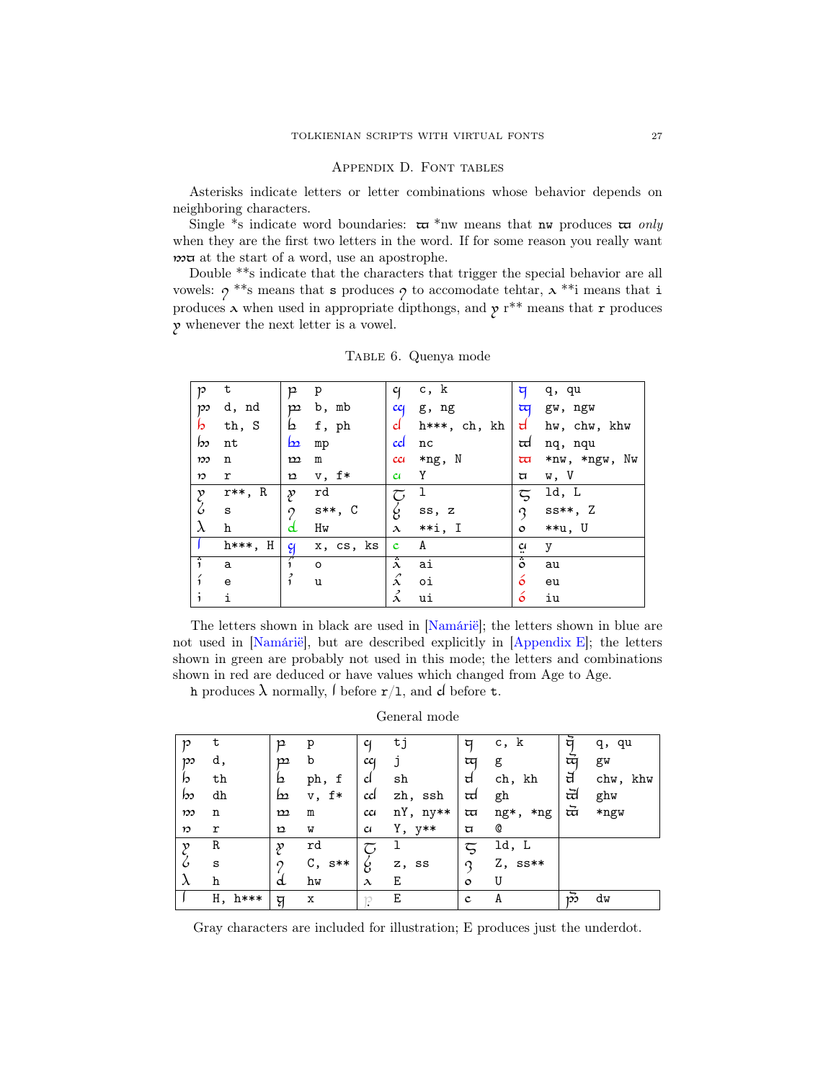## Appendix D. Font tables

<span id="page-26-0"></span>Asterisks indicate letters or letter combinations whose behavior depends on neighboring characters.

Single \*s indicate word boundaries:  $\pi$  \*nw means that nw produces  $\pi$  only when they are the first two letters in the word. If for some reason you really want  $m\pi$  at the start of a word, use an apostrophe.

Double \*\*s indicate that the characters that trigger the special behavior are all vowels:  $\gamma$ <sup>\*\*</sup>s means that **s** produces  $\gamma$  to accomodate tehtar,  $\lambda$ <sup>\*\*</sup>i means that **i** produces  $\lambda$  when used in appropriate dipthongs, and  $\gamma$  r<sup>\*\*</sup> means that r produces 7 whenever the next letter is a vowel.

| p                     | t           | p             | p           | q                                      | c, k         | দ                       | q, qu         |
|-----------------------|-------------|---------------|-------------|----------------------------------------|--------------|-------------------------|---------------|
| $\mathfrak{p}$        | d, nd       | $\mathbf{p}$  | b, mb       | cc <sub>1</sub>                        | g, ng        | $\overline{u}$          | gw, ngw       |
| b                     | th, S       | b             | f, ph       | d                                      | h***, ch, kh | $\mathsf{d}$            | hw, chw, khw  |
| bo                    | nt          | <u>b2</u>     | mp          | cd                                     | nc           | td                      | nq, nqu       |
| $\mathfrak{w}$        | n           | $\mathbf{m}$  | ${\bf m}$   | cc <sub>i</sub>                        | *ng, N       | $\overline{\mathbf{u}}$ | *nw, *ngw, Nw |
| $\boldsymbol{n}$      | r           | $\mathbf n$   | $v, f*$     | $\alpha$                               | Y            | ά                       | w, V          |
| $\mathcal{E}_{\zeta}$ | r**, R      | ş             | rd          | $\widetilde{\smash{\bigtriangledown}}$ | 1            | $\overline{5}$          | ld, L         |
|                       | S           | $\Omega$      | $s**$ , $C$ | ζ                                      | ss, z        | $\mathcal{Q}$           | $ss**$ , Z    |
| $\lambda$             | h           | d             | Hw          | $\lambda$                              | $**i, I$     | $\circ$                 | **u, U        |
|                       | $h***$ , H  | $\mathcal{C}$ | x, cs, ks   | $\mathbf c$                            | A            | ä                       | у             |
| ĵ                     | a           |               | $\circ$     | $\ddot{\hat{ \lambda}}$                | ai           | $\ddot{\circ}$          | au            |
| í                     | $\mathbf e$ | $\vec{i}$     | u           | ź.                                     | оi           | $\acute{o}$             | eu            |
| $\mathbf{i}$          | i           |               |             | ź                                      | ui           | ó                       | iu            |

<span id="page-26-1"></span>Table 6. Quenya mode

The letters shown in black are used in [\[Namárië\]](#page-38-2); the letters shown in blue are not used in [\[Namárië\]](#page-38-2), but are described explicitly in [\[Appendix E\]](#page-38-0); the letters shown in green are probably not used in this mode; the letters and combinations shown in red are deduced or have values which changed from Age to Age.

h produces  $\lambda$  normally,  $\int$  before  $r/1$ , and d before t.

General mode

|                  | t            |              |          |           |          |                         |             | ਥੋ        |          |
|------------------|--------------|--------------|----------|-----------|----------|-------------------------|-------------|-----------|----------|
| 10               |              | p            | р        |           | tj       | ঘ                       | c, k        |           | q, qu    |
| $\mathfrak{w}$   | d,           | m            | b        | cc        |          | অ                       | g           | ਯੋ        | gw       |
| b                | th           | b            | ph, f    | d         | sh       | d                       | ch, kh      | ਰ         | chw, khw |
| bo               | dh           | b            | $v, f*$  | ccl       | zh, ssh  | td                      | gh          | ਜ਼        | ghw      |
| $\boldsymbol{v}$ | n            | $\mathbf{m}$ | m        | cc1       | nY, ny** | $\overline{\mathbf{u}}$ | ng*,<br>*ng | ਜ਼        | *ngw     |
| $\boldsymbol{v}$ | r            | $\mathbf n$  | W        | $\alpha$  | Y, y**   | ά                       | Q           |           |          |
| $\mathbf v$      | R            | ş            | rd       | τ,        | ı        | ζ                       | ld, L       |           |          |
| $\mathcal{C}$    | S            | $\Omega$     | $C, s**$ | g         | z, ss    | Q                       | $Z$ , ss**  |           |          |
| $\lambda$        | h            | d            | hw       | $\lambda$ | Ε        | $\circ$                 | U           |           |          |
|                  | Η,<br>$h***$ | य़           | X        | 10        | Ε        | $\mathbf c$             | A           | $\vec{p}$ | dw       |

Gray characters are included for illustration; E produces just the underdot.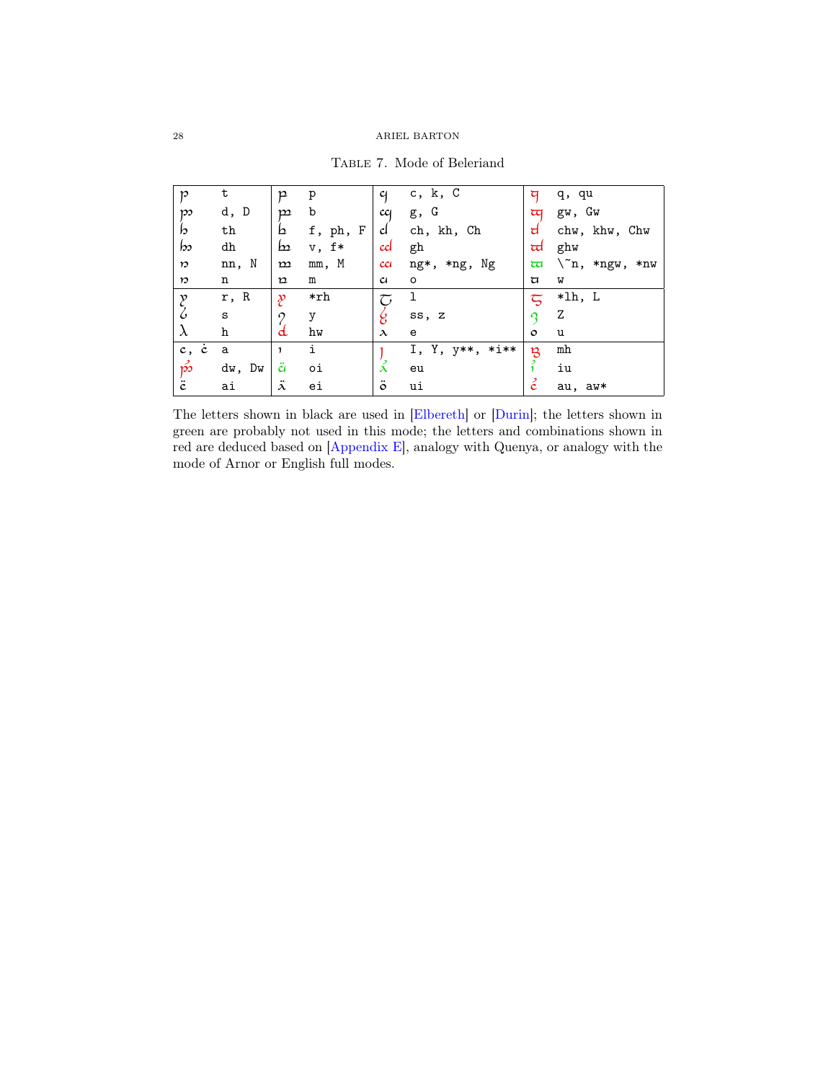| p                | t            | p                | p        | $\mathfrak{c}_1$ | $c$ , $k$ , $C$ | ঘ              | q, qu                       |
|------------------|--------------|------------------|----------|------------------|-----------------|----------------|-----------------------------|
| $\mathfrak{w}$   | d, D         | $\mathbf{p}$     | b        | cq               | g, G            | অ              | gw, Gw                      |
| b                | th           | b                | f, ph, F | d                | ch, kh, Ch      | d              | chw, khw, Chw               |
| bo               | dh           | $\mathbf{b}$     | $v, f*$  | cd               | gh              | ದ              | ghw                         |
| $\boldsymbol{v}$ | nn, N        | $\mathbf m$      | mm, M    | cc <sub>i</sub>  | *ng, Ng<br>ng*, | অ              | $\setminus n, *ngw,$<br>*nw |
| $\boldsymbol{v}$ | n            | $\mathbf n$      | m        | $\alpha$         | $\circ$         | U              | W                           |
| $\mathcal{Y}$    | r, R         | p                | *rh      | جح               | 1               | $\overline{5}$ | *lh, L                      |
| ζ                | $\mathtt{s}$ | 0                | у        | g                | ss, z           | റ              | Ζ                           |
| $\lambda$        | h            | d                | hw       | $\lambda$        | e               | $\circ$        | u                           |
| $c, \dot{c}$     | a            | 1                | i        |                  | I, Y, y**, *i** | B              | mh                          |
| $\vec{p}$        | dw, Dw       | ä                | оi       | ž                | eu              |                | iu                          |
| ë                | ai           | $\ddot{\lambda}$ | ei       | $\ddot{\circ}$   | ui              | ċ              | au, aw*                     |

<span id="page-27-0"></span>Table 7. Mode of Beleriand

The letters shown in black are used in [\[Elbereth\]](#page-38-4) or [\[Durin\]](#page-38-3); the letters shown in green are probably not used in this mode; the letters and combinations shown in red are deduced based on [\[Appendix E\]](#page-38-0), analogy with Quenya, or analogy with the mode of Arnor or English full modes.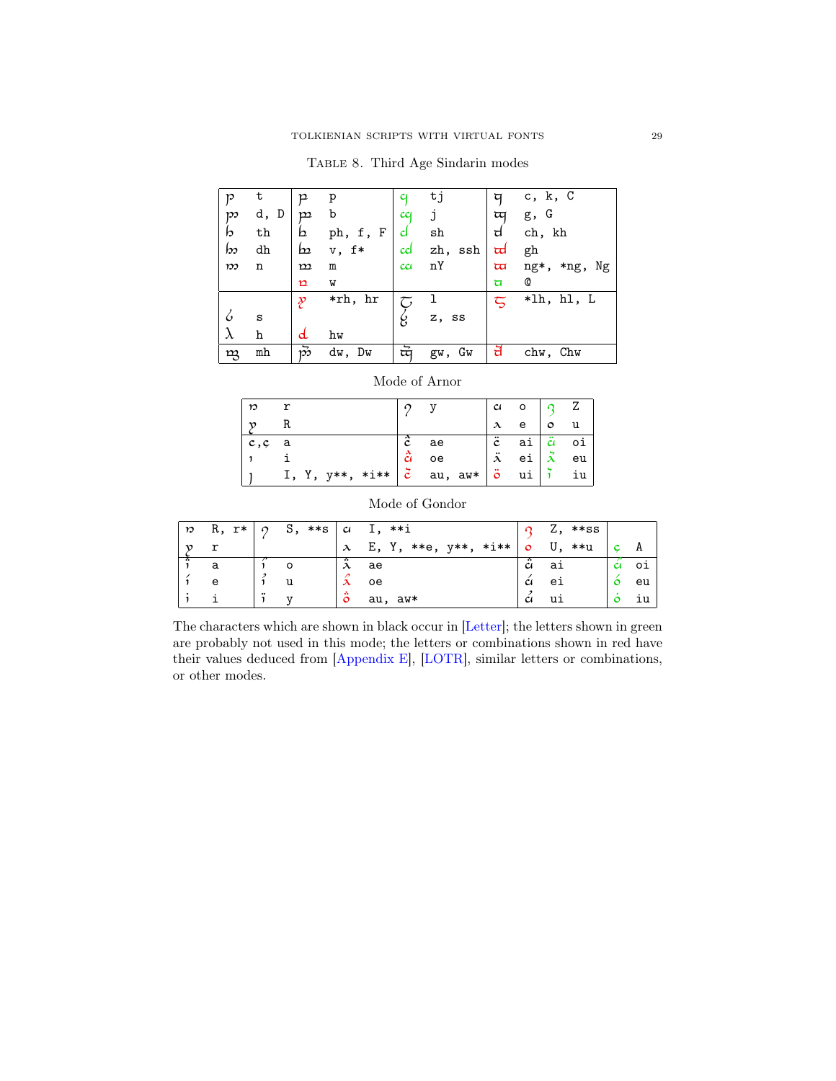<span id="page-28-0"></span>

|  |  | TABLE 8. Third Age Sindarin modes |  |
|--|--|-----------------------------------|--|
|  |  |                                   |  |

| 10             | t    | p             | p        |                 | tj      | ঘ                       | $c$ , $k$ , $C$ |
|----------------|------|---------------|----------|-----------------|---------|-------------------------|-----------------|
| $\mathfrak{w}$ | d, D | $\mathbf{m}$  | b        | cc <sub>1</sub> |         | দ্ৰ                     | g, G            |
| b              | th   | b             | ph, f, F | d               | sh      | d                       | ch, kh          |
| b              | dh   | b             | $v, f*$  | cd              | zh, ssh | ᡆ                       | gh              |
| $\mathfrak{w}$ | n    | $\mathbf{m}$  | m        | cci             | nY      | $\overline{\mathbf{u}}$ | ng*, *ng, Ng    |
|                |      | $\mathbf p$   | M        |                 |         | ਥ                       | Q               |
|                |      | $\mathcal{Y}$ | *rh, hr  | τ,              |         | $\zeta$                 | *lh, hl, L      |
| 6              | S    |               |          | ξ,              | z, ss   |                         |                 |
| λ              | h    | d             | hw       |                 |         |                         |                 |
| ng             | mh   | $\vec{p}$     | dw, Dw   | प्पॅ            | gw, Gw  | ਜ਼                      | chw, Chw        |

|  | Mode of Arnor |
|--|---------------|
|  |               |

| n.        |                                                                                           |               |    |                  | $\alpha$ o $\alpha$ Z |                                   |
|-----------|-------------------------------------------------------------------------------------------|---------------|----|------------------|-----------------------|-----------------------------------|
|           | R                                                                                         |               |    | $\lambda$        | $e$   $o$   $u$       |                                   |
| $ c,c $ a |                                                                                           | ĉ             | ae | $\ddot{c}$       |                       | $ai \nvert \n\ddot{a} \n\dot{o}i$ |
|           |                                                                                           | $\frac{3}{4}$ | oe | $\ddot{\lambda}$ | ei $\lambda$ eu       |                                   |
|           | I, Y, y**, *i** $\mid \vec{c} \mid$ au, aw* $\mid \vec{o} \mid$ ui $\mid \vec{i} \mid$ iu |               |    |                  |                       |                                   |

| $\boldsymbol{n}$ | R, r* | $\Omega$         | $S,***s$ | c                      | I, **i               |                | $Z$ , **ss |         |    |
|------------------|-------|------------------|----------|------------------------|----------------------|----------------|------------|---------|----|
|                  |       |                  |          | $\lambda$              | E, Y, **e, y**, *i** | $\circ$        | U,<br>**u  |         | A  |
|                  |       |                  |          | $\lambda$              | ae                   | $\mathfrak c$  | aı         | CI      | 01 |
|                  | e     |                  | u        | $\boldsymbol{\lambda}$ | oe                   | $\mathfrak{c}$ | еi         | $\circ$ | eu |
|                  |       | $\bullet\bullet$ | ٦T       | 4<br>$\circ$           | au, aw*              | C              | ui         |         | ıu |

Mode of Gondor

The characters which are shown in black occur in [\[Letter\]](#page-37-2); the letters shown in green are probably not used in this mode; the letters or combinations shown in red have their values deduced from [\[Appendix E\]](#page-38-0), [\[LOTR\]](#page-37-3), similar letters or combinations, or other modes.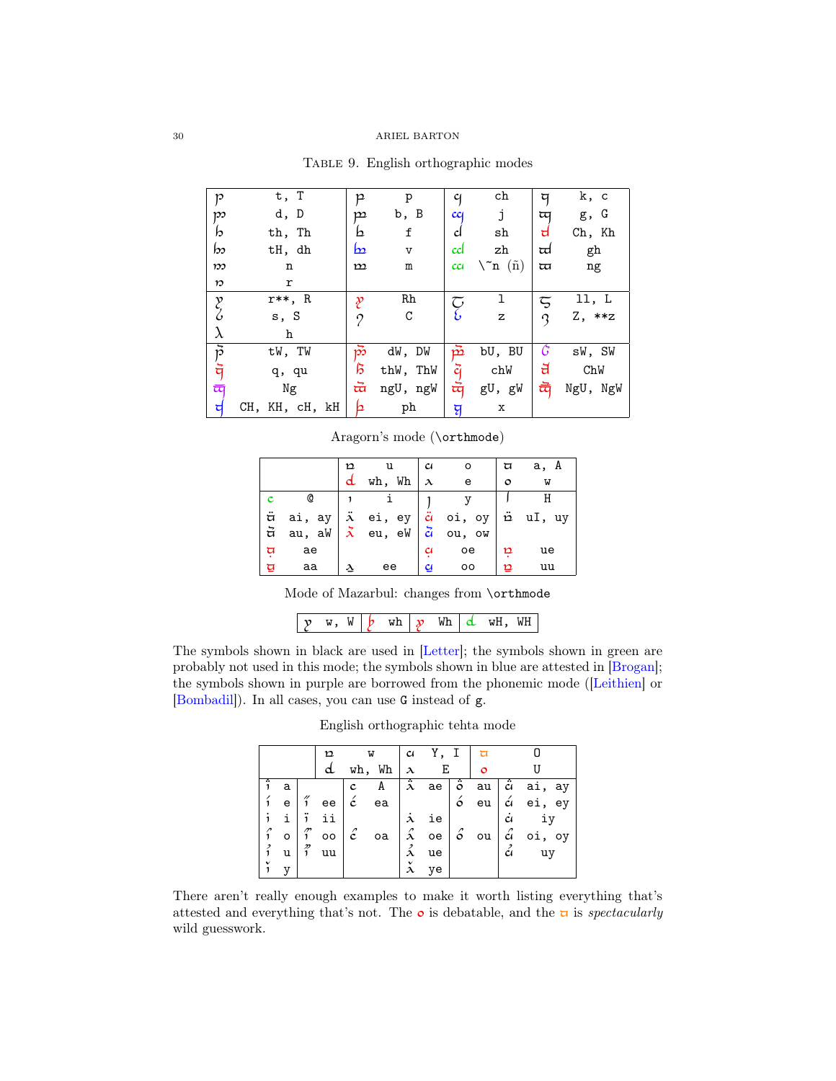| p                | t, T           | p              | p            | q               | ch                | ঘ        | k, c     |
|------------------|----------------|----------------|--------------|-----------------|-------------------|----------|----------|
| po               | d, D           | $\mathbf{p}$   | b, B         | cc              | j                 | অ        | g, G     |
| b                | th, Th         | b              | $\mathbf f$  | d               | sh                | ਰ        | Ch, Kh   |
| bs               | tH, dh         | <u>b2</u>      | $\mathtt{V}$ | ccl             | zh                | ਜ਼       | gh       |
| $\mathfrak{w}$   | n              | ${\bf m}$      | m            | cc <sub>i</sub> | $\setminus$ n (ñ) | $\varpi$ | ng       |
| $\boldsymbol{n}$ | r              |                |              |                 |                   |          |          |
| y<br>S           | $r**$ , R      | p              | Rh           | م<br>ح          | ı                 | ζ        | 11, L    |
|                  | s, S           | 0              | С            |                 | z                 | ς        | Z, **z   |
| $\lambda$        | h              |                |              |                 |                   |          |          |
|                  | tW, TW         | က်             | dW, DW       | pž              | bU, BU            | G        | sW, SW   |
| アラ               | q, qu          | ß              | thW, ThW     | ğ               | chW               | ਰ        | ChW      |
| ল                | Ng             | ਜ਼<br>ngU, ngW |              | प्पॅ            | gU, gW            | प्पै     | NgU, NgW |
| ਖ                | CH, KH, cH, kH | b              | ph           | य़              | X                 |          |          |

<span id="page-29-0"></span>TABLE 9. English orthographic modes

|    | Aragorn's mode (\orthmode) |              |                                     |                         |              |                     |        |  |
|----|----------------------------|--------------|-------------------------------------|-------------------------|--------------|---------------------|--------|--|
|    |                            |              |                                     | $\mathfrak{c}$          |              | ্য                  | a, A   |  |
|    |                            |              | wh, Wh                              | $\lambda$               | $\mathbf{e}$ | $\circ$             | W      |  |
|    | Q                          |              |                                     |                         |              |                     |        |  |
| ä  | ai, ay                     |              | $\ddot{x}$ ei, ey $\ddot{a}$ oi, oy |                         |              | $\ddot{\mathrm{p}}$ | uI, uy |  |
| ਰੋ | au, a $W$                  | $\mathbf{x}$ | eu, eW                              | $\ddot{a}$              | ou, ow       |                     |        |  |
| ज़ | ae                         |              |                                     | $\mathfrak{c}$          | оe           | p                   | ue     |  |
| ਯੂ | aa                         |              | ee                                  | $\overline{\mathbf{c}}$ | 00           | ⊵                   | uu     |  |

Mode of Mazarbul: changes from \orthmode

 $\begin{array}{|c|c|c|c|c|c|}\hline \mathbf{y} & \mathbf{w}, & \mathbf{w} & \mathbf{b} & \mathbf{w} & \mathbf{w} & \mathbf{w} & \mathbf{w} & \mathbf{w} & \mathbf{w} & \mathbf{w} & \mathbf{w} & \mathbf{w} & \mathbf{w} & \mathbf{w} & \mathbf{w} & \mathbf{w} & \mathbf{w} & \mathbf{w} & \mathbf{w} & \mathbf{w} & \mathbf{w} & \mathbf{w} & \mathbf{w} & \mathbf{w} & \mathbf{w} & \mathbf{w} & \mathbf{w} & \mathbf$ 

The symbols shown in black are used in [\[Letter\]](#page-37-2); the symbols shown in green are probably not used in this mode; the symbols shown in blue are attested in [\[Brogan\]](#page-37-7); the symbols shown in purple are borrowed from the phonemic mode ([\[Leithien\]](#page-37-5) or [\[Bombadil\]](#page-37-6)). In all cases, you can use G instead of g.

English orthographic tehta mode

|                   |   |                            | W<br>n |             | $\alpha$ | Y, I                    |    | ਥ                         |         |                |           |
|-------------------|---|----------------------------|--------|-------------|----------|-------------------------|----|---------------------------|---------|----------------|-----------|
|                   |   |                            | d      | Wh<br>wh,   |          | $\lambda$               | Ε  |                           | $\circ$ |                |           |
| $\ddot{\text{i}}$ | а |                            |        | $\mathbf c$ | A        | $\ddot{\hat{ \lambda}}$ | ae | $\overline{\dot{\delta}}$ | au      | ä              | ai, ay    |
|                   | e | $\frac{\prime\prime}{1}$   | ee     | ć           | ea       |                         |    | ó                         | eu      |                | á ei, ey  |
|                   | i | ï                          | ii     |             |          | $\boldsymbol{\lambda}$  | ie |                           |         | c <sub>i</sub> | iy        |
|                   | o | $\widetilde{\mathfrak{j}}$ | 00     | $\hat{c}$   | oa       | $\hat{\mathbf{x}}$      | oe | ó                         | ou      | Ĝ              | oi,<br>oy |
|                   | u | $\tilde{i}$                | uu     |             |          | л                       | ue |                           |         | ả              | uy        |
| $\check{i}$       | у |                            |        |             |          |                         | ye |                           |         |                |           |

There aren't really enough examples to make it worth listing everything that's attested and everything that's not. The  $\circ$  is debatable, and the  $\sigma$  is *spectacularly* wild guesswork.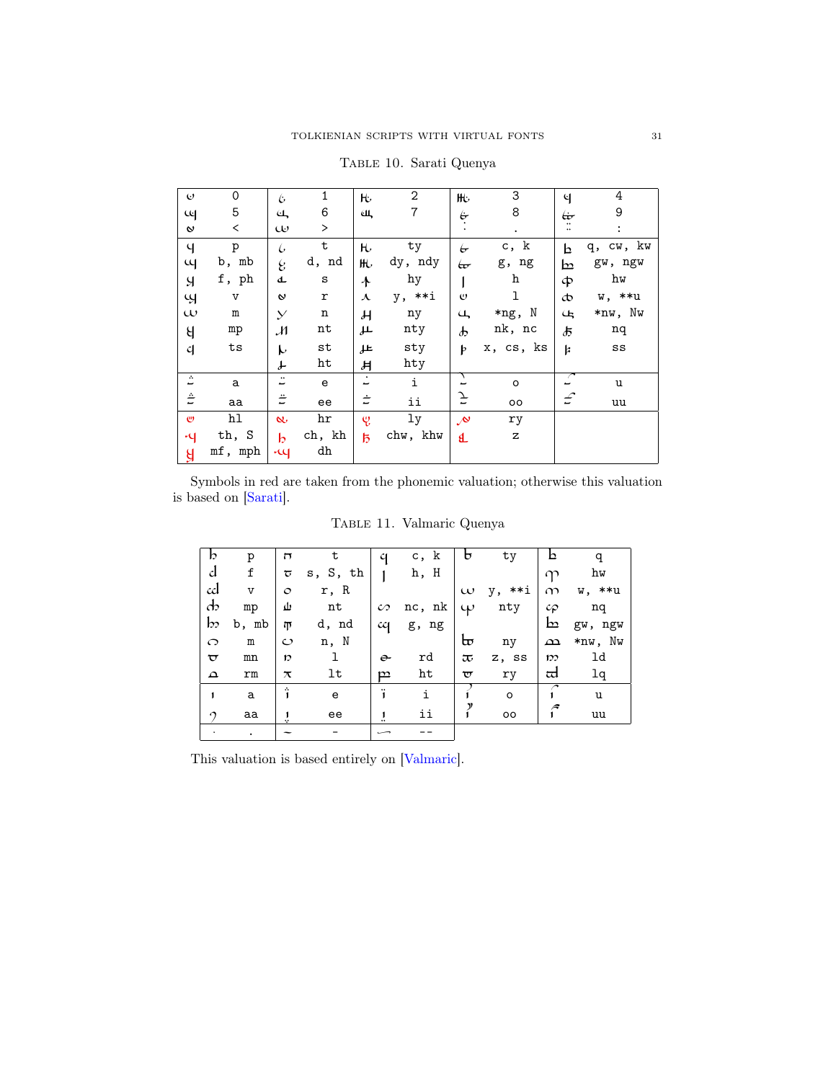| $\mathbf{e}$                 | 0              | Ŀ                           | 1            | H.                         | $\mathbf{2}$ | ₩.                  | 3           | ୳                             | 4              |
|------------------------------|----------------|-----------------------------|--------------|----------------------------|--------------|---------------------|-------------|-------------------------------|----------------|
| પ્લ                          | 5              | त्त′                        | 6            | Щ.                         | 7            | $\dot{\sigma}$      | 8           | Ġ                             | 9              |
| $\mathsf{\textbf{v}}$        | $\,<\,$        | $\omega$                    | $\,>\,$      |                            |              |                     | $\bullet$   | ٠.<br>$\ddotsc$               | $\ddot{\cdot}$ |
| $\mathsf{q}$                 | p              | ŀ                           | $\tt t$      | $\mathsf{H}$               | ty           | $\overleftarrow{C}$ | c, k        | b                             | q, cw, kw      |
| щ                            | b, mb          | $\mathcal{C}$               | d, nd        | HU.                        | dy, ndy      | ఱ                   | g, ng       | ط                             | gw, ngw        |
| $\mathcal{A}$                | f, ph          | d                           | $\mathtt{s}$ | $\ddot{\mathbf{r}}$        | hy           |                     | h           | ф                             | hw             |
| Ч                            | $\overline{V}$ | $\mathbf{v}$                | ${\tt r}$    | $\boldsymbol{\lambda}$     | y, **i       | $\upsilon$          | ı           | Þ                             | w, **u         |
| $\omega$                     | $\mathbf m$    | $\mathcal{Y}$               | $\mathbf n$  | $\boldsymbol{\mathcal{H}}$ | ny           | $\overline{u}$      | *ng, N      | Ц                             | *nw, Nw        |
| $\mathcal{A}$                | mp             | $\mathcal{M}_{\mathcal{A}}$ | nt           | طل                         | nty          | $\boldsymbol{\psi}$ | nk, nc      | よ                             | nq             |
| $\mathcal{C}$                | ts             | h                           | st           | 止                          | sty          | þ                   | x, cs, ks   | <b>k</b>                      | $_{\rm SS}$    |
|                              |                | ď                           | ht           | Ħ                          | hty          |                     |             |                               |                |
| $\mathcal{L}_{\bullet}$<br>- | a              | $\bullet\,\bullet$<br>ٮ     | e            | $\bullet$<br>ٮ             | i            |                     | $\circ$     | $\overline{\phantom{a}}$<br>- | u              |
| Ê                            | aa             | $\ddot{=}$                  | ee           | ÷                          | ii           | F                   | oo          | $\mathcal L$                  | uu             |
| $\mathbf{C}$                 | hl             | $\alpha$                    | hr           | ę,                         | 1y           | $\mathcal{N}$       | ry          |                               |                |
| $\mathcal{A}$                | th, S          | b                           | ch, kh       | $\overline{5}$             | chw, khw     | Ł                   | $\mathbf z$ |                               |                |
| $\mathbf{g}$                 | mf, mph        | $\mathfrak{u}$              | dh           |                            |              |                     |             |                               |                |

<span id="page-30-0"></span>Table 10. Sarati Quenya

Symbols in red are taken from the phonemic valuation; otherwise this valuation is based on [\[Sarati\]](#page-38-12).

<span id="page-30-1"></span>Table 11. Valmaric Quenya

| b                       | p              | $\overline{ }$     | t        | q                  | c, k   | ь                   | ty      |                   | q       |
|-------------------------|----------------|--------------------|----------|--------------------|--------|---------------------|---------|-------------------|---------|
| d                       | f              | ᠊ᡉ                 | s, S, th |                    | h, H   |                     |         | $\gamma$          | hw      |
| cd                      | $\overline{V}$ | $\circ$            | r, R     |                    |        | $\omega$            | y, **i  | $\infty$          | w, **u  |
| $\mathbf{d}$            | mp             | ىلا                | nt       | $\mathcal{C}$      | nc, nk | $\omega$            | nty     | $c_{\mathcal{P}}$ | nq      |
| $\mathsf{b}$            | b, mb          | $\overline{p}$     | d, nd    | cq                 | g, ng  |                     |         | $\mathbf{b}$      | gw, ngw |
| $\circ$                 | $\mathbf m$    | $\mathcal{O}$      | n, N     |                    |        | ᡰᠣ                  | ny      | $\Delta$          | *nw, Nw |
| $\overline{\mathbf{v}}$ | mn             | 10                 | 1        | $\hat{\mathbf{e}}$ | rd     | $\overline{\sigma}$ | z, ss   | m                 | ld      |
| $\Delta$                | rm             | $\boldsymbol{\pi}$ | lt       | p                  | ht     | $\varpi$            | ry      | ದ                 | 1q      |
| 1                       | a              | â                  | e        | ï                  | i      |                     | $\circ$ |                   | u       |
| $\Omega$                | aa             |                    | ee       | 1                  | ii     |                     | $\circ$ |                   | uu      |
|                         |                |                    |          |                    |        |                     |         |                   |         |

This valuation is based entirely on [\[Valmaric\]](#page-38-15).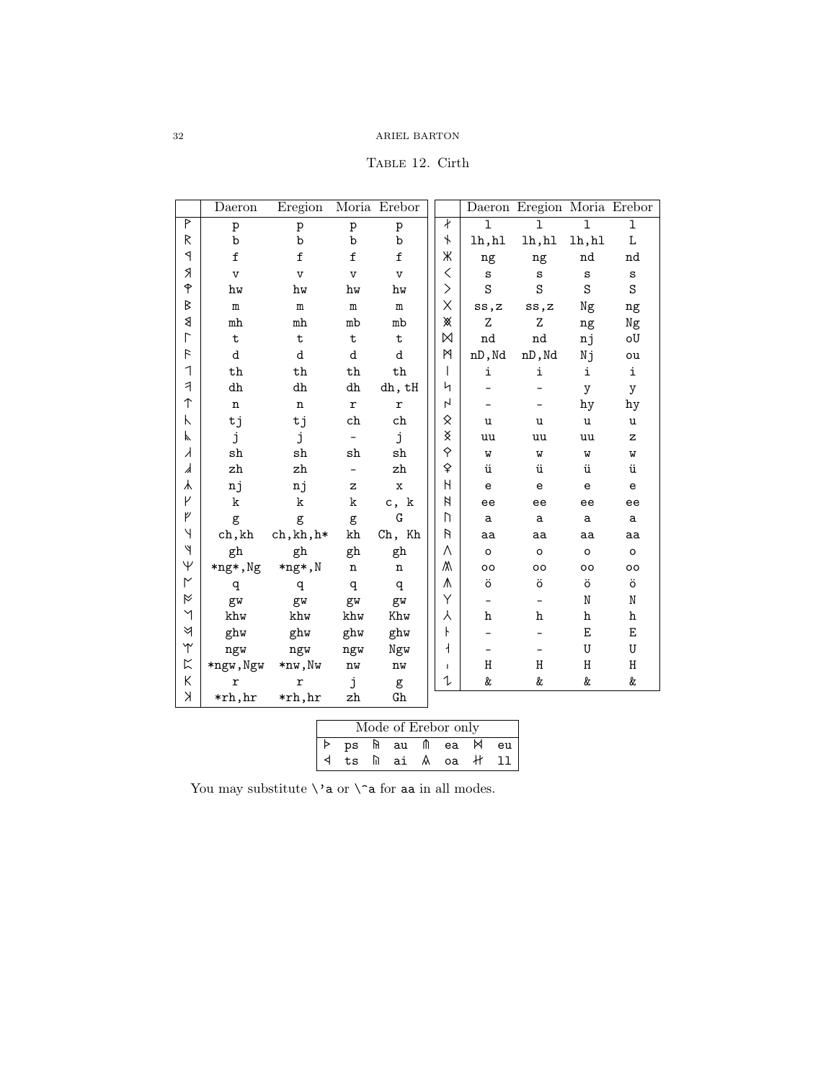<span id="page-31-0"></span>TABLE 12. Cirth

|                          | Daeron                  | Eregion                 |                          | Moria Erebor            |                                                                    |              | Daeron Eregion Moria Erebor |             |                                                     |
|--------------------------|-------------------------|-------------------------|--------------------------|-------------------------|--------------------------------------------------------------------|--------------|-----------------------------|-------------|-----------------------------------------------------|
| P                        | p                       | p                       | $\overline{p}$           | $\, {\bf p}$            | ł                                                                  | $\mathbf{1}$ | $\mathbf{1}$                | ı           | $\mathbf 1$                                         |
| R                        | b                       | b                       | b                        | b                       | $\pmb{\downarrow}$                                                 | lh, h1       | lh, h1                      | lh, h1      | L                                                   |
| $\triangleleft$          | $\mathtt f$             | $\mathtt f$             | $\mathtt f$              | $\mathtt f$             | Ж                                                                  | ng           | ng                          | nd          | nd                                                  |
| Я                        | $\overline{\mathbf{V}}$ | $\overline{\mathbf{V}}$ | $\overline{V}$           | $\overline{\mathbf{V}}$ | $\hspace{0.1cm}\raisebox{0.6ex}{\scriptsize$\scriptstyle\diagup$}$ | $\mathbf{s}$ | S                           | S           | $\mathtt{s}$                                        |
| $\hat{\mathsf{P}}$       | hw                      | hw                      | hw                       | hw                      | $\left. \right\rangle$                                             | S            | S                           | S           | S                                                   |
| B                        | $\mathbf m$             | m                       | m                        | $\mathbf m$             | X                                                                  | ss, z        | ss,z                        | Ng          | ng                                                  |
| ₿                        | m <sub>h</sub>          | m <sub>h</sub>          | mb                       | mb                      | ※                                                                  | Z            | Z                           | ng          | Ng                                                  |
| $\overline{\Gamma}$      | t                       | $\mathbf t$             | $\mathbf t$              | $\mathbf t$             | M                                                                  | nd           | nd                          | nj          | oU                                                  |
| $\overline{r}$           | d                       | d                       | d                        | d                       | M                                                                  | nD, Nd       | nD, Nd                      | Nj          | ou                                                  |
| 1                        | $^{\rm th}$             | $^{\rm th}$             | th                       | $^{\rm th}$             | T                                                                  | i            | i                           | i           | i                                                   |
| $\overline{\mathcal{A}}$ | dh                      | dh                      | dh                       | dh, tH                  | 4                                                                  |              |                             | y           | y                                                   |
| ↑                        | $\mathbf n$             | n                       | $\mathbf r$              | $\mathbf r$             | $\mathsf{L}$                                                       |              |                             | hy          | hy                                                  |
| Κ                        | tj                      | tj                      | ch                       | ch                      | 父                                                                  | u            | u                           | u           | u                                                   |
| K                        | j                       | j                       | $\qquad \qquad -$        | j                       | x                                                                  | uu           | uu                          | uu          | $\mathbf{z}$                                        |
| $\lambda$                | sh                      | sh                      | sh                       | ${\tt sh}$              | $\hat{\mathsf{S}}$                                                 | W            | W                           | W           | W                                                   |
| ᠕                        | zh                      | zh                      | $\overline{\phantom{a}}$ | zh                      | ♦                                                                  | ü            | ü                           | ü           | ü                                                   |
| 木                        | nj                      | nj                      | z                        | $\mathbf x$             | Н                                                                  | $\mathsf{e}$ | $\mathsf{e}$                | $\mathbf e$ | $\mathsf{e}% _{\mathsf{e}}\left( \mathsf{e}\right)$ |
| γ                        | k                       | k                       | k                        | c, k                    | И                                                                  | ee           | ee                          | ee          | ee                                                  |
| ψ                        | g                       | g                       | g                        | G                       | Ŋ                                                                  | a            | a                           | a           | a                                                   |
| Y                        | ch, kh                  | ch, kh, h*              | kh                       | Ch, Kh                  | R                                                                  | aa           | aa                          | aa          | aa                                                  |
| ψ                        | gh                      | gh                      | gh                       | gh                      | Λ                                                                  | $\circ$      | $\circ$                     | $\circ$     | $\circ$                                             |
| $\overline{\mathsf{Y}}$  | *ng*, Ng                | *ng*,N                  | $\mathbf n$              | $\mathbf n$             | ٨                                                                  | oo           | oo                          | $\circ$     | oo                                                  |
| $\mathsf{M}$             | q                       | q                       | q                        | q                       | ٨                                                                  | ö            | ö                           | ö           | ö                                                   |
| Ř                        | gw                      | gw                      | gw                       | gw                      | Υ                                                                  | -            |                             | N           | N                                                   |
| $\lambda$                | khw                     | khw                     | khw                      | Khw                     | Υ                                                                  | h            | h                           | h           | h                                                   |
| ধ                        | ghw                     | ghw                     | ghw                      | ghw                     | ŀ                                                                  |              |                             | Ε           | E                                                   |
| $\Upsilon$               | ngw                     | ngw                     | ngw                      | Ngw                     | $\overline{1}$                                                     |              |                             | U           | U                                                   |
| $\mathbb{K}$             | *ngw, Ngw               | *nw,Nw                  | $\mathbf{n}\mathbf{w}$   | nw                      | $\mathbf{I}$                                                       | H            | H                           | Η           | Η                                                   |
| К                        | r                       | $\mathbf r$             | j                        | g                       | 1                                                                  | &            | &                           | &           | &                                                   |
| K                        | *rh, hr                 | *rh, hr                 | zh                       | G <sub>h</sub>          |                                                                    |              |                             |             |                                                     |

|  |  | Mode of Erebor only          |  |
|--|--|------------------------------|--|
|  |  | p ps fi au m ea $\bowtie$ eu |  |
|  |  | <  ts    ai A oa +  11       |  |

You may substitute  $\verb|`a or \verb|`a for aa in all modes.$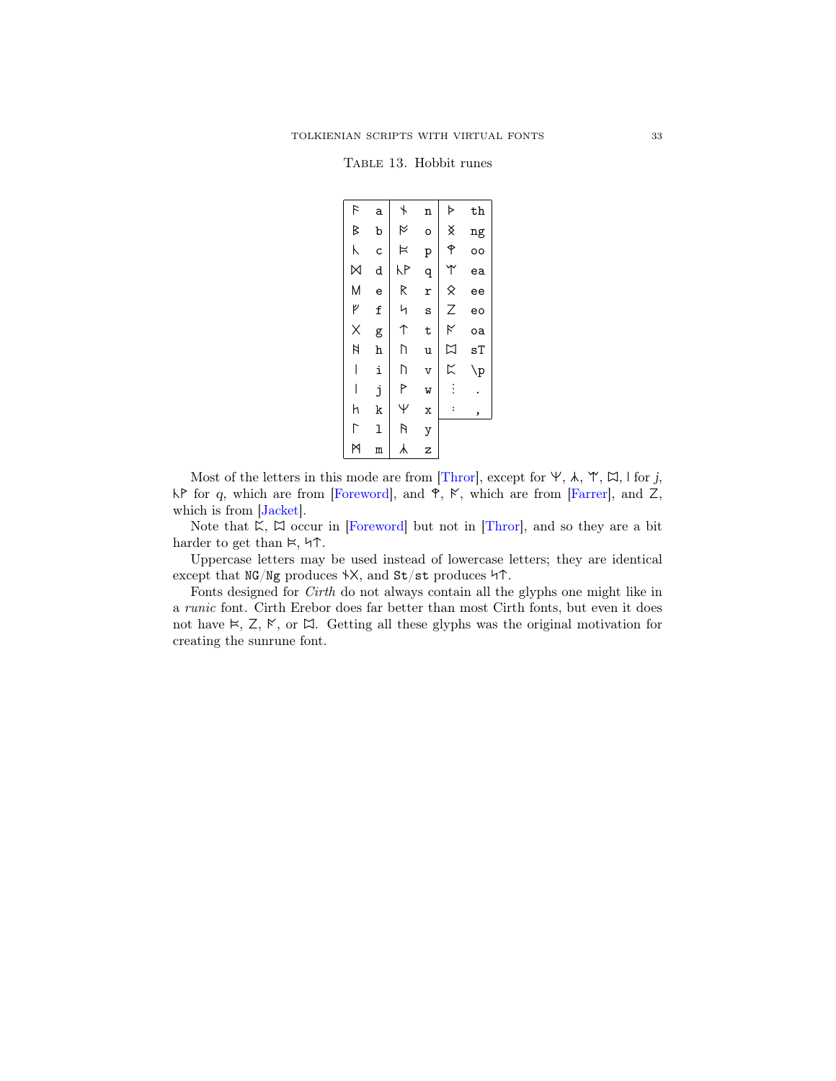<span id="page-32-0"></span>Table 13. Hobbit runes

| F                   | a            | $\overline{\phantom{a}}$ | n                       | Þ                    | th             |
|---------------------|--------------|--------------------------|-------------------------|----------------------|----------------|
| B                   | $\mathbf b$  | M                        | o                       | X                    | ng             |
| Κ                   | C            | Þ                        | p                       | ↟                    | $\circ$        |
| $\boxtimes$         | d            | КP                       | q                       | Υ                    | ea             |
| M                   | e            | R                        | r                       | $\hat{\times}$       | ee             |
| ٢                   | f            | Ч                        | S                       | Z                    | eo             |
| $\times$            | g            | ↑                        | t                       | K                    | oa             |
| N                   | $\, {\bf h}$ | D                        | u                       | K<br>K               | sT             |
|                     | i            | D                        | $\overline{\mathsf{v}}$ |                      | $\backslash$ p |
|                     | j            | P                        | W                       | $\vdots$             |                |
| h                   | k            | Ψ                        | X                       | $\ddot{\phantom{a}}$ | ,              |
| $\overline{\Gamma}$ | l            | R                        | y                       |                      |                |
| M                   | m            | ⅄                        | $\overline{z}$          |                      |                |

Most of the letters in this mode are from [\[Thror\]](#page-38-1), except for  $\Psi$ ,  $\lambda$ ,  $\Psi$ ,  $\Box$ ,  $\Box$ , l for j,  $\mathsf{NP}$  for q, which are from [\[Foreword\]](#page-38-19), and  $\mathsf{P}, \mathsf{N},$  which are from [\[Farrer\]](#page-38-20), and Z, which is from [\[Jacket\]](#page-38-21).

Note that  $K$ ,  $\Box$  occur in [\[Foreword\]](#page-38-19) but not in [\[Thror\]](#page-38-1), and so they are a bit harder to get than  $\vDash$ ,  $\nvdash \uparrow$ .

Uppercase letters may be used instead of lowercase letters; they are identical except that  $NG/Ng$  produces  $\forall X$ , and  $St/st$  produces  $\forall \Upsilon$ .

Fonts designed for Cirth do not always contain all the glyphs one might like in a runic font. Cirth Erebor does far better than most Cirth fonts, but even it does not have  $\ltimes$ ,  $\ltimes$ ,  $\ltimes$ , or  $\ltimes$ . Getting all these glyphs was the original motivation for creating the sunrune font.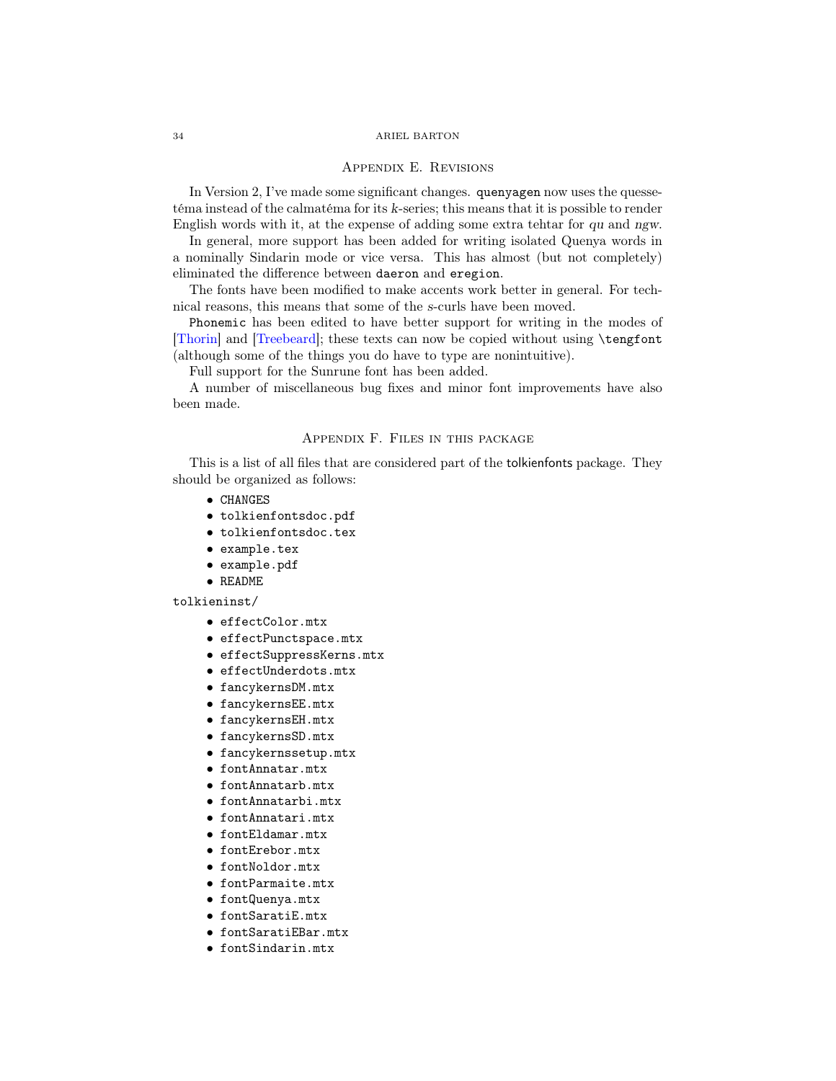# Appendix E. Revisions

<span id="page-33-0"></span>In Version 2, I've made some significant changes. quenyagen now uses the quessetéma instead of the calmatéma for its k-series; this means that it is possible to render English words with it, at the expense of adding some extra tehtar for qu and ngw.

In general, more support has been added for writing isolated Quenya words in a nominally Sindarin mode or vice versa. This has almost (but not completely) eliminated the difference between daeron and eregion.

The fonts have been modified to make accents work better in general. For technical reasons, this means that some of the s-curls have been moved.

Phonemic has been edited to have better support for writing in the modes of [\[Thorin\]](#page-38-7) and [\[Treebeard\]](#page-38-11); these texts can now be copied without using \tengfont (although some of the things you do have to type are nonintuitive).

Full support for the Sunrune font has been added.

A number of miscellaneous bug fixes and minor font improvements have also been made.

## Appendix F. Files in this package

<span id="page-33-1"></span>This is a list of all files that are considered part of the tolkienfonts package. They should be organized as follows:

- CHANGES
- tolkienfontsdoc.pdf
- tolkienfontsdoc.tex
- example.tex
- example.pdf
- README

### tolkieninst/

- effectColor.mtx
- effectPunctspace.mtx
- effectSuppressKerns.mtx
- effectUnderdots.mtx
- fancykernsDM.mtx
- fancykernsEE.mtx
- fancykernsEH.mtx
- fancykernsSD.mtx
- fancykernssetup.mtx
- fontAnnatar.mtx
- fontAnnatarb.mtx
- fontAnnatarbi.mtx
- fontAnnatari.mtx
- fontEldamar.mtx
- fontErebor.mtx
- fontNoldor.mtx
- fontParmaite.mtx
- fontQuenya.mtx
- fontSaratiE.mtx
- fontSaratiEBar.mtx
- fontSindarin.mtx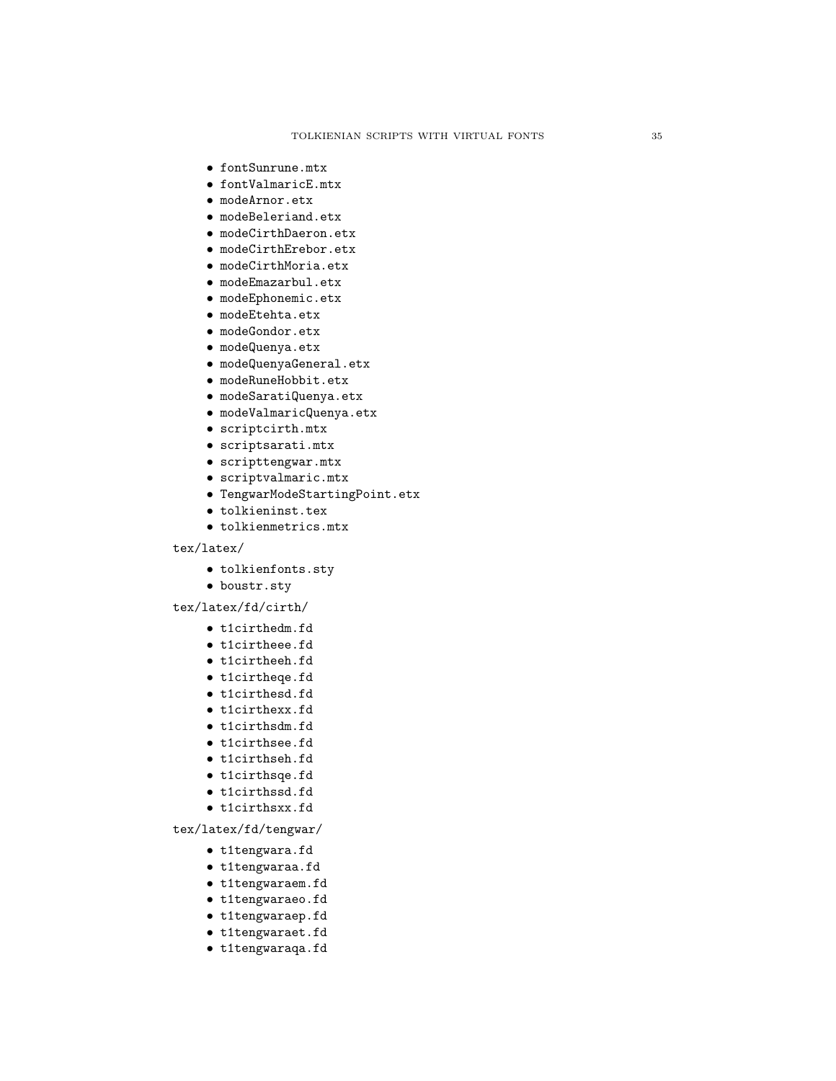- fontSunrune.mtx
- fontValmaricE.mtx
- modeArnor.etx
- modeBeleriand.etx
- modeCirthDaeron.etx
- modeCirthErebor.etx
- modeCirthMoria.etx
- modeEmazarbul.etx
- modeEphonemic.etx
- modeEtehta.etx
- modeGondor.etx
- modeQuenya.etx
- modeQuenyaGeneral.etx
- modeRuneHobbit.etx
- modeSaratiQuenya.etx
- modeValmaricQuenya.etx
- scriptcirth.mtx
- scriptsarati.mtx
- scripttengwar.mtx
- scriptvalmaric.mtx
- TengwarModeStartingPoint.etx
- tolkieninst.tex
- tolkienmetrics.mtx

# tex/latex/

- tolkienfonts.sty
- boustr.sty

### tex/latex/fd/cirth/

- t1cirthedm.fd
- t1cirtheee.fd
- t1cirtheeh.fd
- t1cirtheqe.fd
- t1cirthesd.fd
- t1cirthexx.fd
- t1cirthsdm.fd
- t1cirthsee.fd
- t1cirthseh.fd
- t1cirthsqe.fd
- t1cirthssd.fd
- t1cirthsxx.fd

# tex/latex/fd/tengwar/

- t1tengwara.fd
- t1tengwaraa.fd
- t1tengwaraem.fd
- t1tengwaraeo.fd
- t1tengwaraep.fd
- t1tengwaraet.fd
- t1tengwaraqa.fd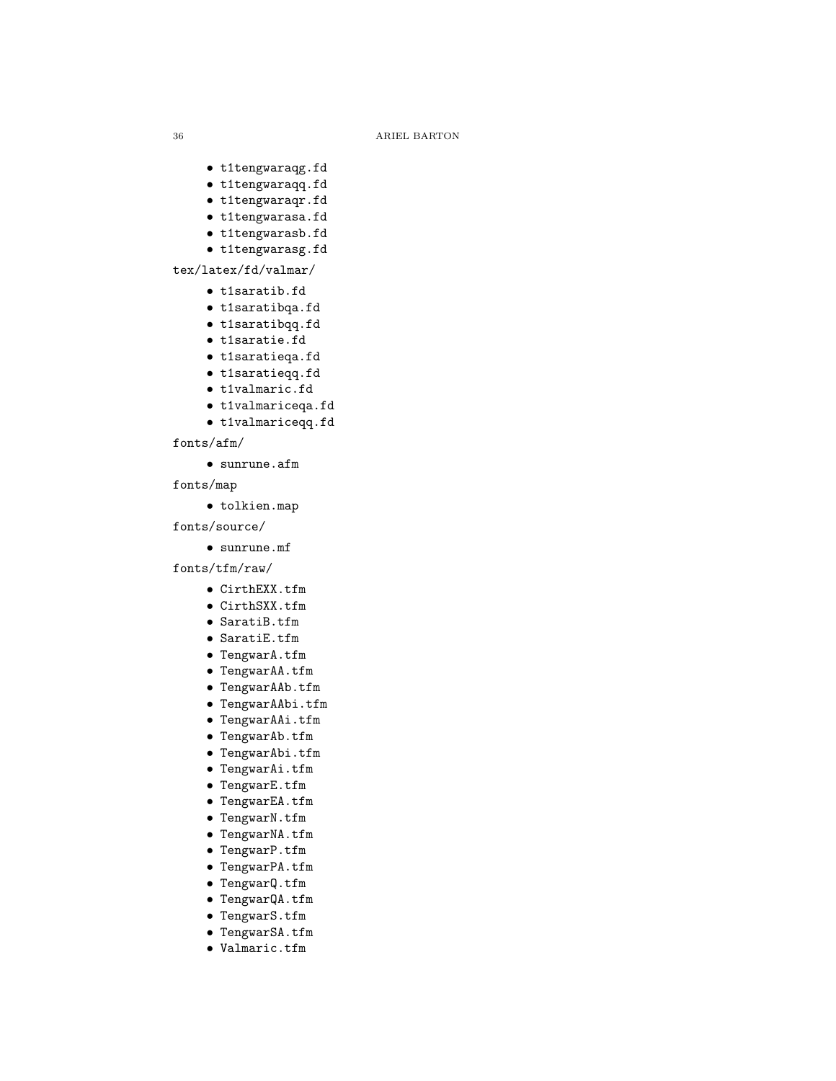- t1tengwaraqg.fd
- t1tengwaraqq.fd
- t1tengwaraqr.fd
- t1tengwarasa.fd
- t1tengwarasb.fd
- t1tengwarasg.fd

# tex/latex/fd/valmar/

- t1saratib.fd
- t1saratibqa.fd
- t1saratibqq.fd
- t1saratie.fd
- t1saratieqa.fd
- t1saratieqq.fd
- t1valmaric.fd
- t1valmariceqa.fd
- t1valmariceqq.fd

# fonts/afm/

• sunrune.afm

fonts/map

• tolkien.map

fonts/source/

• sunrune.mf

fonts/tfm/raw/

- CirthEXX.tfm
- CirthSXX.tfm
- SaratiB.tfm
- SaratiE.tfm
- TengwarA.tfm
- TengwarAA.tfm
- TengwarAAb.tfm
- TengwarAAbi.tfm
- TengwarAAi.tfm
- TengwarAb.tfm
- TengwarAbi.tfm
- TengwarAi.tfm
- TengwarE.tfm
- TengwarEA.tfm
- TengwarN.tfm
- TengwarNA.tfm
- TengwarP.tfm
- TengwarPA.tfm
- TengwarQ.tfm
- TengwarQA.tfm
- TengwarS.tfm
- TengwarSA.tfm
- Valmaric.tfm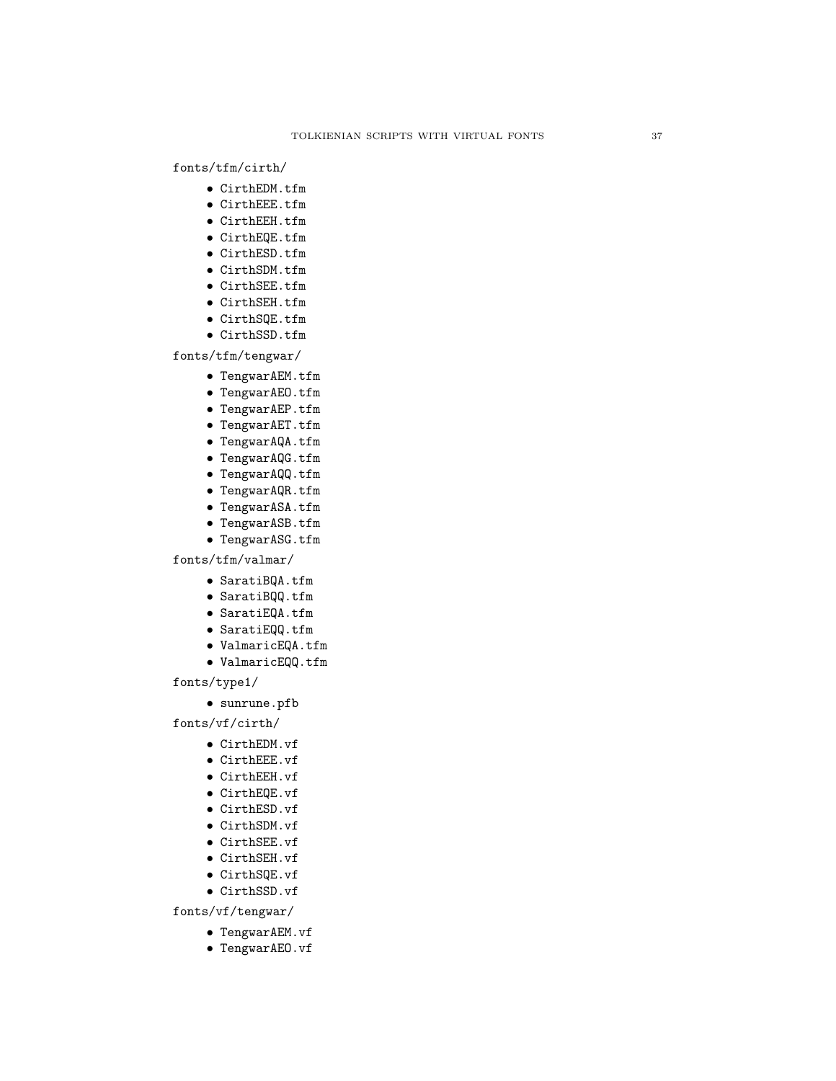# fonts/tfm/cirth/

- CirthEDM.tfm
- CirthEEE.tfm
- CirthEEH.tfm
- CirthEQE.tfm
- CirthESD.tfm
- CirthSDM.tfm
- CirthSEE.tfm
- CirthSEH.tfm
- CirthSQE.tfm
- CirthSSD.tfm

fonts/tfm/tengwar/

- TengwarAEM.tfm
- TengwarAEO.tfm
- TengwarAEP.tfm
- TengwarAET.tfm
- TengwarAQA.tfm
- TengwarAQG.tfm
- TengwarAQQ.tfm
- TengwarAQR.tfm
- TengwarASA.tfm
- TengwarASB.tfm
- TengwarASG.tfm
- 

fonts/tfm/valmar/

- SaratiBQA.tfm
- SaratiBQQ.tfm
- SaratiEQA.tfm
- SaratiEQQ.tfm
- ValmaricEQA.tfm
- ValmaricEQQ.tfm

fonts/type1/

• sunrune.pfb

fonts/vf/cirth/

- CirthEDM.vf
- CirthEEE.vf
- CirthEEH.vf
- CirthEQE.vf
- CirthESD.vf
- CirthSDM.vf
- CirthSEE.vf
- CirthSEH.vf
- CirthSQE.vf
- CirthSSD.vf
- 

fonts/vf/tengwar/

- TengwarAEM.vf
- TengwarAEO.vf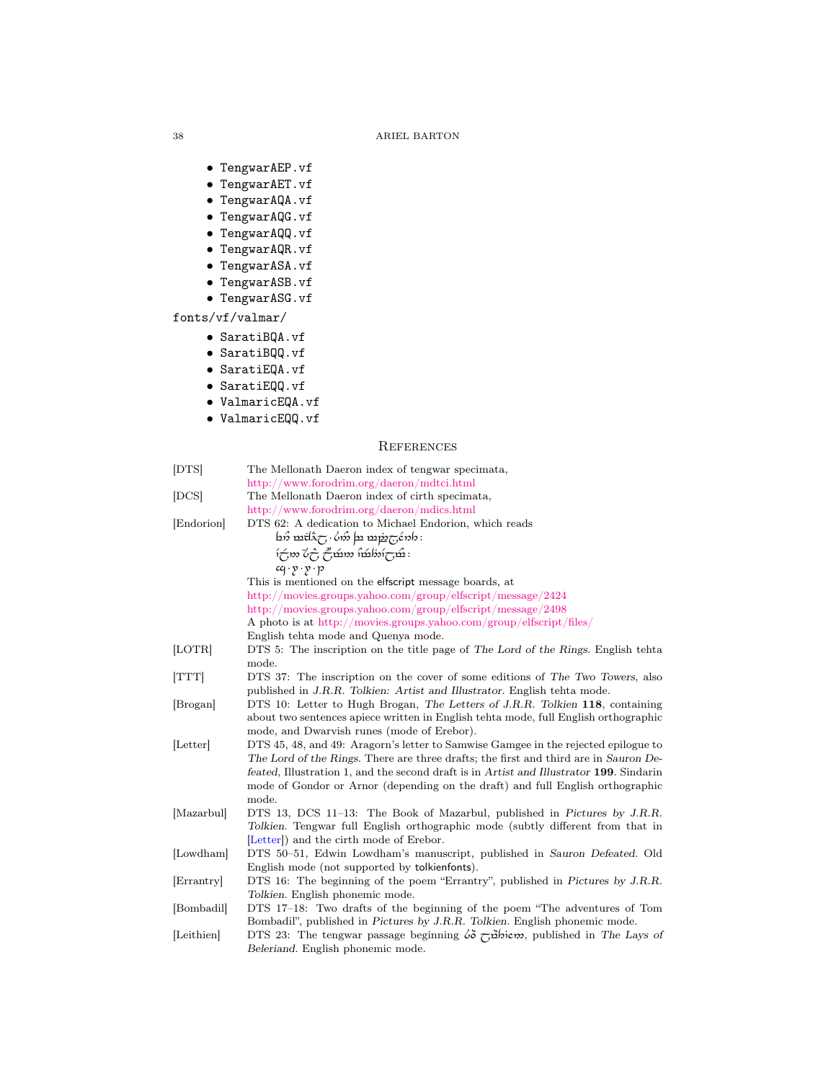- TengwarAEP.vf
- TengwarAET.vf
- TengwarAQA.vf
- TengwarAQG.vf
- TengwarAQQ.vf
- TengwarAQR.vf
- TengwarASA.vf
- TengwarASB.vf
- TengwarASG.vf

fonts/vf/valmar/

- SaratiBQA.vf
- SaratiBQQ.vf
- SaratiEQA.vf
- SaratiEQQ.vf
- ValmaricEQA.vf
- 
- ValmaricEQQ.vf

# **REFERENCES**

<span id="page-37-10"></span><span id="page-37-9"></span><span id="page-37-8"></span><span id="page-37-7"></span><span id="page-37-6"></span><span id="page-37-5"></span><span id="page-37-4"></span><span id="page-37-3"></span><span id="page-37-2"></span><span id="page-37-1"></span><span id="page-37-0"></span>

| [DTS]      | The Mellonath Daeron index of tengwar specimata,                                                                               |
|------------|--------------------------------------------------------------------------------------------------------------------------------|
|            | http://www.forodrim.org/daeron/mdtci.html                                                                                      |
| [DCS]      | The Mellonath Daeron index of cirth specimata,                                                                                 |
|            | http://www.forodrim.org/daeron/mdics.html                                                                                      |
| Endorion   | DTS 62: A dedication to Michael Endorion, which reads                                                                          |
|            | $\sin \frac{\pi}{2}$ $\cos \frac{\pi}{2}$ $\sin \frac{\pi}{2}$                                                                 |
|            | $\hat{\mathcal{L}}$ ားတိုက် ကြိုက် ကြိုက် မြ                                                                                   |
|            | $cq \cdot y \cdot y \cdot p$                                                                                                   |
|            | This is mentioned on the elfscript message boards, at                                                                          |
|            | http://movies.groups.yahoo.com/group/elfscript/message/2424                                                                    |
|            | http://movies.groups.yahoo.com/group/elfscript/message/2498                                                                    |
|            | A photo is at http://movies.groups.yahoo.com/group/elfscript/files/                                                            |
|            | English tehta mode and Quenya mode.                                                                                            |
| [LOTR]     | DTS 5: The inscription on the title page of The Lord of the Rings. English tehta                                               |
|            | mode.                                                                                                                          |
| [TTT]      | DTS 37: The inscription on the cover of some editions of The Two Towers, also                                                  |
|            | published in J.R.R. Tolkien: Artist and Illustrator. English tehta mode.                                                       |
| [Brogan]   | DTS 10: Letter to Hugh Brogan, The Letters of J.R.R. Tolkien 118, containing                                                   |
|            | about two sentences apiece written in English tehta mode, full English orthographic                                            |
|            | mode, and Dwarvish runes (mode of Erebor).                                                                                     |
| [Letter]   | DTS 45, 48, and 49: Aragorn's letter to Samwise Gamgee in the rejected epilogue to                                             |
|            | The Lord of the Rings. There are three drafts; the first and third are in Sauron De-                                           |
|            | feated, Illustration 1, and the second draft is in Artist and Illustrator 199. Sindarin                                        |
|            | mode of Gondor or Arnor (depending on the draft) and full English orthographic                                                 |
|            | mode.                                                                                                                          |
| [Mazarbul] | DTS 13, DCS 11-13: The Book of Mazarbul, published in Pictures by J.R.R.                                                       |
|            | Tolkien. Tengwar full English orthographic mode (subtly different from that in                                                 |
|            | [Letter]) and the cirth mode of Erebor.                                                                                        |
| [Lowdham]  | DTS 50–51, Edwin Lowdham's manuscript, published in Sauron Defeated. Old                                                       |
| [Errantry] | English mode (not supported by tolkienfonts).<br>DTS 16: The beginning of the poem "Errantry", published in Pictures by J.R.R. |
|            | Tolkien. English phonemic mode.                                                                                                |
| [Bombadil] | DTS 17-18: Two drafts of the beginning of the poem "The adventures of Tom                                                      |
|            | Bombadil", published in Pictures by J.R.R. Tolkien. English phonemic mode.                                                     |
| Leithien   | DTS 23: The tengwar passage beginning $\delta \sigma \rightarrow \delta$ is the Days of                                        |
|            | Beleriand. English phonemic mode.                                                                                              |